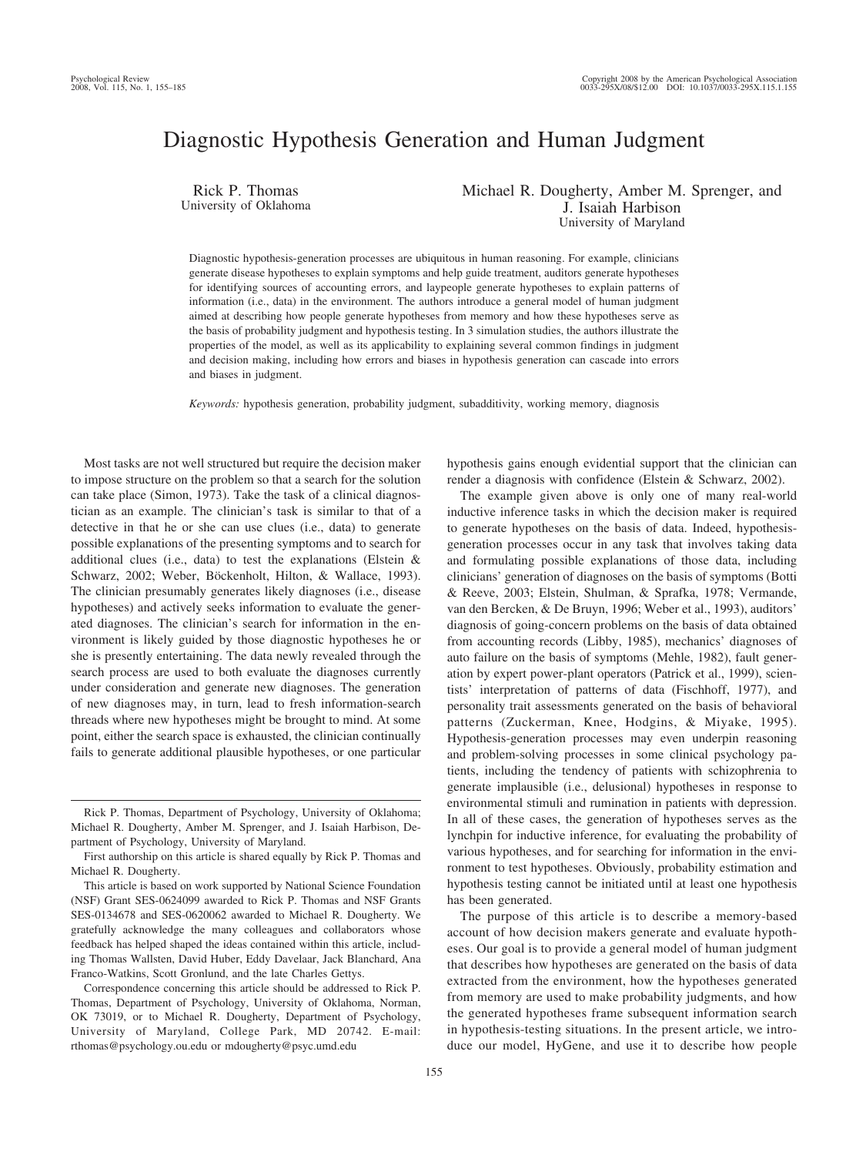# Diagnostic Hypothesis Generation and Human Judgment

Rick P. Thomas University of Oklahoma Michael R. Dougherty, Amber M. Sprenger, and J. Isaiah Harbison University of Maryland

Diagnostic hypothesis-generation processes are ubiquitous in human reasoning. For example, clinicians generate disease hypotheses to explain symptoms and help guide treatment, auditors generate hypotheses for identifying sources of accounting errors, and laypeople generate hypotheses to explain patterns of information (i.e., data) in the environment. The authors introduce a general model of human judgment aimed at describing how people generate hypotheses from memory and how these hypotheses serve as the basis of probability judgment and hypothesis testing. In 3 simulation studies, the authors illustrate the properties of the model, as well as its applicability to explaining several common findings in judgment and decision making, including how errors and biases in hypothesis generation can cascade into errors and biases in judgment.

*Keywords:* hypothesis generation, probability judgment, subadditivity, working memory, diagnosis

Most tasks are not well structured but require the decision maker to impose structure on the problem so that a search for the solution can take place (Simon, 1973). Take the task of a clinical diagnostician as an example. The clinician's task is similar to that of a detective in that he or she can use clues (i.e., data) to generate possible explanations of the presenting symptoms and to search for additional clues (i.e., data) to test the explanations (Elstein & Schwarz, 2002; Weber, Böckenholt, Hilton, & Wallace, 1993). The clinician presumably generates likely diagnoses (i.e., disease hypotheses) and actively seeks information to evaluate the generated diagnoses. The clinician's search for information in the environment is likely guided by those diagnostic hypotheses he or she is presently entertaining. The data newly revealed through the search process are used to both evaluate the diagnoses currently under consideration and generate new diagnoses. The generation of new diagnoses may, in turn, lead to fresh information-search threads where new hypotheses might be brought to mind. At some point, either the search space is exhausted, the clinician continually fails to generate additional plausible hypotheses, or one particular

Correspondence concerning this article should be addressed to Rick P. Thomas, Department of Psychology, University of Oklahoma, Norman, OK 73019, or to Michael R. Dougherty, Department of Psychology, University of Maryland, College Park, MD 20742. E-mail: rthomas@psychology.ou.edu or mdougherty@psyc.umd.edu

hypothesis gains enough evidential support that the clinician can render a diagnosis with confidence (Elstein & Schwarz, 2002).

The example given above is only one of many real-world inductive inference tasks in which the decision maker is required to generate hypotheses on the basis of data. Indeed, hypothesisgeneration processes occur in any task that involves taking data and formulating possible explanations of those data, including clinicians' generation of diagnoses on the basis of symptoms (Botti & Reeve, 2003; Elstein, Shulman, & Sprafka, 1978; Vermande, van den Bercken, & De Bruyn, 1996; Weber et al., 1993), auditors' diagnosis of going-concern problems on the basis of data obtained from accounting records (Libby, 1985), mechanics' diagnoses of auto failure on the basis of symptoms (Mehle, 1982), fault generation by expert power-plant operators (Patrick et al., 1999), scientists' interpretation of patterns of data (Fischhoff, 1977), and personality trait assessments generated on the basis of behavioral patterns (Zuckerman, Knee, Hodgins, & Miyake, 1995). Hypothesis-generation processes may even underpin reasoning and problem-solving processes in some clinical psychology patients, including the tendency of patients with schizophrenia to generate implausible (i.e., delusional) hypotheses in response to environmental stimuli and rumination in patients with depression. In all of these cases, the generation of hypotheses serves as the lynchpin for inductive inference, for evaluating the probability of various hypotheses, and for searching for information in the environment to test hypotheses. Obviously, probability estimation and hypothesis testing cannot be initiated until at least one hypothesis has been generated.

The purpose of this article is to describe a memory-based account of how decision makers generate and evaluate hypotheses. Our goal is to provide a general model of human judgment that describes how hypotheses are generated on the basis of data extracted from the environment, how the hypotheses generated from memory are used to make probability judgments, and how the generated hypotheses frame subsequent information search in hypothesis-testing situations. In the present article, we introduce our model, HyGene, and use it to describe how people

Rick P. Thomas, Department of Psychology, University of Oklahoma; Michael R. Dougherty, Amber M. Sprenger, and J. Isaiah Harbison, Department of Psychology, University of Maryland.

First authorship on this article is shared equally by Rick P. Thomas and Michael R. Dougherty.

This article is based on work supported by National Science Foundation (NSF) Grant SES-0624099 awarded to Rick P. Thomas and NSF Grants SES-0134678 and SES-0620062 awarded to Michael R. Dougherty. We gratefully acknowledge the many colleagues and collaborators whose feedback has helped shaped the ideas contained within this article, including Thomas Wallsten, David Huber, Eddy Davelaar, Jack Blanchard, Ana Franco-Watkins, Scott Gronlund, and the late Charles Gettys.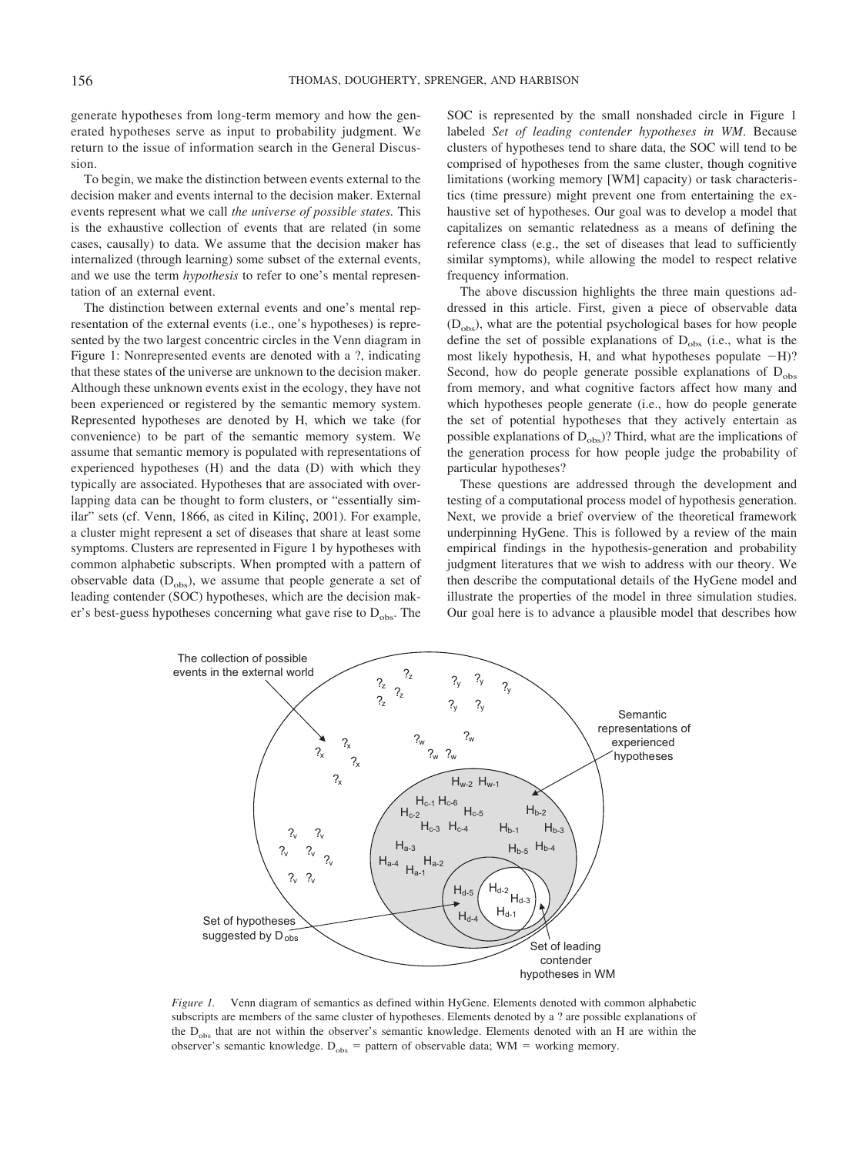generate hypotheses from long-term memory and how the generated hypotheses serve as input to probability judgment. We return to the issue of information search in the General Discussion.

To begin, we make the distinction between events external to the decision maker and events internal to the decision maker. External events represent what we call *the universe of possible states.* This is the exhaustive collection of events that are related (in some cases, causally) to data. We assume that the decision maker has internalized (through learning) some subset of the external events, and we use the term *hypothesis* to refer to one's mental representation of an external event.

The distinction between external events and one's mental representation of the external events (i.e., one's hypotheses) is represented by the two largest concentric circles in the Venn diagram in Figure 1: Nonrepresented events are denoted with a ?, indicating that these states of the universe are unknown to the decision maker. Although these unknown events exist in the ecology, they have not been experienced or registered by the semantic memory system. Represented hypotheses are denoted by H, which we take (for convenience) to be part of the semantic memory system. We assume that semantic memory is populated with representations of experienced hypotheses (H) and the data (D) with which they typically are associated. Hypotheses that are associated with overlapping data can be thought to form clusters, or "essentially similar" sets (cf. Venn, 1866, as cited in Kilinc, 2001). For example, a cluster might represent a set of diseases that share at least some symptoms. Clusters are represented in Figure 1 by hypotheses with common alphabetic subscripts. When prompted with a pattern of observable data  $(D<sub>obs</sub>)$ , we assume that people generate a set of leading contender (SOC) hypotheses, which are the decision maker's best-guess hypotheses concerning what gave rise to D<sub>obs</sub>. The SOC is represented by the small nonshaded circle in Figure 1 labeled *Set of leading contender hypotheses in WM*. Because clusters of hypotheses tend to share data, the SOC will tend to be comprised of hypotheses from the same cluster, though cognitive limitations (working memory [WM] capacity) or task characteristics (time pressure) might prevent one from entertaining the exhaustive set of hypotheses. Our goal was to develop a model that capitalizes on semantic relatedness as a means of defining the reference class (e.g., the set of diseases that lead to sufficiently similar symptoms), while allowing the model to respect relative frequency information.

The above discussion highlights the three main questions addressed in this article. First, given a piece of observable data  $(D<sub>obs</sub>)$ , what are the potential psychological bases for how people define the set of possible explanations of  $D<sub>obs</sub>$  (i.e., what is the most likely hypothesis, H, and what hypotheses populate  $-H$ )? Second, how do people generate possible explanations of  $D_{obs}$ from memory, and what cognitive factors affect how many and which hypotheses people generate (i.e., how do people generate the set of potential hypotheses that they actively entertain as possible explanations of  $D_{obs}$ )? Third, what are the implications of the generation process for how people judge the probability of particular hypotheses?

These questions are addressed through the development and testing of a computational process model of hypothesis generation. Next, we provide a brief overview of the theoretical framework underpinning HyGene. This is followed by a review of the main empirical findings in the hypothesis-generation and probability judgment literatures that we wish to address with our theory. We then describe the computational details of the HyGene model and illustrate the properties of the model in three simulation studies. Our goal here is to advance a plausible model that describes how



*Figure 1.* Venn diagram of semantics as defined within HyGene. Elements denoted with common alphabetic subscripts are members of the same cluster of hypotheses. Elements denoted by a ? are possible explanations of the Dobs that are not within the observer's semantic knowledge. Elements denoted with an H are within the observer's semantic knowledge.  $D_{obs}$  = pattern of observable data; WM = working memory.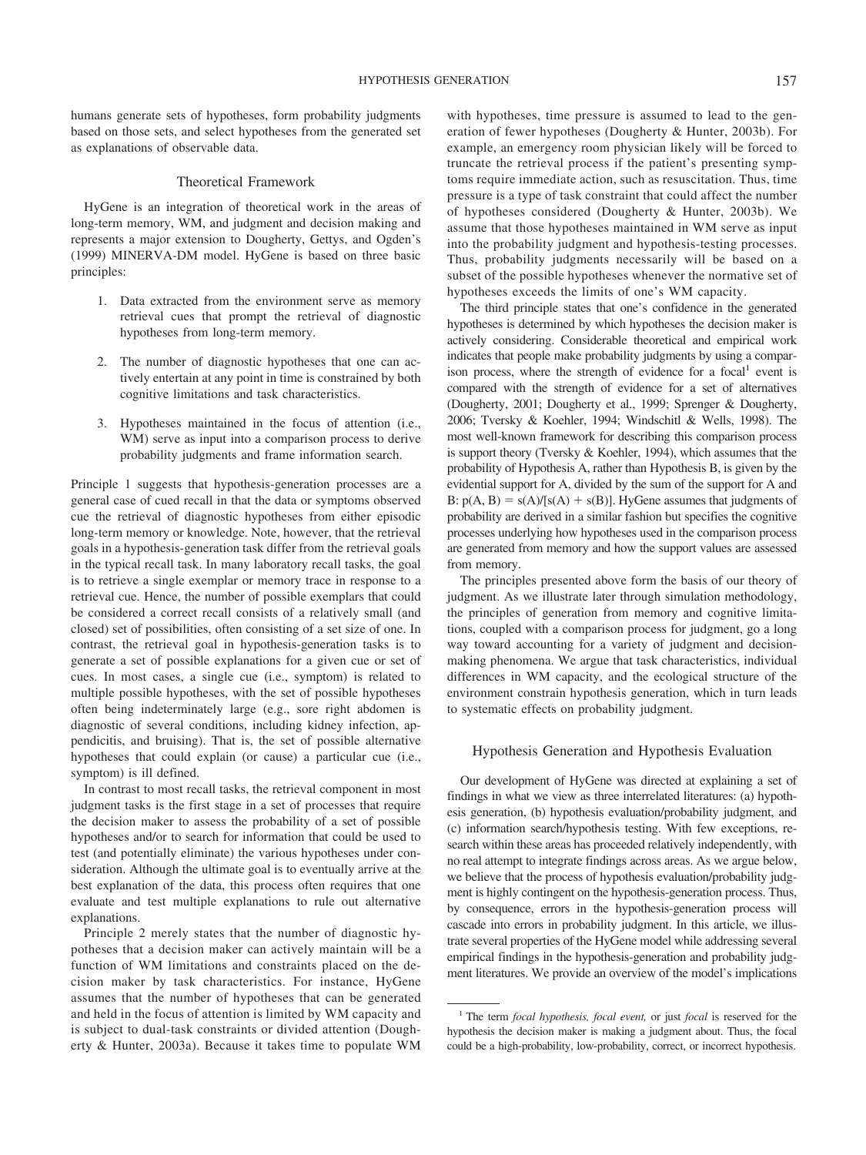humans generate sets of hypotheses, form probability judgments based on those sets, and select hypotheses from the generated set as explanations of observable data.

## Theoretical Framework

HyGene is an integration of theoretical work in the areas of long-term memory, WM, and judgment and decision making and represents a major extension to Dougherty, Gettys, and Ogden's (1999) MINERVA-DM model. HyGene is based on three basic principles:

- 1. Data extracted from the environment serve as memory retrieval cues that prompt the retrieval of diagnostic hypotheses from long-term memory.
- 2. The number of diagnostic hypotheses that one can actively entertain at any point in time is constrained by both cognitive limitations and task characteristics.
- 3. Hypotheses maintained in the focus of attention (i.e., WM) serve as input into a comparison process to derive probability judgments and frame information search.

Principle 1 suggests that hypothesis-generation processes are a general case of cued recall in that the data or symptoms observed cue the retrieval of diagnostic hypotheses from either episodic long-term memory or knowledge. Note, however, that the retrieval goals in a hypothesis-generation task differ from the retrieval goals in the typical recall task. In many laboratory recall tasks, the goal is to retrieve a single exemplar or memory trace in response to a retrieval cue. Hence, the number of possible exemplars that could be considered a correct recall consists of a relatively small (and closed) set of possibilities, often consisting of a set size of one. In contrast, the retrieval goal in hypothesis-generation tasks is to generate a set of possible explanations for a given cue or set of cues. In most cases, a single cue (i.e., symptom) is related to multiple possible hypotheses, with the set of possible hypotheses often being indeterminately large (e.g., sore right abdomen is diagnostic of several conditions, including kidney infection, appendicitis, and bruising). That is, the set of possible alternative hypotheses that could explain (or cause) a particular cue (i.e., symptom) is ill defined.

In contrast to most recall tasks, the retrieval component in most judgment tasks is the first stage in a set of processes that require the decision maker to assess the probability of a set of possible hypotheses and/or to search for information that could be used to test (and potentially eliminate) the various hypotheses under consideration. Although the ultimate goal is to eventually arrive at the best explanation of the data, this process often requires that one evaluate and test multiple explanations to rule out alternative explanations.

Principle 2 merely states that the number of diagnostic hypotheses that a decision maker can actively maintain will be a function of WM limitations and constraints placed on the decision maker by task characteristics. For instance, HyGene assumes that the number of hypotheses that can be generated and held in the focus of attention is limited by WM capacity and is subject to dual-task constraints or divided attention (Dougherty & Hunter, 2003a). Because it takes time to populate WM with hypotheses, time pressure is assumed to lead to the generation of fewer hypotheses (Dougherty & Hunter, 2003b). For example, an emergency room physician likely will be forced to truncate the retrieval process if the patient's presenting symptoms require immediate action, such as resuscitation. Thus, time pressure is a type of task constraint that could affect the number of hypotheses considered (Dougherty & Hunter, 2003b). We assume that those hypotheses maintained in WM serve as input into the probability judgment and hypothesis-testing processes. Thus, probability judgments necessarily will be based on a subset of the possible hypotheses whenever the normative set of hypotheses exceeds the limits of one's WM capacity.

The third principle states that one's confidence in the generated hypotheses is determined by which hypotheses the decision maker is actively considering. Considerable theoretical and empirical work indicates that people make probability judgments by using a comparison process, where the strength of evidence for a focal event is compared with the strength of evidence for a set of alternatives (Dougherty, 2001; Dougherty et al., 1999; Sprenger & Dougherty, 2006; Tversky & Koehler, 1994; Windschitl & Wells, 1998). The most well-known framework for describing this comparison process is support theory (Tversky & Koehler, 1994), which assumes that the probability of Hypothesis A, rather than Hypothesis B, is given by the evidential support for A, divided by the sum of the support for A and B:  $p(A, B) = s(A)/[s(A) + s(B)]$ . HyGene assumes that judgments of probability are derived in a similar fashion but specifies the cognitive processes underlying how hypotheses used in the comparison process are generated from memory and how the support values are assessed from memory.

The principles presented above form the basis of our theory of judgment. As we illustrate later through simulation methodology, the principles of generation from memory and cognitive limitations, coupled with a comparison process for judgment, go a long way toward accounting for a variety of judgment and decisionmaking phenomena. We argue that task characteristics, individual differences in WM capacity, and the ecological structure of the environment constrain hypothesis generation, which in turn leads to systematic effects on probability judgment.

# Hypothesis Generation and Hypothesis Evaluation

Our development of HyGene was directed at explaining a set of findings in what we view as three interrelated literatures: (a) hypothesis generation, (b) hypothesis evaluation/probability judgment, and (c) information search/hypothesis testing. With few exceptions, research within these areas has proceeded relatively independently, with no real attempt to integrate findings across areas. As we argue below, we believe that the process of hypothesis evaluation/probability judgment is highly contingent on the hypothesis-generation process. Thus, by consequence, errors in the hypothesis-generation process will cascade into errors in probability judgment. In this article, we illustrate several properties of the HyGene model while addressing several empirical findings in the hypothesis-generation and probability judgment literatures. We provide an overview of the model's implications

<sup>1</sup> The term *focal hypothesis, focal event,* or just *focal* is reserved for the hypothesis the decision maker is making a judgment about. Thus, the focal could be a high-probability, low-probability, correct, or incorrect hypothesis.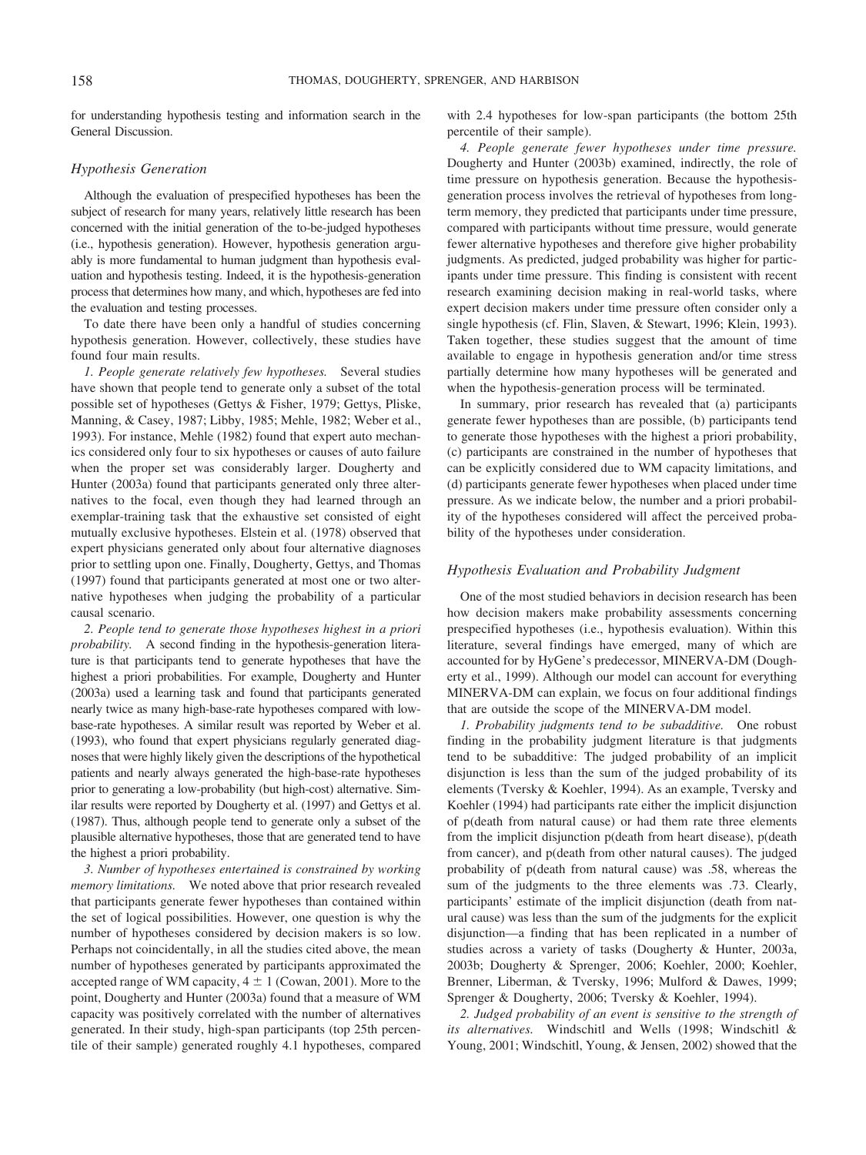for understanding hypothesis testing and information search in the General Discussion.

# *Hypothesis Generation*

Although the evaluation of prespecified hypotheses has been the subject of research for many years, relatively little research has been concerned with the initial generation of the to-be-judged hypotheses (i.e., hypothesis generation). However, hypothesis generation arguably is more fundamental to human judgment than hypothesis evaluation and hypothesis testing. Indeed, it is the hypothesis-generation process that determines how many, and which, hypotheses are fed into the evaluation and testing processes.

To date there have been only a handful of studies concerning hypothesis generation. However, collectively, these studies have found four main results.

*1. People generate relatively few hypotheses.* Several studies have shown that people tend to generate only a subset of the total possible set of hypotheses (Gettys & Fisher, 1979; Gettys, Pliske, Manning, & Casey, 1987; Libby, 1985; Mehle, 1982; Weber et al., 1993). For instance, Mehle (1982) found that expert auto mechanics considered only four to six hypotheses or causes of auto failure when the proper set was considerably larger. Dougherty and Hunter (2003a) found that participants generated only three alternatives to the focal, even though they had learned through an exemplar-training task that the exhaustive set consisted of eight mutually exclusive hypotheses. Elstein et al. (1978) observed that expert physicians generated only about four alternative diagnoses prior to settling upon one. Finally, Dougherty, Gettys, and Thomas (1997) found that participants generated at most one or two alternative hypotheses when judging the probability of a particular causal scenario.

*2. People tend to generate those hypotheses highest in a priori probability.* A second finding in the hypothesis-generation literature is that participants tend to generate hypotheses that have the highest a priori probabilities. For example, Dougherty and Hunter (2003a) used a learning task and found that participants generated nearly twice as many high-base-rate hypotheses compared with lowbase-rate hypotheses. A similar result was reported by Weber et al. (1993), who found that expert physicians regularly generated diagnoses that were highly likely given the descriptions of the hypothetical patients and nearly always generated the high-base-rate hypotheses prior to generating a low-probability (but high-cost) alternative. Similar results were reported by Dougherty et al. (1997) and Gettys et al. (1987). Thus, although people tend to generate only a subset of the plausible alternative hypotheses, those that are generated tend to have the highest a priori probability.

*3. Number of hypotheses entertained is constrained by working memory limitations.* We noted above that prior research revealed that participants generate fewer hypotheses than contained within the set of logical possibilities. However, one question is why the number of hypotheses considered by decision makers is so low. Perhaps not coincidentally, in all the studies cited above, the mean number of hypotheses generated by participants approximated the accepted range of WM capacity,  $4 \pm 1$  (Cowan, 2001). More to the point, Dougherty and Hunter (2003a) found that a measure of WM capacity was positively correlated with the number of alternatives generated. In their study, high-span participants (top 25th percentile of their sample) generated roughly 4.1 hypotheses, compared with 2.4 hypotheses for low-span participants (the bottom 25th percentile of their sample).

*4. People generate fewer hypotheses under time pressure.* Dougherty and Hunter (2003b) examined, indirectly, the role of time pressure on hypothesis generation. Because the hypothesisgeneration process involves the retrieval of hypotheses from longterm memory, they predicted that participants under time pressure, compared with participants without time pressure, would generate fewer alternative hypotheses and therefore give higher probability judgments. As predicted, judged probability was higher for participants under time pressure. This finding is consistent with recent research examining decision making in real-world tasks, where expert decision makers under time pressure often consider only a single hypothesis (cf. Flin, Slaven, & Stewart, 1996; Klein, 1993). Taken together, these studies suggest that the amount of time available to engage in hypothesis generation and/or time stress partially determine how many hypotheses will be generated and when the hypothesis-generation process will be terminated.

In summary, prior research has revealed that (a) participants generate fewer hypotheses than are possible, (b) participants tend to generate those hypotheses with the highest a priori probability, (c) participants are constrained in the number of hypotheses that can be explicitly considered due to WM capacity limitations, and (d) participants generate fewer hypotheses when placed under time pressure. As we indicate below, the number and a priori probability of the hypotheses considered will affect the perceived probability of the hypotheses under consideration.

## *Hypothesis Evaluation and Probability Judgment*

One of the most studied behaviors in decision research has been how decision makers make probability assessments concerning prespecified hypotheses (i.e., hypothesis evaluation). Within this literature, several findings have emerged, many of which are accounted for by HyGene's predecessor, MINERVA-DM (Dougherty et al., 1999). Although our model can account for everything MINERVA-DM can explain, we focus on four additional findings that are outside the scope of the MINERVA-DM model.

*1. Probability judgments tend to be subadditive.* One robust finding in the probability judgment literature is that judgments tend to be subadditive: The judged probability of an implicit disjunction is less than the sum of the judged probability of its elements (Tversky & Koehler, 1994). As an example, Tversky and Koehler (1994) had participants rate either the implicit disjunction of p(death from natural cause) or had them rate three elements from the implicit disjunction p(death from heart disease), p(death from cancer), and p(death from other natural causes). The judged probability of p(death from natural cause) was .58, whereas the sum of the judgments to the three elements was .73. Clearly, participants' estimate of the implicit disjunction (death from natural cause) was less than the sum of the judgments for the explicit disjunction—a finding that has been replicated in a number of studies across a variety of tasks (Dougherty & Hunter, 2003a, 2003b; Dougherty & Sprenger, 2006; Koehler, 2000; Koehler, Brenner, Liberman, & Tversky, 1996; Mulford & Dawes, 1999; Sprenger & Dougherty, 2006; Tversky & Koehler, 1994).

*2. Judged probability of an event is sensitive to the strength of its alternatives.* Windschitl and Wells (1998; Windschitl & Young, 2001; Windschitl, Young, & Jensen, 2002) showed that the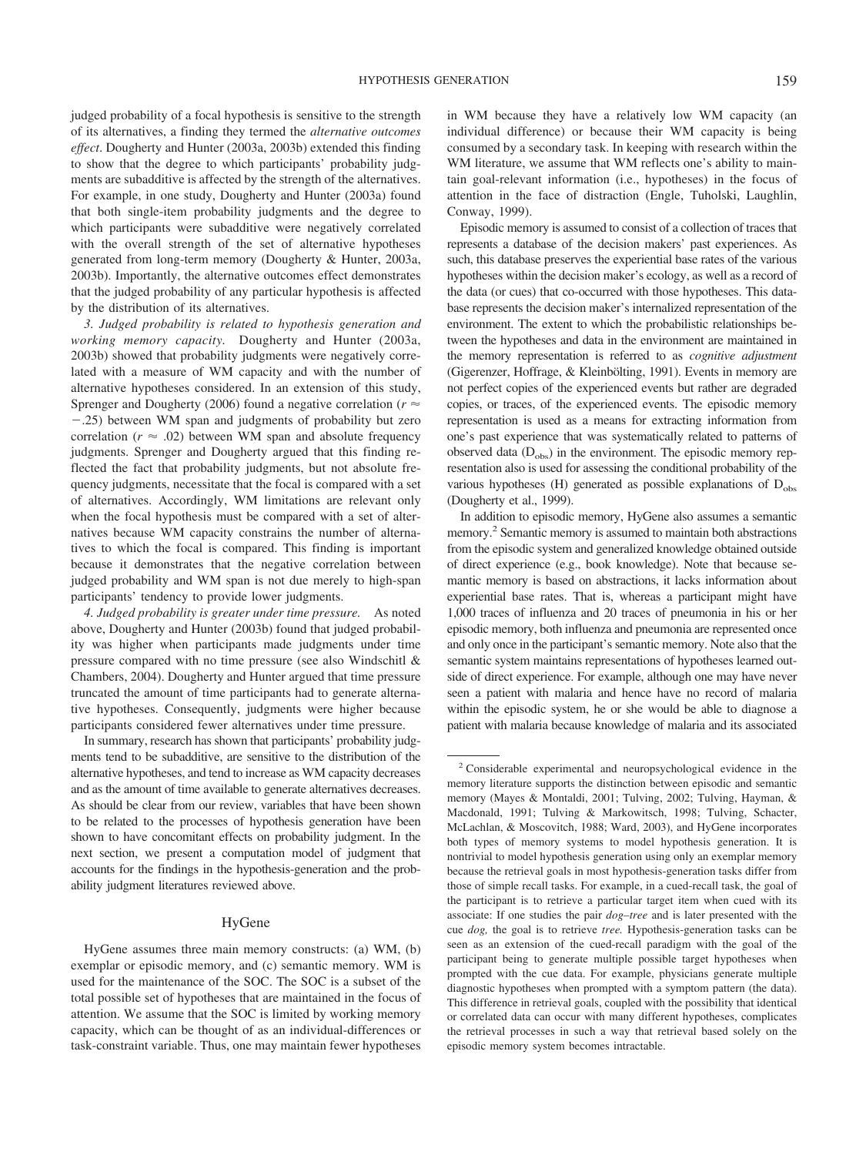judged probability of a focal hypothesis is sensitive to the strength of its alternatives, a finding they termed the *alternative outcomes effect*. Dougherty and Hunter (2003a, 2003b) extended this finding to show that the degree to which participants' probability judgments are subadditive is affected by the strength of the alternatives. For example, in one study, Dougherty and Hunter (2003a) found that both single-item probability judgments and the degree to which participants were subadditive were negatively correlated with the overall strength of the set of alternative hypotheses generated from long-term memory (Dougherty & Hunter, 2003a, 2003b). Importantly, the alternative outcomes effect demonstrates that the judged probability of any particular hypothesis is affected by the distribution of its alternatives.

*3. Judged probability is related to hypothesis generation and working memory capacity.* Dougherty and Hunter (2003a, 2003b) showed that probability judgments were negatively correlated with a measure of WM capacity and with the number of alternative hypotheses considered. In an extension of this study, Sprenger and Dougherty (2006) found a negative correlation ( $r \approx$ .25) between WM span and judgments of probability but zero correlation ( $r \approx .02$ ) between WM span and absolute frequency judgments. Sprenger and Dougherty argued that this finding reflected the fact that probability judgments, but not absolute frequency judgments, necessitate that the focal is compared with a set of alternatives. Accordingly, WM limitations are relevant only when the focal hypothesis must be compared with a set of alternatives because WM capacity constrains the number of alternatives to which the focal is compared. This finding is important because it demonstrates that the negative correlation between judged probability and WM span is not due merely to high-span participants' tendency to provide lower judgments.

*4. Judged probability is greater under time pressure.* As noted above, Dougherty and Hunter (2003b) found that judged probability was higher when participants made judgments under time pressure compared with no time pressure (see also Windschitl & Chambers, 2004). Dougherty and Hunter argued that time pressure truncated the amount of time participants had to generate alternative hypotheses. Consequently, judgments were higher because participants considered fewer alternatives under time pressure.

In summary, research has shown that participants' probability judgments tend to be subadditive, are sensitive to the distribution of the alternative hypotheses, and tend to increase as WM capacity decreases and as the amount of time available to generate alternatives decreases. As should be clear from our review, variables that have been shown to be related to the processes of hypothesis generation have been shown to have concomitant effects on probability judgment. In the next section, we present a computation model of judgment that accounts for the findings in the hypothesis-generation and the probability judgment literatures reviewed above.

## HyGene

in WM because they have a relatively low WM capacity (an individual difference) or because their WM capacity is being consumed by a secondary task. In keeping with research within the WM literature, we assume that WM reflects one's ability to maintain goal-relevant information (i.e., hypotheses) in the focus of attention in the face of distraction (Engle, Tuholski, Laughlin, Conway, 1999).

Episodic memory is assumed to consist of a collection of traces that represents a database of the decision makers' past experiences. As such, this database preserves the experiential base rates of the various hypotheses within the decision maker's ecology, as well as a record of the data (or cues) that co-occurred with those hypotheses. This database represents the decision maker's internalized representation of the environment. The extent to which the probabilistic relationships between the hypotheses and data in the environment are maintained in the memory representation is referred to as *cognitive adjustment* (Gigerenzer, Hoffrage, & Kleinbölting, 1991). Events in memory are not perfect copies of the experienced events but rather are degraded copies, or traces, of the experienced events. The episodic memory representation is used as a means for extracting information from one's past experience that was systematically related to patterns of observed data  $(D<sub>obs</sub>)$  in the environment. The episodic memory representation also is used for assessing the conditional probability of the various hypotheses (H) generated as possible explanations of  $D_{obs}$ (Dougherty et al., 1999).

In addition to episodic memory, HyGene also assumes a semantic memory.2 Semantic memory is assumed to maintain both abstractions from the episodic system and generalized knowledge obtained outside of direct experience (e.g., book knowledge). Note that because semantic memory is based on abstractions, it lacks information about experiential base rates. That is, whereas a participant might have 1,000 traces of influenza and 20 traces of pneumonia in his or her episodic memory, both influenza and pneumonia are represented once and only once in the participant's semantic memory. Note also that the semantic system maintains representations of hypotheses learned outside of direct experience. For example, although one may have never seen a patient with malaria and hence have no record of malaria within the episodic system, he or she would be able to diagnose a patient with malaria because knowledge of malaria and its associated

HyGene assumes three main memory constructs: (a) WM, (b) exemplar or episodic memory, and (c) semantic memory. WM is used for the maintenance of the SOC. The SOC is a subset of the total possible set of hypotheses that are maintained in the focus of attention. We assume that the SOC is limited by working memory capacity, which can be thought of as an individual-differences or task-constraint variable. Thus, one may maintain fewer hypotheses

<sup>2</sup> Considerable experimental and neuropsychological evidence in the memory literature supports the distinction between episodic and semantic memory (Mayes & Montaldi, 2001; Tulving, 2002; Tulving, Hayman, & Macdonald, 1991; Tulving & Markowitsch, 1998; Tulving, Schacter, McLachlan, & Moscovitch, 1988; Ward, 2003), and HyGene incorporates both types of memory systems to model hypothesis generation. It is nontrivial to model hypothesis generation using only an exemplar memory because the retrieval goals in most hypothesis-generation tasks differ from those of simple recall tasks. For example, in a cued-recall task, the goal of the participant is to retrieve a particular target item when cued with its associate: If one studies the pair *dog–tree* and is later presented with the cue *dog,* the goal is to retrieve *tree.* Hypothesis-generation tasks can be seen as an extension of the cued-recall paradigm with the goal of the participant being to generate multiple possible target hypotheses when prompted with the cue data. For example, physicians generate multiple diagnostic hypotheses when prompted with a symptom pattern (the data). This difference in retrieval goals, coupled with the possibility that identical or correlated data can occur with many different hypotheses, complicates the retrieval processes in such a way that retrieval based solely on the episodic memory system becomes intractable.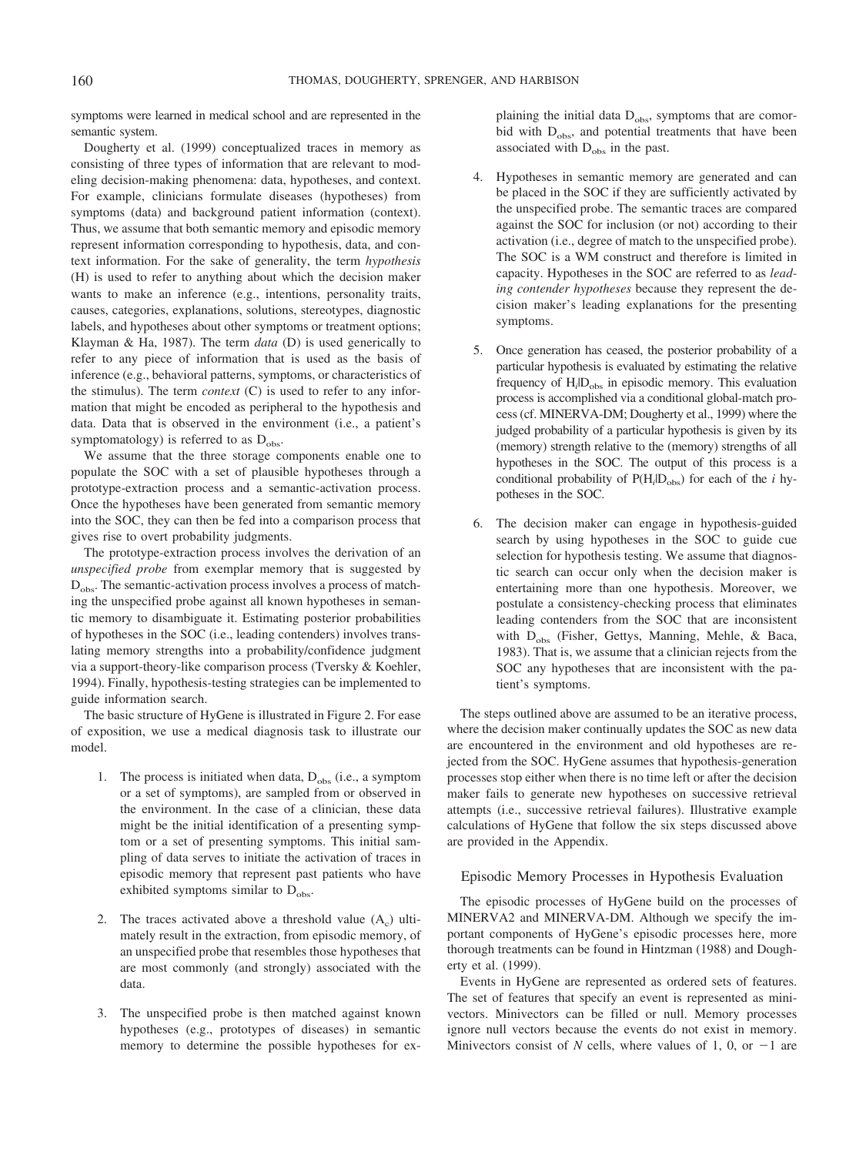symptoms were learned in medical school and are represented in the semantic system.

Dougherty et al. (1999) conceptualized traces in memory as consisting of three types of information that are relevant to modeling decision-making phenomena: data, hypotheses, and context. For example, clinicians formulate diseases (hypotheses) from symptoms (data) and background patient information (context). Thus, we assume that both semantic memory and episodic memory represent information corresponding to hypothesis, data, and context information. For the sake of generality, the term *hypothesis* (H) is used to refer to anything about which the decision maker wants to make an inference (e.g., intentions, personality traits, causes, categories, explanations, solutions, stereotypes, diagnostic labels, and hypotheses about other symptoms or treatment options; Klayman & Ha, 1987). The term *data* (D) is used generically to refer to any piece of information that is used as the basis of inference (e.g., behavioral patterns, symptoms, or characteristics of the stimulus). The term *context* (C) is used to refer to any information that might be encoded as peripheral to the hypothesis and data. Data that is observed in the environment (i.e., a patient's symptomatology) is referred to as  $D_{obs}$ .

We assume that the three storage components enable one to populate the SOC with a set of plausible hypotheses through a prototype-extraction process and a semantic-activation process. Once the hypotheses have been generated from semantic memory into the SOC, they can then be fed into a comparison process that gives rise to overt probability judgments.

The prototype-extraction process involves the derivation of an *unspecified probe* from exemplar memory that is suggested by D<sub>obs</sub>. The semantic-activation process involves a process of matching the unspecified probe against all known hypotheses in semantic memory to disambiguate it. Estimating posterior probabilities of hypotheses in the SOC (i.e., leading contenders) involves translating memory strengths into a probability/confidence judgment via a support-theory-like comparison process (Tversky & Koehler, 1994). Finally, hypothesis-testing strategies can be implemented to guide information search.

The basic structure of HyGene is illustrated in Figure 2. For ease of exposition, we use a medical diagnosis task to illustrate our model.

- 1. The process is initiated when data,  $D_{obs}$  (i.e., a symptom or a set of symptoms), are sampled from or observed in the environment. In the case of a clinician, these data might be the initial identification of a presenting symptom or a set of presenting symptoms. This initial sampling of data serves to initiate the activation of traces in episodic memory that represent past patients who have exhibited symptoms similar to  $D_{obs}$ .
- 2. The traces activated above a threshold value  $(A<sub>c</sub>)$  ultimately result in the extraction, from episodic memory, of an unspecified probe that resembles those hypotheses that are most commonly (and strongly) associated with the data.
- 3. The unspecified probe is then matched against known hypotheses (e.g., prototypes of diseases) in semantic memory to determine the possible hypotheses for ex-

plaining the initial data  $D_{obs}$ , symptoms that are comorbid with  $D<sub>obs</sub>$ , and potential treatments that have been associated with  $D_{obs}$  in the past.

- 4. Hypotheses in semantic memory are generated and can be placed in the SOC if they are sufficiently activated by the unspecified probe. The semantic traces are compared against the SOC for inclusion (or not) according to their activation (i.e., degree of match to the unspecified probe). The SOC is a WM construct and therefore is limited in capacity. Hypotheses in the SOC are referred to as *leading contender hypotheses* because they represent the decision maker's leading explanations for the presenting symptoms.
- 5. Once generation has ceased, the posterior probability of a particular hypothesis is evaluated by estimating the relative frequency of H<sub>i</sub>ID<sub>obs</sub> in episodic memory. This evaluation process is accomplished via a conditional global-match process (cf. MINERVA-DM; Dougherty et al., 1999) where the judged probability of a particular hypothesis is given by its (memory) strength relative to the (memory) strengths of all hypotheses in the SOC. The output of this process is a conditional probability of P(H<sub>i</sub>ID<sub>obs</sub>) for each of the *i* hypotheses in the SOC.
- 6. The decision maker can engage in hypothesis-guided search by using hypotheses in the SOC to guide cue selection for hypothesis testing. We assume that diagnostic search can occur only when the decision maker is entertaining more than one hypothesis. Moreover, we postulate a consistency-checking process that eliminates leading contenders from the SOC that are inconsistent with  $D_{obs}$  (Fisher, Gettys, Manning, Mehle, & Baca, 1983). That is, we assume that a clinician rejects from the SOC any hypotheses that are inconsistent with the patient's symptoms.

The steps outlined above are assumed to be an iterative process, where the decision maker continually updates the SOC as new data are encountered in the environment and old hypotheses are rejected from the SOC. HyGene assumes that hypothesis-generation processes stop either when there is no time left or after the decision maker fails to generate new hypotheses on successive retrieval attempts (i.e., successive retrieval failures). Illustrative example calculations of HyGene that follow the six steps discussed above are provided in the Appendix.

### Episodic Memory Processes in Hypothesis Evaluation

The episodic processes of HyGene build on the processes of MINERVA2 and MINERVA-DM. Although we specify the important components of HyGene's episodic processes here, more thorough treatments can be found in Hintzman (1988) and Dougherty et al. (1999).

Events in HyGene are represented as ordered sets of features. The set of features that specify an event is represented as minivectors. Minivectors can be filled or null. Memory processes ignore null vectors because the events do not exist in memory. Minivectors consist of  $N$  cells, where values of 1, 0, or  $-1$  are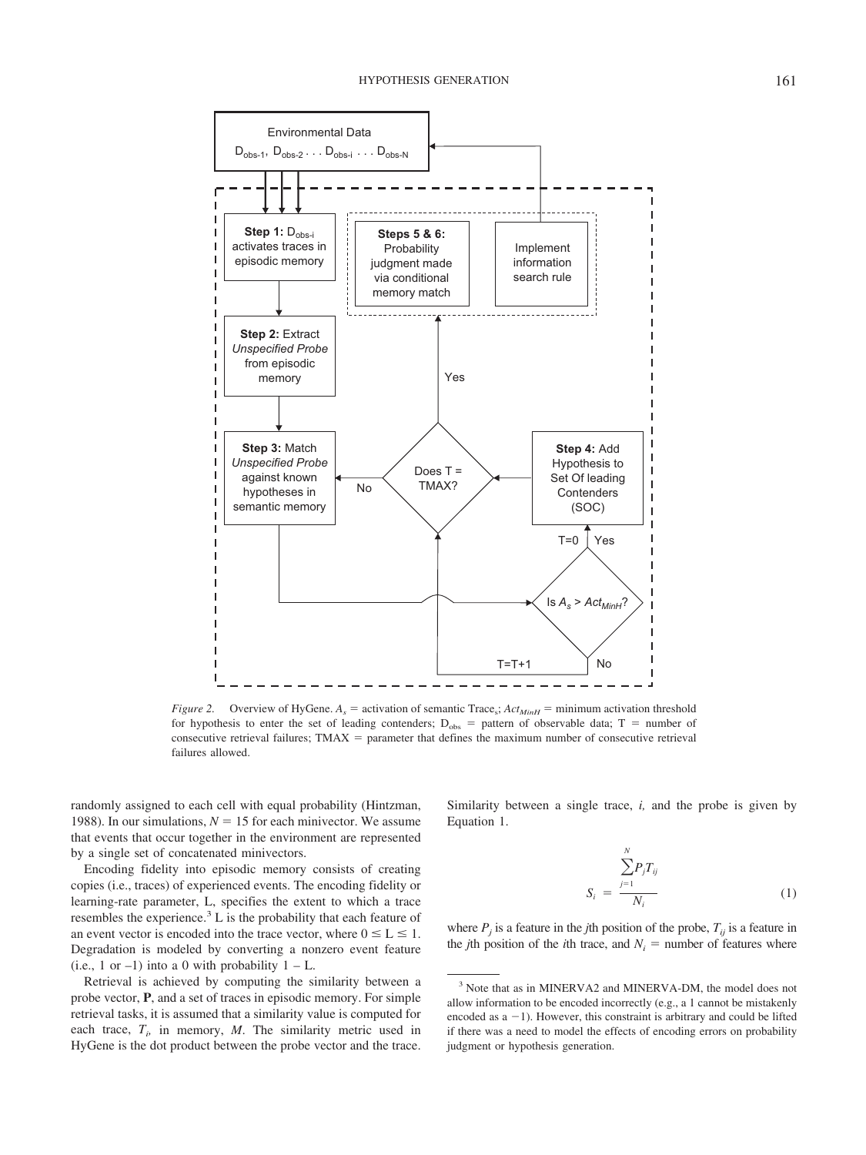

*Figure 2.* Overview of HyGene.  $A_s$  = activation of semantic Trace<sub>s</sub>;  $Act_{MinH}$  = minimum activation threshold for hypothesis to enter the set of leading contenders;  $D_{obs}$  = pattern of observable data; T = number of consecutive retrieval failures;  $TMAX =$  parameter that defines the maximum number of consecutive retrieval failures allowed.

randomly assigned to each cell with equal probability (Hintzman, 1988). In our simulations,  $N = 15$  for each minivector. We assume that events that occur together in the environment are represented by a single set of concatenated minivectors.

Encoding fidelity into episodic memory consists of creating copies (i.e., traces) of experienced events. The encoding fidelity or learning-rate parameter, L, specifies the extent to which a trace resembles the experience.3 L is the probability that each feature of an event vector is encoded into the trace vector, where  $0 \le L \le 1$ . Degradation is modeled by converting a nonzero event feature (i.e., 1 or  $-1$ ) into a 0 with probability  $1 - L$ .

Retrieval is achieved by computing the similarity between a probe vector, **P**, and a set of traces in episodic memory. For simple retrieval tasks, it is assumed that a similarity value is computed for each trace,  $T<sub>i</sub>$  in memory, *M*. The similarity metric used in HyGene is the dot product between the probe vector and the trace. Similarity between a single trace, *i,* and the probe is given by Equation 1.

$$
S_i = \frac{\sum_{j=1}^{N} P_j T_{ij}}{N_i} \tag{1}
$$

where  $P_i$  is a feature in the *j*th position of the probe,  $T_{ii}$  is a feature in the *j*th position of the *i*th trace, and  $N_i$  = number of features where

<sup>&</sup>lt;sup>3</sup> Note that as in MINERVA2 and MINERVA-DM, the model does not allow information to be encoded incorrectly (e.g., a 1 cannot be mistakenly encoded as  $a - 1$ ). However, this constraint is arbitrary and could be lifted if there was a need to model the effects of encoding errors on probability judgment or hypothesis generation.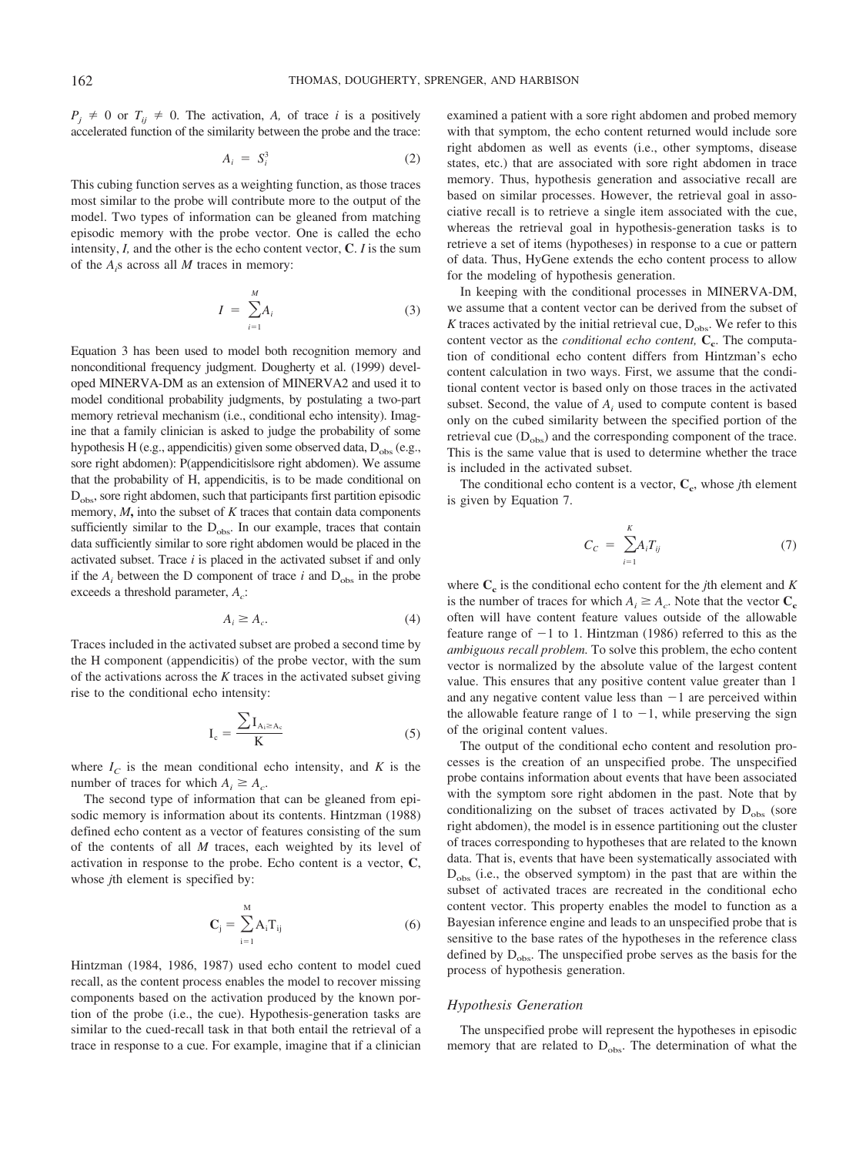$P_i \neq 0$  or  $T_{ii} \neq 0$ . The activation, *A*, of trace *i* is a positively accelerated function of the similarity between the probe and the trace:

$$
A_i = S_i^3 \tag{2}
$$

This cubing function serves as a weighting function, as those traces most similar to the probe will contribute more to the output of the model. Two types of information can be gleaned from matching episodic memory with the probe vector. One is called the echo intensity, *I,* and the other is the echo content vector, **C**. *I* is the sum of the *Ai* s across all *M* traces in memory:

$$
I = \sum_{i=1}^{M} A_i
$$
 (3)

Equation 3 has been used to model both recognition memory and nonconditional frequency judgment. Dougherty et al. (1999) developed MINERVA-DM as an extension of MINERVA2 and used it to model conditional probability judgments, by postulating a two-part memory retrieval mechanism (i.e., conditional echo intensity). Imagine that a family clinician is asked to judge the probability of some hypothesis H (e.g., appendicitis) given some observed data,  $D_{obs}$  (e.g., sore right abdomen): P(appendicitis|sore right abdomen). We assume that the probability of H, appendicitis, is to be made conditional on D<sub>obs</sub>, sore right abdomen, such that participants first partition episodic memory, *M***,** into the subset of *K* traces that contain data components sufficiently similar to the  $D_{obs}$ . In our example, traces that contain data sufficiently similar to sore right abdomen would be placed in the activated subset. Trace *i* is placed in the activated subset if and only if the  $A_i$  between the D component of trace *i* and  $D_{obs}$  in the probe exceeds a threshold parameter, *A<sub>c</sub>*:

$$
A_i \ge A_c. \tag{4}
$$

Traces included in the activated subset are probed a second time by the H component (appendicitis) of the probe vector, with the sum of the activations across the *K* traces in the activated subset giving rise to the conditional echo intensity:

$$
I_c = \frac{\sum I_{A_i \ge A_c}}{K} \tag{5}
$$

where  $I_c$  is the mean conditional echo intensity, and  $K$  is the number of traces for which  $A_i \geq A_c$ .

The second type of information that can be gleaned from episodic memory is information about its contents. Hintzman (1988) defined echo content as a vector of features consisting of the sum of the contents of all *M* traces, each weighted by its level of activation in response to the probe. Echo content is a vector, **C**, whose *j*th element is specified by:

$$
\mathbf{C}_{j} = \sum_{i=1}^{M} A_{i} \mathbf{T}_{ij} \tag{6}
$$

Hintzman (1984, 1986, 1987) used echo content to model cued recall, as the content process enables the model to recover missing components based on the activation produced by the known portion of the probe (i.e., the cue). Hypothesis-generation tasks are similar to the cued-recall task in that both entail the retrieval of a trace in response to a cue. For example, imagine that if a clinician examined a patient with a sore right abdomen and probed memory with that symptom, the echo content returned would include sore right abdomen as well as events (i.e., other symptoms, disease states, etc.) that are associated with sore right abdomen in trace memory. Thus, hypothesis generation and associative recall are based on similar processes. However, the retrieval goal in associative recall is to retrieve a single item associated with the cue, whereas the retrieval goal in hypothesis-generation tasks is to retrieve a set of items (hypotheses) in response to a cue or pattern of data. Thus, HyGene extends the echo content process to allow for the modeling of hypothesis generation.

In keeping with the conditional processes in MINERVA-DM, we assume that a content vector can be derived from the subset of *K* traces activated by the initial retrieval cue,  $D_{obs}$ . We refer to this content vector as the *conditional echo content*,  $C_c$ . The computation of conditional echo content differs from Hintzman's echo content calculation in two ways. First, we assume that the conditional content vector is based only on those traces in the activated subset. Second, the value of *Ai* used to compute content is based only on the cubed similarity between the specified portion of the retrieval cue  $(D<sub>obs</sub>)$  and the corresponding component of the trace. This is the same value that is used to determine whether the trace is included in the activated subset.

The conditional echo content is a vector,  $C_c$ , whose *j*th element is given by Equation 7.

$$
C_C = \sum_{i=1}^{K} A_i T_{ij} \tag{7}
$$

where  $C_c$  is the conditional echo content for the *j*th element and *K* is the number of traces for which  $A_i \geq A_c$ . Note that the vector  $C_c$ often will have content feature values outside of the allowable feature range of  $-1$  to 1. Hintzman (1986) referred to this as the *ambiguous recall problem.* To solve this problem, the echo content vector is normalized by the absolute value of the largest content value. This ensures that any positive content value greater than 1 and any negative content value less than  $-1$  are perceived within the allowable feature range of 1 to  $-1$ , while preserving the sign of the original content values.

The output of the conditional echo content and resolution processes is the creation of an unspecified probe. The unspecified probe contains information about events that have been associated with the symptom sore right abdomen in the past. Note that by conditionalizing on the subset of traces activated by  $D_{obs}$  (sore right abdomen), the model is in essence partitioning out the cluster of traces corresponding to hypotheses that are related to the known data. That is, events that have been systematically associated with Dobs (i.e., the observed symptom) in the past that are within the subset of activated traces are recreated in the conditional echo content vector. This property enables the model to function as a Bayesian inference engine and leads to an unspecified probe that is sensitive to the base rates of the hypotheses in the reference class defined by  $D_{obs}$ . The unspecified probe serves as the basis for the process of hypothesis generation.

#### *Hypothesis Generation*

The unspecified probe will represent the hypotheses in episodic memory that are related to  $D<sub>obs</sub>$ . The determination of what the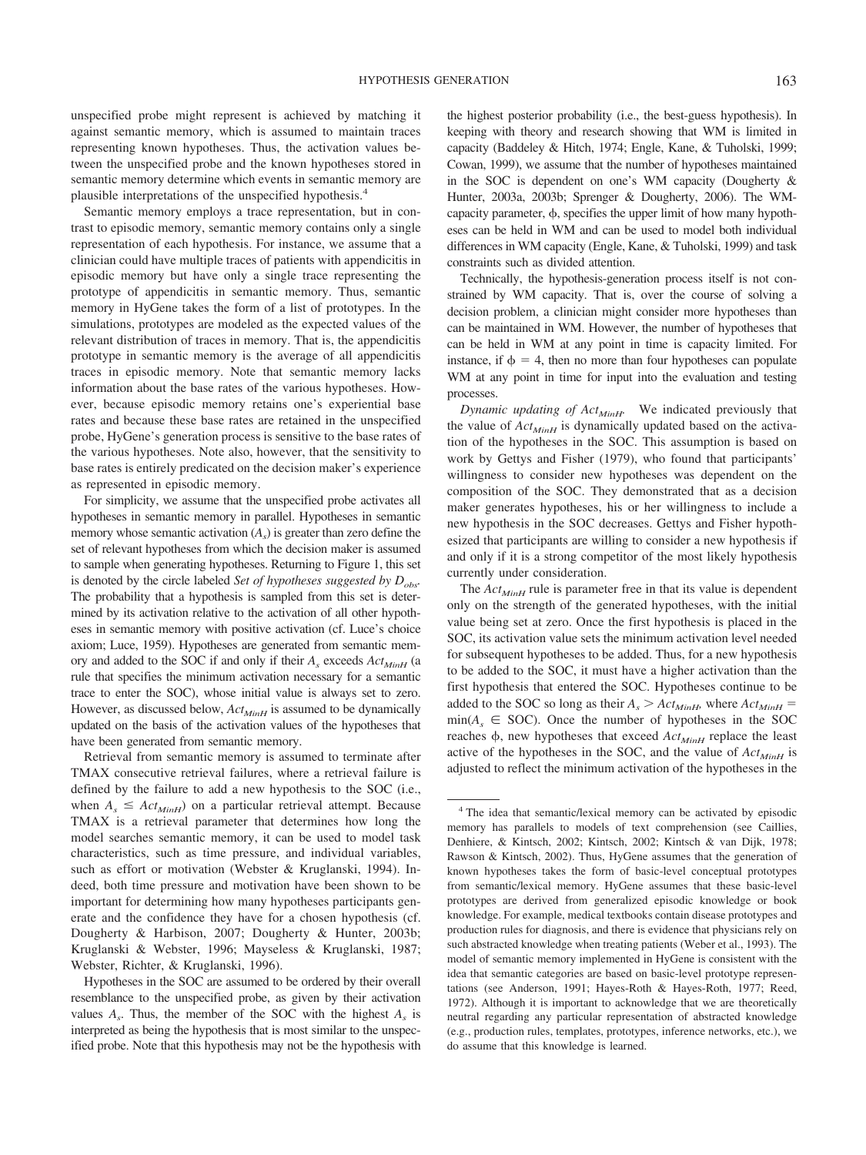unspecified probe might represent is achieved by matching it against semantic memory, which is assumed to maintain traces representing known hypotheses. Thus, the activation values between the unspecified probe and the known hypotheses stored in semantic memory determine which events in semantic memory are plausible interpretations of the unspecified hypothesis.4

Semantic memory employs a trace representation, but in contrast to episodic memory, semantic memory contains only a single representation of each hypothesis. For instance, we assume that a clinician could have multiple traces of patients with appendicitis in episodic memory but have only a single trace representing the prototype of appendicitis in semantic memory. Thus, semantic memory in HyGene takes the form of a list of prototypes. In the simulations, prototypes are modeled as the expected values of the relevant distribution of traces in memory. That is, the appendicitis prototype in semantic memory is the average of all appendicitis traces in episodic memory. Note that semantic memory lacks information about the base rates of the various hypotheses. However, because episodic memory retains one's experiential base rates and because these base rates are retained in the unspecified probe, HyGene's generation process is sensitive to the base rates of the various hypotheses. Note also, however, that the sensitivity to base rates is entirely predicated on the decision maker's experience as represented in episodic memory.

For simplicity, we assume that the unspecified probe activates all hypotheses in semantic memory in parallel. Hypotheses in semantic memory whose semantic activation  $(A_s)$  is greater than zero define the set of relevant hypotheses from which the decision maker is assumed to sample when generating hypotheses. Returning to Figure 1, this set is denoted by the circle labeled *Set of hypotheses suggested by Dobs.* The probability that a hypothesis is sampled from this set is determined by its activation relative to the activation of all other hypotheses in semantic memory with positive activation (cf. Luce's choice axiom; Luce, 1959). Hypotheses are generated from semantic memory and added to the SOC if and only if their  $A_s$  exceeds  $Act_{MinH}$  (a rule that specifies the minimum activation necessary for a semantic trace to enter the SOC), whose initial value is always set to zero. However, as discussed below,  $Act_{MinH}$  is assumed to be dynamically updated on the basis of the activation values of the hypotheses that have been generated from semantic memory.

Retrieval from semantic memory is assumed to terminate after TMAX consecutive retrieval failures, where a retrieval failure is defined by the failure to add a new hypothesis to the SOC (i.e., when  $A_s \leq Act_{MinH}$ ) on a particular retrieval attempt. Because TMAX is a retrieval parameter that determines how long the model searches semantic memory, it can be used to model task characteristics, such as time pressure, and individual variables, such as effort or motivation (Webster & Kruglanski, 1994). Indeed, both time pressure and motivation have been shown to be important for determining how many hypotheses participants generate and the confidence they have for a chosen hypothesis (cf. Dougherty & Harbison, 2007; Dougherty & Hunter, 2003b; Kruglanski & Webster, 1996; Mayseless & Kruglanski, 1987; Webster, Richter, & Kruglanski, 1996).

Hypotheses in the SOC are assumed to be ordered by their overall resemblance to the unspecified probe, as given by their activation values  $A_s$ . Thus, the member of the SOC with the highest  $A_s$  is interpreted as being the hypothesis that is most similar to the unspecified probe. Note that this hypothesis may not be the hypothesis with the highest posterior probability (i.e., the best-guess hypothesis). In keeping with theory and research showing that WM is limited in capacity (Baddeley & Hitch, 1974; Engle, Kane, & Tuholski, 1999; Cowan, 1999), we assume that the number of hypotheses maintained in the SOC is dependent on one's WM capacity (Dougherty & Hunter, 2003a, 2003b; Sprenger & Dougherty, 2006). The WMcapacity parameter,  $\phi$ , specifies the upper limit of how many hypotheses can be held in WM and can be used to model both individual differences in WM capacity (Engle, Kane, & Tuholski, 1999) and task constraints such as divided attention.

Technically, the hypothesis-generation process itself is not constrained by WM capacity. That is, over the course of solving a decision problem, a clinician might consider more hypotheses than can be maintained in WM. However, the number of hypotheses that can be held in WM at any point in time is capacity limited. For instance, if  $\phi = 4$ , then no more than four hypotheses can populate WM at any point in time for input into the evaluation and testing processes.

*Dynamic updating of Act<sub>MinH</sub>.* We indicated previously that the value of  $Act_{MinH}$  is dynamically updated based on the activation of the hypotheses in the SOC. This assumption is based on work by Gettys and Fisher (1979), who found that participants' willingness to consider new hypotheses was dependent on the composition of the SOC. They demonstrated that as a decision maker generates hypotheses, his or her willingness to include a new hypothesis in the SOC decreases. Gettys and Fisher hypothesized that participants are willing to consider a new hypothesis if and only if it is a strong competitor of the most likely hypothesis currently under consideration.

The  $Act_{MinH}$  rule is parameter free in that its value is dependent only on the strength of the generated hypotheses, with the initial value being set at zero. Once the first hypothesis is placed in the SOC, its activation value sets the minimum activation level needed for subsequent hypotheses to be added. Thus, for a new hypothesis to be added to the SOC, it must have a higher activation than the first hypothesis that entered the SOC. Hypotheses continue to be added to the SOC so long as their  $A_s > Act_{MinH}$ , where  $Act_{MinH}$  $\min(A_s \in SOC)$ . Once the number of hypotheses in the SOC reaches φ, new hypotheses that exceed  $Act_{MinH}$  replace the least active of the hypotheses in the SOC, and the value of  $Act_{MinH}$  is adjusted to reflect the minimum activation of the hypotheses in the

<sup>4</sup> The idea that semantic/lexical memory can be activated by episodic memory has parallels to models of text comprehension (see Caillies, Denhiere, & Kintsch, 2002; Kintsch, 2002; Kintsch & van Dijk, 1978; Rawson & Kintsch, 2002). Thus, HyGene assumes that the generation of known hypotheses takes the form of basic-level conceptual prototypes from semantic/lexical memory. HyGene assumes that these basic-level prototypes are derived from generalized episodic knowledge or book knowledge. For example, medical textbooks contain disease prototypes and production rules for diagnosis, and there is evidence that physicians rely on such abstracted knowledge when treating patients (Weber et al., 1993). The model of semantic memory implemented in HyGene is consistent with the idea that semantic categories are based on basic-level prototype representations (see Anderson, 1991; Hayes-Roth & Hayes-Roth, 1977; Reed, 1972). Although it is important to acknowledge that we are theoretically neutral regarding any particular representation of abstracted knowledge (e.g., production rules, templates, prototypes, inference networks, etc.), we do assume that this knowledge is learned.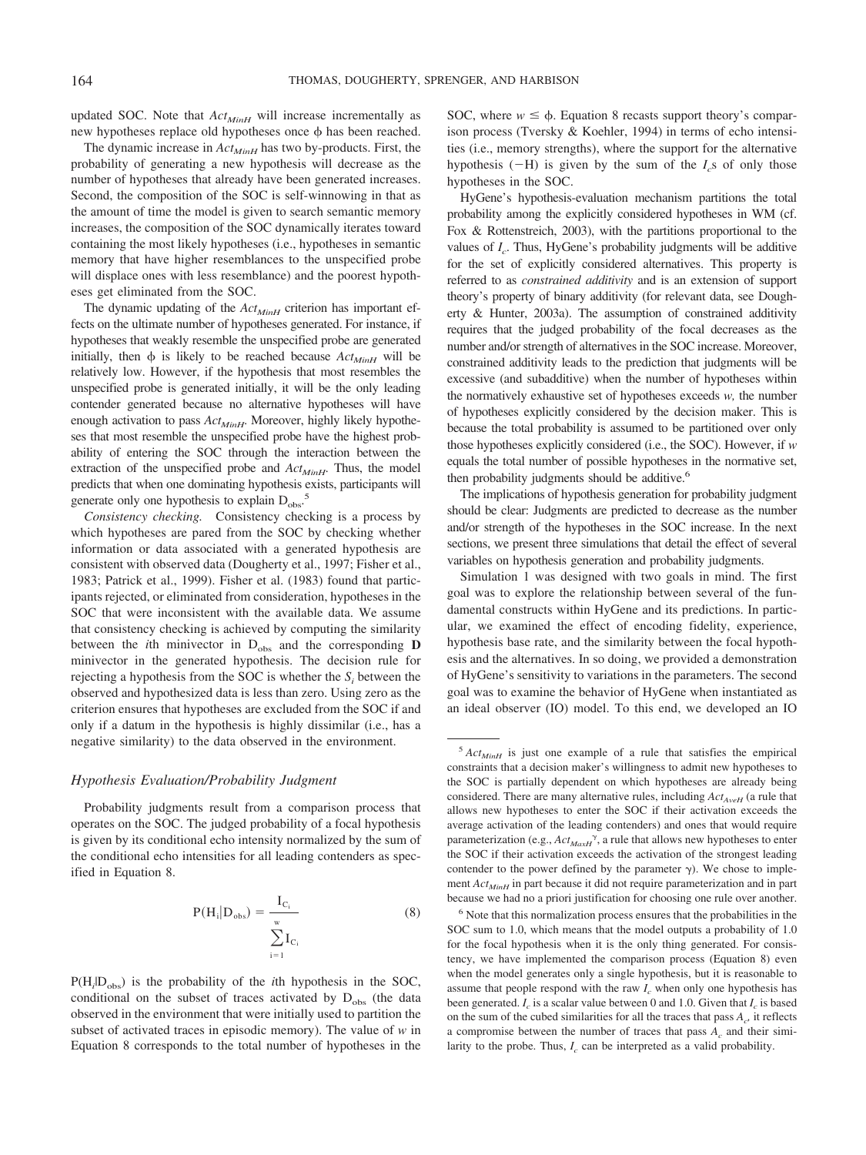updated SOC. Note that  $Act_{MinH}$  will increase incrementally as new hypotheses replace old hypotheses once  $\phi$  has been reached.

The dynamic increase in  $Act_{MinH}$  has two by-products. First, the probability of generating a new hypothesis will decrease as the number of hypotheses that already have been generated increases. Second, the composition of the SOC is self-winnowing in that as the amount of time the model is given to search semantic memory increases, the composition of the SOC dynamically iterates toward containing the most likely hypotheses (i.e., hypotheses in semantic memory that have higher resemblances to the unspecified probe will displace ones with less resemblance) and the poorest hypotheses get eliminated from the SOC.

The dynamic updating of the  $Act_{MinH}$  criterion has important effects on the ultimate number of hypotheses generated. For instance, if hypotheses that weakly resemble the unspecified probe are generated initially, then  $\phi$  is likely to be reached because  $Act_{MinH}$  will be relatively low. However, if the hypothesis that most resembles the unspecified probe is generated initially, it will be the only leading contender generated because no alternative hypotheses will have enough activation to pass  $Act_{MinH}$ . Moreover, highly likely hypotheses that most resemble the unspecified probe have the highest probability of entering the SOC through the interaction between the extraction of the unspecified probe and  $Act_{MinH}$ . Thus, the model predicts that when one dominating hypothesis exists, participants will generate only one hypothesis to explain  $D_{obs}$ .<sup>5</sup>

*Consistency checking.* Consistency checking is a process by which hypotheses are pared from the SOC by checking whether information or data associated with a generated hypothesis are consistent with observed data (Dougherty et al., 1997; Fisher et al., 1983; Patrick et al., 1999). Fisher et al. (1983) found that participants rejected, or eliminated from consideration, hypotheses in the SOC that were inconsistent with the available data. We assume that consistency checking is achieved by computing the similarity between the *i*th minivector in  $D_{obs}$  and the corresponding **D** minivector in the generated hypothesis. The decision rule for rejecting a hypothesis from the SOC is whether the *Si* between the observed and hypothesized data is less than zero. Using zero as the criterion ensures that hypotheses are excluded from the SOC if and only if a datum in the hypothesis is highly dissimilar (i.e., has a negative similarity) to the data observed in the environment.

#### *Hypothesis Evaluation/Probability Judgment*

Probability judgments result from a comparison process that operates on the SOC. The judged probability of a focal hypothesis is given by its conditional echo intensity normalized by the sum of the conditional echo intensities for all leading contenders as specified in Equation 8.

$$
P(H_i|D_{obs}) = \frac{I_{C_i}}{\sum_{i=1}^{w} I_{C_i}}
$$
 (8)

P(H*<sup>i</sup>* |Dobs) is the probability of the *i*th hypothesis in the SOC, conditional on the subset of traces activated by  $D_{obs}$  (the data observed in the environment that were initially used to partition the subset of activated traces in episodic memory). The value of *w* in Equation 8 corresponds to the total number of hypotheses in the SOC, where  $w \leq \phi$ . Equation 8 recasts support theory's comparison process (Tversky & Koehler, 1994) in terms of echo intensities (i.e., memory strengths), where the support for the alternative hypothesis  $(-H)$  is given by the sum of the  $I_c$ s of only those hypotheses in the SOC.

HyGene's hypothesis-evaluation mechanism partitions the total probability among the explicitly considered hypotheses in WM (cf. Fox & Rottenstreich, 2003), with the partitions proportional to the values of *Ic*. Thus, HyGene's probability judgments will be additive for the set of explicitly considered alternatives. This property is referred to as *constrained additivity* and is an extension of support theory's property of binary additivity (for relevant data, see Dougherty & Hunter, 2003a). The assumption of constrained additivity requires that the judged probability of the focal decreases as the number and/or strength of alternatives in the SOC increase. Moreover, constrained additivity leads to the prediction that judgments will be excessive (and subadditive) when the number of hypotheses within the normatively exhaustive set of hypotheses exceeds *w,* the number of hypotheses explicitly considered by the decision maker. This is because the total probability is assumed to be partitioned over only those hypotheses explicitly considered (i.e., the SOC). However, if *w* equals the total number of possible hypotheses in the normative set, then probability judgments should be additive.<sup>6</sup>

The implications of hypothesis generation for probability judgment should be clear: Judgments are predicted to decrease as the number and/or strength of the hypotheses in the SOC increase. In the next sections, we present three simulations that detail the effect of several variables on hypothesis generation and probability judgments.

Simulation 1 was designed with two goals in mind. The first goal was to explore the relationship between several of the fundamental constructs within HyGene and its predictions. In particular, we examined the effect of encoding fidelity, experience, hypothesis base rate, and the similarity between the focal hypothesis and the alternatives. In so doing, we provided a demonstration of HyGene's sensitivity to variations in the parameters. The second goal was to examine the behavior of HyGene when instantiated as an ideal observer (IO) model. To this end, we developed an IO

 $5$  *Act<sub>MinH</sub>* is just one example of a rule that satisfies the empirical constraints that a decision maker's willingness to admit new hypotheses to the SOC is partially dependent on which hypotheses are already being considered. There are many alternative rules, including  $Act_{AveH}$  (a rule that allows new hypotheses to enter the SOC if their activation exceeds the average activation of the leading contenders) and ones that would require parameterization (e.g.,  $Act_{MaxH}^{\gamma}$ , a rule that allows new hypotheses to enter the SOC if their activation exceeds the activation of the strongest leading contender to the power defined by the parameter  $\gamma$ ). We chose to implement *Act<sub>MinH</sub>* in part because it did not require parameterization and in part because we had no a priori justification for choosing one rule over another.

<sup>6</sup> Note that this normalization process ensures that the probabilities in the SOC sum to 1.0, which means that the model outputs a probability of 1.0 for the focal hypothesis when it is the only thing generated. For consistency, we have implemented the comparison process (Equation 8) even when the model generates only a single hypothesis, but it is reasonable to assume that people respond with the raw  $I_c$  when only one hypothesis has been generated.  $I_c$  is a scalar value between 0 and 1.0. Given that  $I_c$  is based on the sum of the cubed similarities for all the traces that pass  $A_c$ , it reflects a compromise between the number of traces that pass *Ac* and their similarity to the probe. Thus,  $I_c$  can be interpreted as a valid probability.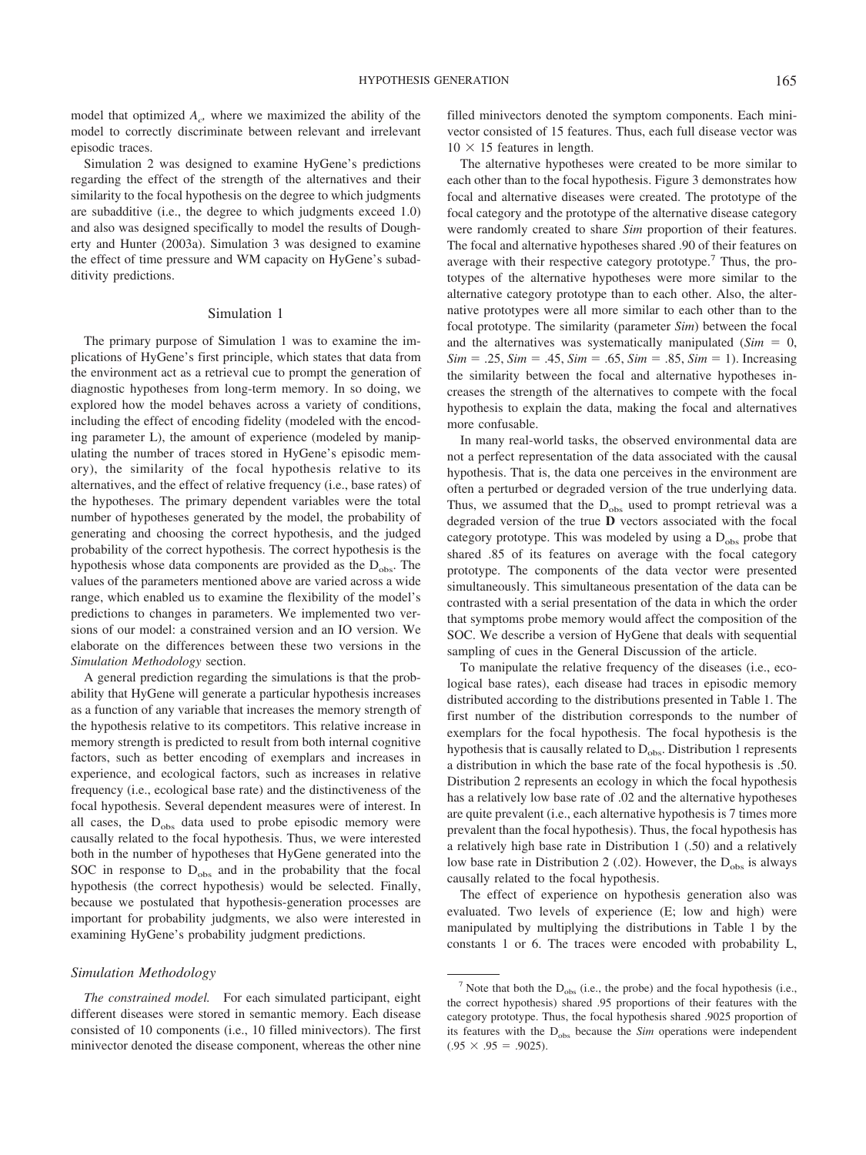model that optimized *A<sub>c</sub>*, where we maximized the ability of the model to correctly discriminate between relevant and irrelevant episodic traces.

Simulation 2 was designed to examine HyGene's predictions regarding the effect of the strength of the alternatives and their similarity to the focal hypothesis on the degree to which judgments are subadditive (i.e., the degree to which judgments exceed 1.0) and also was designed specifically to model the results of Dougherty and Hunter (2003a). Simulation 3 was designed to examine the effect of time pressure and WM capacity on HyGene's subadditivity predictions.

# Simulation 1

The primary purpose of Simulation 1 was to examine the implications of HyGene's first principle, which states that data from the environment act as a retrieval cue to prompt the generation of diagnostic hypotheses from long-term memory. In so doing, we explored how the model behaves across a variety of conditions, including the effect of encoding fidelity (modeled with the encoding parameter L), the amount of experience (modeled by manipulating the number of traces stored in HyGene's episodic memory), the similarity of the focal hypothesis relative to its alternatives, and the effect of relative frequency (i.e., base rates) of the hypotheses. The primary dependent variables were the total number of hypotheses generated by the model, the probability of generating and choosing the correct hypothesis, and the judged probability of the correct hypothesis. The correct hypothesis is the hypothesis whose data components are provided as the  $D<sub>obs</sub>$ . The values of the parameters mentioned above are varied across a wide range, which enabled us to examine the flexibility of the model's predictions to changes in parameters. We implemented two versions of our model: a constrained version and an IO version. We elaborate on the differences between these two versions in the *Simulation Methodology* section.

A general prediction regarding the simulations is that the probability that HyGene will generate a particular hypothesis increases as a function of any variable that increases the memory strength of the hypothesis relative to its competitors. This relative increase in memory strength is predicted to result from both internal cognitive factors, such as better encoding of exemplars and increases in experience, and ecological factors, such as increases in relative frequency (i.e., ecological base rate) and the distinctiveness of the focal hypothesis. Several dependent measures were of interest. In all cases, the  $D<sub>obs</sub>$  data used to probe episodic memory were causally related to the focal hypothesis. Thus, we were interested both in the number of hypotheses that HyGene generated into the SOC in response to  $D_{obs}$  and in the probability that the focal hypothesis (the correct hypothesis) would be selected. Finally, because we postulated that hypothesis-generation processes are important for probability judgments, we also were interested in examining HyGene's probability judgment predictions.

### *Simulation Methodology*

*The constrained model.* For each simulated participant, eight different diseases were stored in semantic memory. Each disease consisted of 10 components (i.e., 10 filled minivectors). The first minivector denoted the disease component, whereas the other nine filled minivectors denoted the symptom components. Each minivector consisted of 15 features. Thus, each full disease vector was  $10 \times 15$  features in length.

The alternative hypotheses were created to be more similar to each other than to the focal hypothesis. Figure 3 demonstrates how focal and alternative diseases were created. The prototype of the focal category and the prototype of the alternative disease category were randomly created to share *Sim* proportion of their features. The focal and alternative hypotheses shared .90 of their features on average with their respective category prototype.<sup>7</sup> Thus, the prototypes of the alternative hypotheses were more similar to the alternative category prototype than to each other. Also, the alternative prototypes were all more similar to each other than to the focal prototype. The similarity (parameter *Sim*) between the focal and the alternatives was systematically manipulated  $(Sim = 0,$  $Sim = .25$ ,  $Sim = .45$ ,  $Sim = .65$ ,  $Sim = .85$ ,  $Sim = 1$ ). Increasing the similarity between the focal and alternative hypotheses increases the strength of the alternatives to compete with the focal hypothesis to explain the data, making the focal and alternatives more confusable.

In many real-world tasks, the observed environmental data are not a perfect representation of the data associated with the causal hypothesis. That is, the data one perceives in the environment are often a perturbed or degraded version of the true underlying data. Thus, we assumed that the  $D_{obs}$  used to prompt retrieval was a degraded version of the true **D** vectors associated with the focal category prototype. This was modeled by using a  $D_{obs}$  probe that shared .85 of its features on average with the focal category prototype. The components of the data vector were presented simultaneously. This simultaneous presentation of the data can be contrasted with a serial presentation of the data in which the order that symptoms probe memory would affect the composition of the SOC. We describe a version of HyGene that deals with sequential sampling of cues in the General Discussion of the article.

To manipulate the relative frequency of the diseases (i.e., ecological base rates), each disease had traces in episodic memory distributed according to the distributions presented in Table 1. The first number of the distribution corresponds to the number of exemplars for the focal hypothesis. The focal hypothesis is the hypothesis that is causally related to  $D_{obs}$ . Distribution 1 represents a distribution in which the base rate of the focal hypothesis is .50. Distribution 2 represents an ecology in which the focal hypothesis has a relatively low base rate of .02 and the alternative hypotheses are quite prevalent (i.e., each alternative hypothesis is 7 times more prevalent than the focal hypothesis). Thus, the focal hypothesis has a relatively high base rate in Distribution 1 (.50) and a relatively low base rate in Distribution 2 (.02). However, the  $D_{obs}$  is always causally related to the focal hypothesis.

The effect of experience on hypothesis generation also was evaluated. Two levels of experience (E; low and high) were manipulated by multiplying the distributions in Table 1 by the constants 1 or 6. The traces were encoded with probability L,

<sup>&</sup>lt;sup>7</sup> Note that both the  $D_{obs}$  (i.e., the probe) and the focal hypothesis (i.e., the correct hypothesis) shared .95 proportions of their features with the category prototype. Thus, the focal hypothesis shared .9025 proportion of its features with the D<sub>obs</sub> because the *Sim* operations were independent  $(.95 \times .95 = .9025).$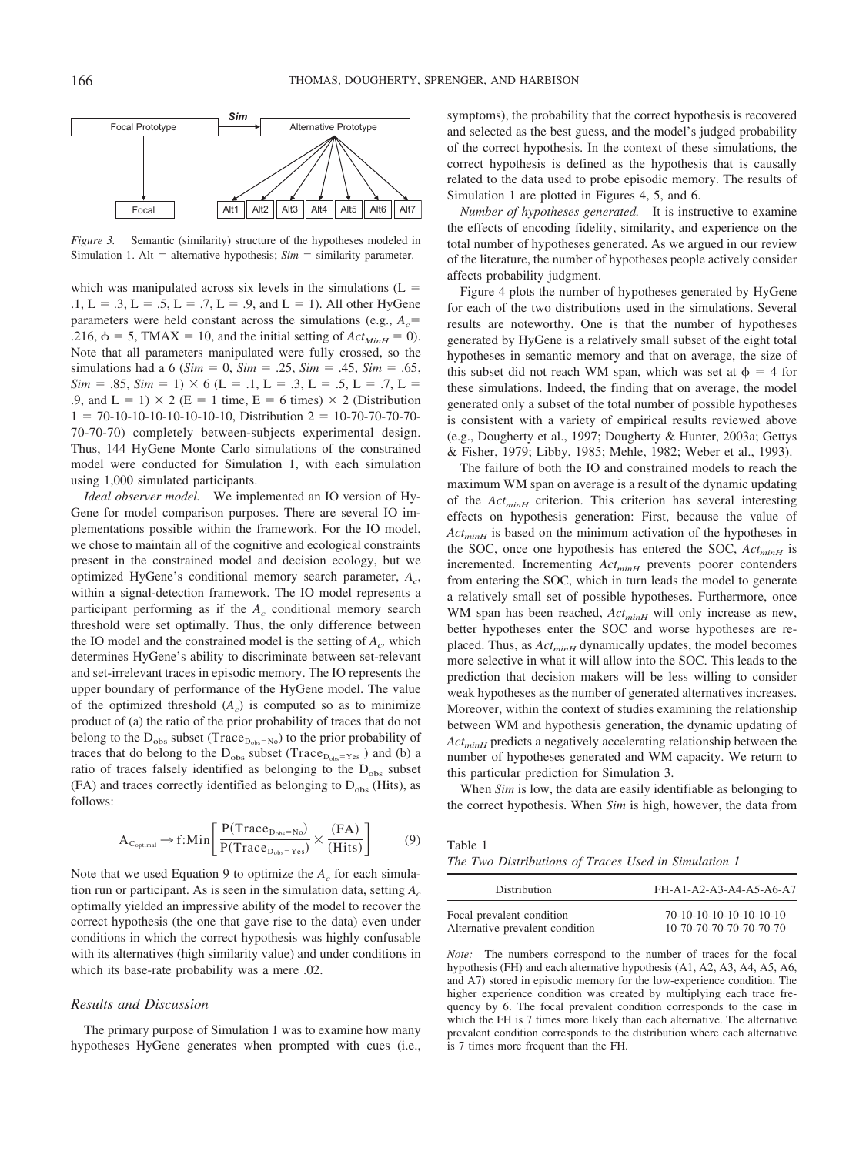

*Figure 3.* Semantic (similarity) structure of the hypotheses modeled in Simulation 1. Alt = alternative hypothesis;  $Sim =$  similarity parameter.

which was manipulated across six levels in the simulations  $(L =$  $.1, L = .3, L = .5, L = .7, L = .9, and L = 1$ . All other HyGene parameters were held constant across the simulations (e.g.,  $A_c$ = .216,  $\phi = 5$ , TMAX = 10, and the initial setting of  $Act_{MinH} = 0$ ). Note that all parameters manipulated were fully crossed, so the simulations had a 6 (*Sim* = 0, *Sim* = .25, *Sim* = .45, *Sim* = .65,  $Sim = .85, Sim = 1) \times 6 (L = .1, L = .3, L = .5, L = .7, L =$ .9, and L = 1)  $\times$  2 (E = 1 time, E = 6 times)  $\times$  2 (Distribution 1 - 70-10-10-10-10-10-10-10, Distribution 2 - 10-70-70-70-70- 70-70-70) completely between-subjects experimental design. Thus, 144 HyGene Monte Carlo simulations of the constrained model were conducted for Simulation 1, with each simulation using 1,000 simulated participants.

*Ideal observer model.* We implemented an IO version of Hy-Gene for model comparison purposes. There are several IO implementations possible within the framework. For the IO model, we chose to maintain all of the cognitive and ecological constraints present in the constrained model and decision ecology, but we optimized HyGene's conditional memory search parameter, *Ac*, within a signal-detection framework. The IO model represents a participant performing as if the  $A_c$  conditional memory search threshold were set optimally. Thus, the only difference between the IO model and the constrained model is the setting of  $A_c$ , which determines HyGene's ability to discriminate between set-relevant and set-irrelevant traces in episodic memory. The IO represents the upper boundary of performance of the HyGene model. The value of the optimized threshold  $(A<sub>c</sub>)$  is computed so as to minimize product of (a) the ratio of the prior probability of traces that do not belong to the  $D_{obs}$  subset (Trace<sub>Dobs=No</sub>) to the prior probability of traces that do belong to the  $D_{obs}$  subset (Trace $_{D_{obs}=Yes}$  ) and (b) a ratio of traces falsely identified as belonging to the  $D_{obs}$  subset  $(FA)$  and traces correctly identified as belonging to  $D_{obs}$  (Hits), as follows:

$$
A_{C_{\text{optimal}}} \to f: \text{Min}\left[\frac{P(\text{Trace}_{D_{\text{obs}}=N_0})}{P(\text{Trace}_{D_{\text{obs}}=Y_{\text{cs}}})} \times \frac{(FA)}{(Hits)}\right] \tag{9}
$$

Note that we used Equation 9 to optimize the  $A_c$  for each simulation run or participant. As is seen in the simulation data, setting *Ac* optimally yielded an impressive ability of the model to recover the correct hypothesis (the one that gave rise to the data) even under conditions in which the correct hypothesis was highly confusable with its alternatives (high similarity value) and under conditions in which its base-rate probability was a mere .02.

#### *Results and Discussion*

The primary purpose of Simulation 1 was to examine how many hypotheses HyGene generates when prompted with cues (i.e., symptoms), the probability that the correct hypothesis is recovered and selected as the best guess, and the model's judged probability of the correct hypothesis. In the context of these simulations, the correct hypothesis is defined as the hypothesis that is causally related to the data used to probe episodic memory. The results of Simulation 1 are plotted in Figures 4, 5, and 6.

*Number of hypotheses generated.* It is instructive to examine the effects of encoding fidelity, similarity, and experience on the total number of hypotheses generated. As we argued in our review of the literature, the number of hypotheses people actively consider affects probability judgment.

Figure 4 plots the number of hypotheses generated by HyGene for each of the two distributions used in the simulations. Several results are noteworthy. One is that the number of hypotheses generated by HyGene is a relatively small subset of the eight total hypotheses in semantic memory and that on average, the size of this subset did not reach WM span, which was set at  $\phi = 4$  for these simulations. Indeed, the finding that on average, the model generated only a subset of the total number of possible hypotheses is consistent with a variety of empirical results reviewed above (e.g., Dougherty et al., 1997; Dougherty & Hunter, 2003a; Gettys & Fisher, 1979; Libby, 1985; Mehle, 1982; Weber et al., 1993).

The failure of both the IO and constrained models to reach the maximum WM span on average is a result of the dynamic updating of the *Act<sub>minH</sub>* criterion. This criterion has several interesting effects on hypothesis generation: First, because the value of *Act<sub>minH</sub>* is based on the minimum activation of the hypotheses in the SOC, once one hypothesis has entered the SOC,  $Act_{minH}$  is incremented. Incrementing *Act<sub>minH</sub>* prevents poorer contenders from entering the SOC, which in turn leads the model to generate a relatively small set of possible hypotheses. Furthermore, once WM span has been reached,  $Act_{minH}$  will only increase as new, better hypotheses enter the SOC and worse hypotheses are replaced. Thus, as  $Act_{minH}$  dynamically updates, the model becomes more selective in what it will allow into the SOC. This leads to the prediction that decision makers will be less willing to consider weak hypotheses as the number of generated alternatives increases. Moreover, within the context of studies examining the relationship between WM and hypothesis generation, the dynamic updating of *ActminH* predicts a negatively accelerating relationship between the number of hypotheses generated and WM capacity. We return to this particular prediction for Simulation 3.

When *Sim* is low, the data are easily identifiable as belonging to the correct hypothesis. When *Sim* is high, however, the data from

| Table 1                                              |  |  |
|------------------------------------------------------|--|--|
| The Two Distributions of Traces Used in Simulation 1 |  |  |

| Distribution                    | FH-A1-A2-A3-A4-A5-A6-A7   |
|---------------------------------|---------------------------|
| Focal prevalent condition       | $70-10-10-10-10-10-10-10$ |
| Alternative prevalent condition | $10-70-70-70-70-70-70-70$ |

*Note:* The numbers correspond to the number of traces for the focal hypothesis (FH) and each alternative hypothesis (A1, A2, A3, A4, A5, A6, and A7) stored in episodic memory for the low-experience condition. The higher experience condition was created by multiplying each trace frequency by 6. The focal prevalent condition corresponds to the case in which the FH is 7 times more likely than each alternative. The alternative prevalent condition corresponds to the distribution where each alternative is 7 times more frequent than the FH.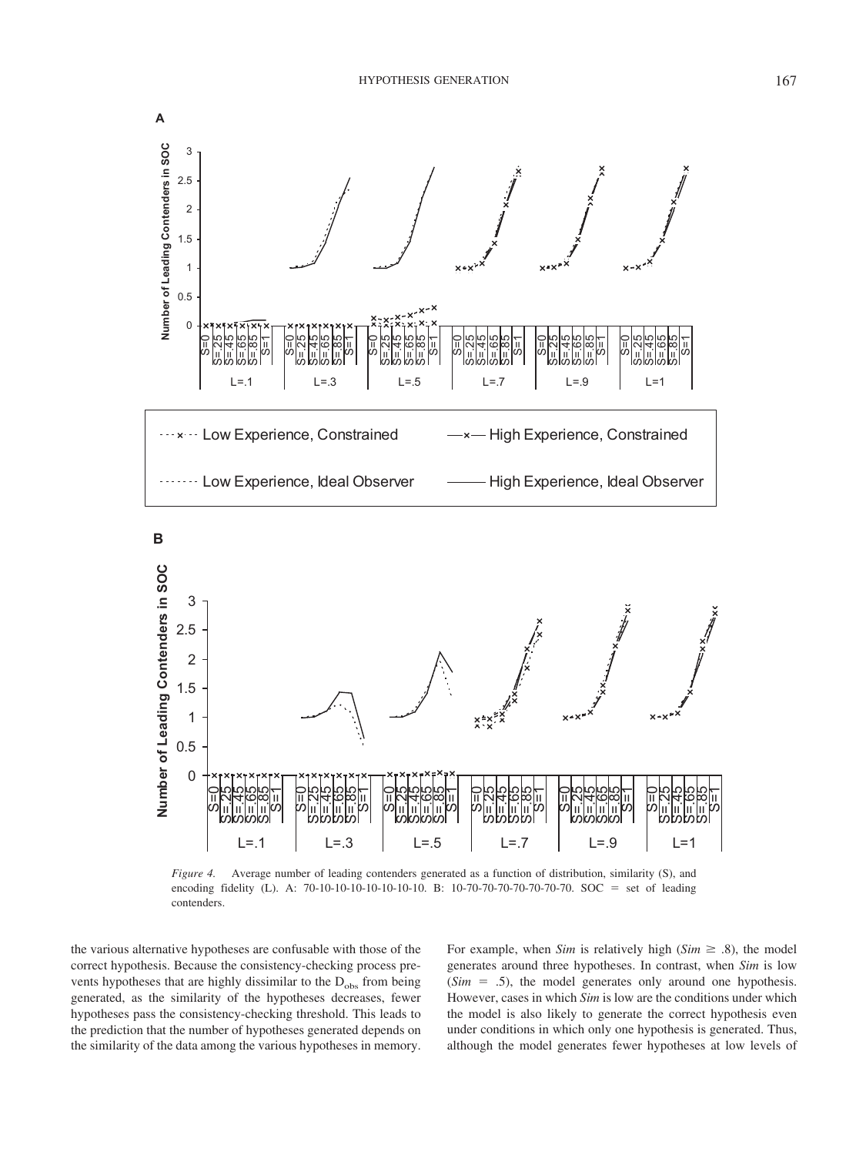

*Figure 4.* Average number of leading contenders generated as a function of distribution, similarity (S), and encoding fidelity (L). A: 70-10-10-10-10-10-10-10. B: 10-70-70-70-70-70-70-70-70. SOC = set of leading contenders.

L=.1 L=.3 L=.5 L=.7 L=.9 L=1

 $x \stackrel{=}{\times} x$ 

the various alternative hypotheses are confusable with those of the correct hypothesis. Because the consistency-checking process prevents hypotheses that are highly dissimilar to the  $D<sub>obs</sub>$  from being generated, as the similarity of the hypotheses decreases, fewer hypotheses pass the consistency-checking threshold. This leads to the prediction that the number of hypotheses generated depends on the similarity of the data among the various hypotheses in memory.

0

S=0 S=.25 S=.45 S=.65 S=.85 S=1 S=0 S=.25 S=.45 S=.65 S=.85 m<br>S S=0 S=.25 S=.45 S=.65 S=.85 S=1 S=0 S=.25 S=.45 S=.65 S=.85 m<br>S ြ<br>ဟ S=.25 S=.45 S=.65 S=.85 —<br>თ S=0 S=.25 S=.45 S=.65 S=.85 m<br>S

0.5

1 1.5

> For example, when *Sim* is relatively high (*Sim*  $\geq$  .8), the model generates around three hypotheses. In contrast, when *Sim* is low  $(Sim = .5)$ , the model generates only around one hypothesis. However, cases in which *Sim* is low are the conditions under which the model is also likely to generate the correct hypothesis even under conditions in which only one hypothesis is generated. Thus, although the model generates fewer hypotheses at low levels of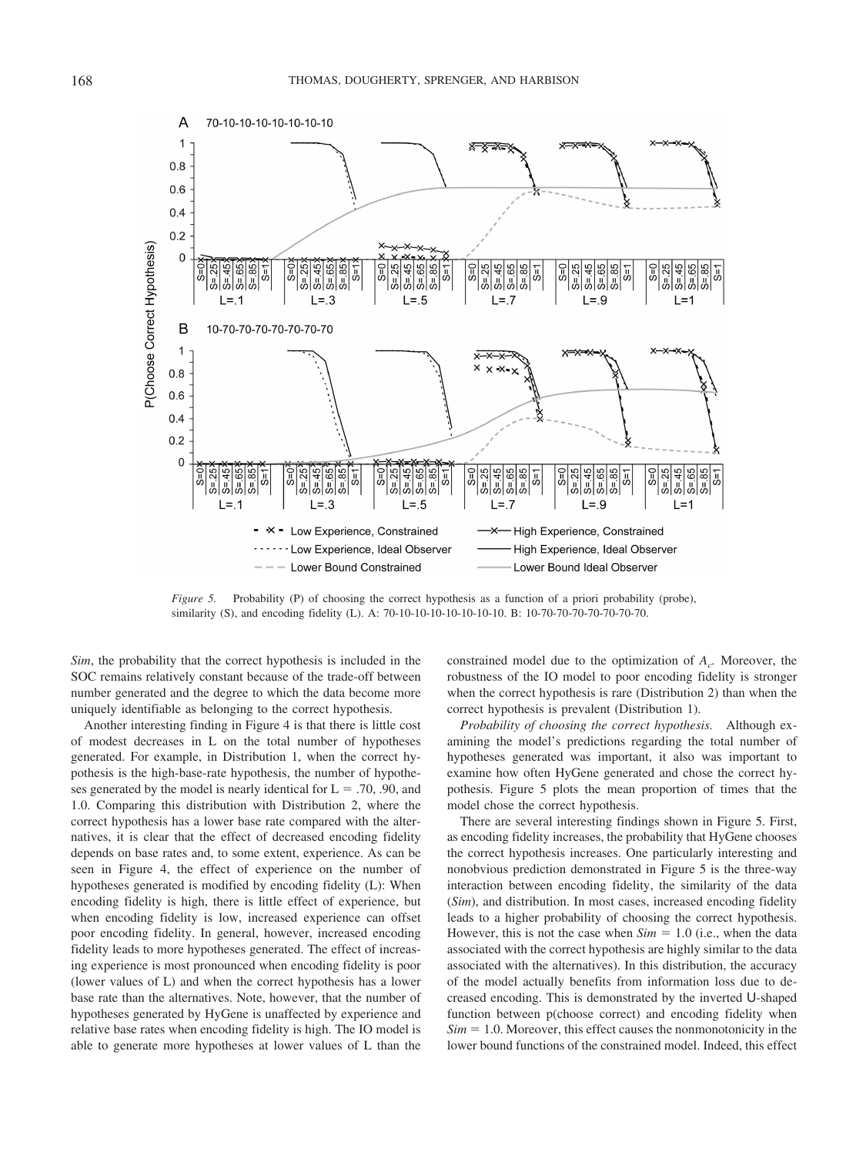

*Figure 5.* Probability (P) of choosing the correct hypothesis as a function of a priori probability (probe), similarity (S), and encoding fidelity (L). A: 70-10-10-10-10-10-10-10. B: 10-70-70-70-70-70-70-70.

*Sim*, the probability that the correct hypothesis is included in the SOC remains relatively constant because of the trade-off between number generated and the degree to which the data become more uniquely identifiable as belonging to the correct hypothesis.

Another interesting finding in Figure 4 is that there is little cost of modest decreases in L on the total number of hypotheses generated. For example, in Distribution 1, when the correct hypothesis is the high-base-rate hypothesis, the number of hypotheses generated by the model is nearly identical for  $L = .70, .90,$  and 1.0. Comparing this distribution with Distribution 2, where the correct hypothesis has a lower base rate compared with the alternatives, it is clear that the effect of decreased encoding fidelity depends on base rates and, to some extent, experience. As can be seen in Figure 4, the effect of experience on the number of hypotheses generated is modified by encoding fidelity (L): When encoding fidelity is high, there is little effect of experience, but when encoding fidelity is low, increased experience can offset poor encoding fidelity. In general, however, increased encoding fidelity leads to more hypotheses generated. The effect of increasing experience is most pronounced when encoding fidelity is poor (lower values of L) and when the correct hypothesis has a lower base rate than the alternatives. Note, however, that the number of hypotheses generated by HyGene is unaffected by experience and relative base rates when encoding fidelity is high. The IO model is able to generate more hypotheses at lower values of L than the constrained model due to the optimization of  $A_c$ . Moreover, the robustness of the IO model to poor encoding fidelity is stronger when the correct hypothesis is rare (Distribution 2) than when the correct hypothesis is prevalent (Distribution 1).

*Probability of choosing the correct hypothesis.* Although examining the model's predictions regarding the total number of hypotheses generated was important, it also was important to examine how often HyGene generated and chose the correct hypothesis. Figure 5 plots the mean proportion of times that the model chose the correct hypothesis.

There are several interesting findings shown in Figure 5. First, as encoding fidelity increases, the probability that HyGene chooses the correct hypothesis increases. One particularly interesting and nonobvious prediction demonstrated in Figure 5 is the three-way interaction between encoding fidelity, the similarity of the data (*Sim*), and distribution. In most cases, increased encoding fidelity leads to a higher probability of choosing the correct hypothesis. However, this is not the case when  $Sim = 1.0$  (i.e., when the data associated with the correct hypothesis are highly similar to the data associated with the alternatives). In this distribution, the accuracy of the model actually benefits from information loss due to decreased encoding. This is demonstrated by the inverted U-shaped function between p(choose correct) and encoding fidelity when  $Sim = 1.0$ . Moreover, this effect causes the nonmonotonicity in the lower bound functions of the constrained model. Indeed, this effect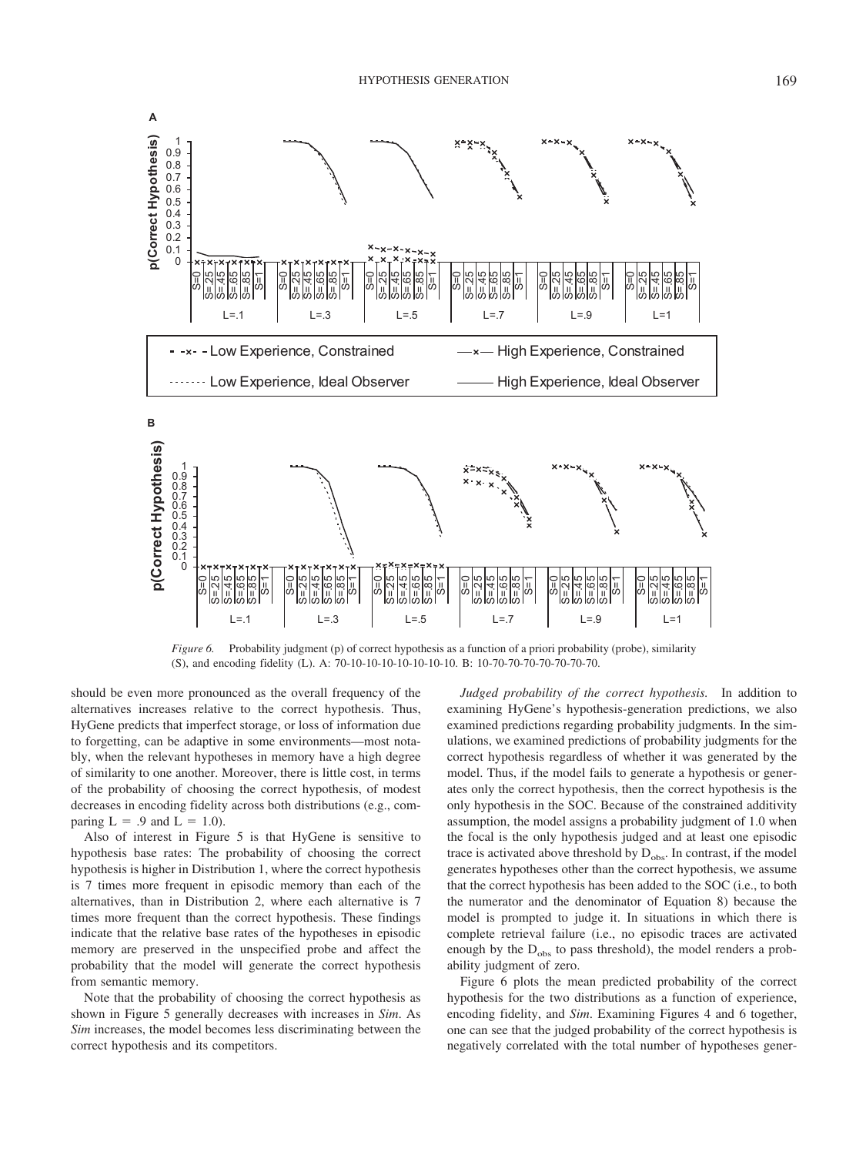

*Figure 6.* Probability judgment (p) of correct hypothesis as a function of a priori probability (probe), similarity (S), and encoding fidelity (L). A: 70-10-10-10-10-10-10-10. B: 10-70-70-70-70-70-70-70.

should be even more pronounced as the overall frequency of the alternatives increases relative to the correct hypothesis. Thus, HyGene predicts that imperfect storage, or loss of information due to forgetting, can be adaptive in some environments—most notably, when the relevant hypotheses in memory have a high degree of similarity to one another. Moreover, there is little cost, in terms of the probability of choosing the correct hypothesis, of modest decreases in encoding fidelity across both distributions (e.g., comparing  $L = .9$  and  $L = 1.0$ ).

Also of interest in Figure 5 is that HyGene is sensitive to hypothesis base rates: The probability of choosing the correct hypothesis is higher in Distribution 1, where the correct hypothesis is 7 times more frequent in episodic memory than each of the alternatives, than in Distribution 2, where each alternative is 7 times more frequent than the correct hypothesis. These findings indicate that the relative base rates of the hypotheses in episodic memory are preserved in the unspecified probe and affect the probability that the model will generate the correct hypothesis from semantic memory.

Note that the probability of choosing the correct hypothesis as shown in Figure 5 generally decreases with increases in *Sim*. As *Sim* increases, the model becomes less discriminating between the correct hypothesis and its competitors.

*Judged probability of the correct hypothesis.* In addition to examining HyGene's hypothesis-generation predictions, we also examined predictions regarding probability judgments. In the simulations, we examined predictions of probability judgments for the correct hypothesis regardless of whether it was generated by the model. Thus, if the model fails to generate a hypothesis or generates only the correct hypothesis, then the correct hypothesis is the only hypothesis in the SOC. Because of the constrained additivity assumption, the model assigns a probability judgment of 1.0 when the focal is the only hypothesis judged and at least one episodic trace is activated above threshold by  $D_{obs}$ . In contrast, if the model generates hypotheses other than the correct hypothesis, we assume that the correct hypothesis has been added to the SOC (i.e., to both the numerator and the denominator of Equation 8) because the model is prompted to judge it. In situations in which there is complete retrieval failure (i.e., no episodic traces are activated enough by the  $D_{obs}$  to pass threshold), the model renders a probability judgment of zero.

Figure 6 plots the mean predicted probability of the correct hypothesis for the two distributions as a function of experience, encoding fidelity, and *Sim*. Examining Figures 4 and 6 together, one can see that the judged probability of the correct hypothesis is negatively correlated with the total number of hypotheses gener-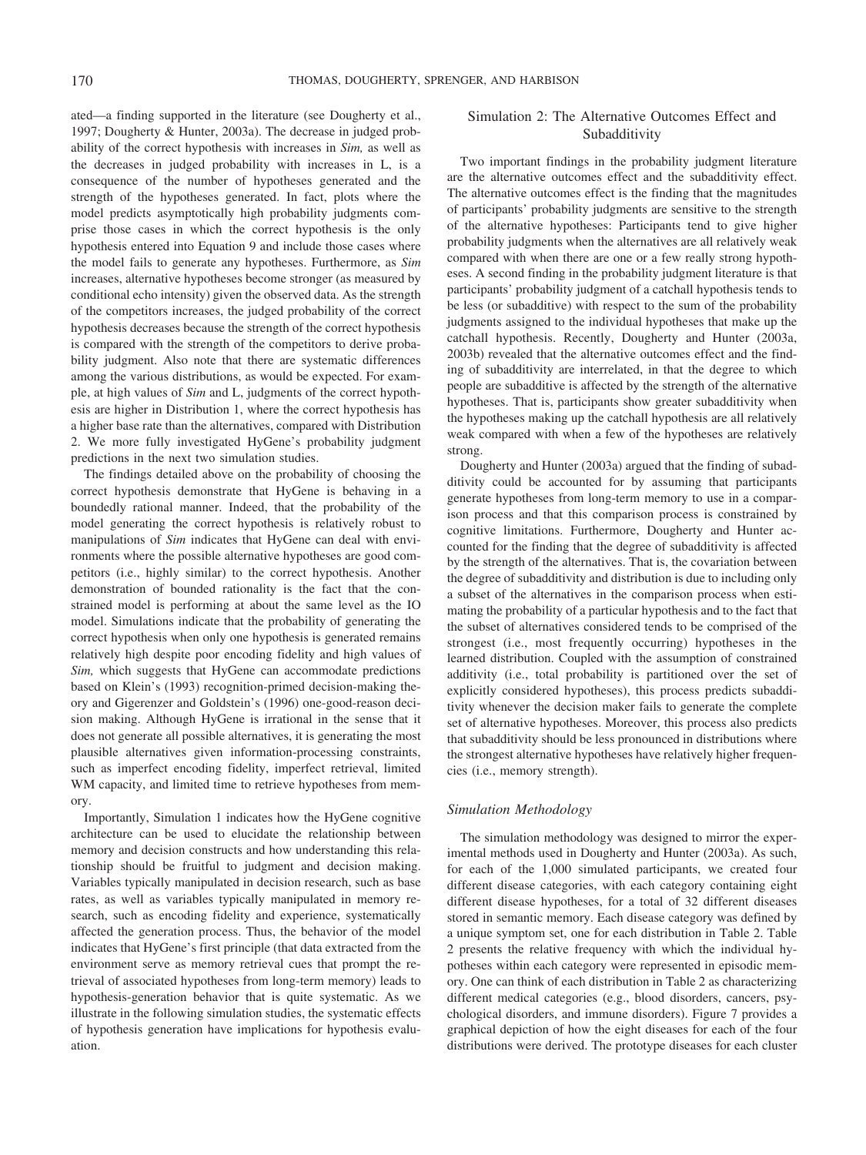ated—a finding supported in the literature (see Dougherty et al., 1997; Dougherty & Hunter, 2003a). The decrease in judged probability of the correct hypothesis with increases in *Sim,* as well as the decreases in judged probability with increases in L, is a consequence of the number of hypotheses generated and the strength of the hypotheses generated. In fact, plots where the model predicts asymptotically high probability judgments comprise those cases in which the correct hypothesis is the only hypothesis entered into Equation 9 and include those cases where the model fails to generate any hypotheses. Furthermore, as *Sim* increases, alternative hypotheses become stronger (as measured by conditional echo intensity) given the observed data. As the strength of the competitors increases, the judged probability of the correct hypothesis decreases because the strength of the correct hypothesis is compared with the strength of the competitors to derive probability judgment. Also note that there are systematic differences among the various distributions, as would be expected. For example, at high values of *Sim* and L, judgments of the correct hypothesis are higher in Distribution 1, where the correct hypothesis has a higher base rate than the alternatives, compared with Distribution 2. We more fully investigated HyGene's probability judgment predictions in the next two simulation studies.

The findings detailed above on the probability of choosing the correct hypothesis demonstrate that HyGene is behaving in a boundedly rational manner. Indeed, that the probability of the model generating the correct hypothesis is relatively robust to manipulations of *Sim* indicates that HyGene can deal with environments where the possible alternative hypotheses are good competitors (i.e., highly similar) to the correct hypothesis. Another demonstration of bounded rationality is the fact that the constrained model is performing at about the same level as the IO model. Simulations indicate that the probability of generating the correct hypothesis when only one hypothesis is generated remains relatively high despite poor encoding fidelity and high values of *Sim,* which suggests that HyGene can accommodate predictions based on Klein's (1993) recognition-primed decision-making theory and Gigerenzer and Goldstein's (1996) one-good-reason decision making. Although HyGene is irrational in the sense that it does not generate all possible alternatives, it is generating the most plausible alternatives given information-processing constraints, such as imperfect encoding fidelity, imperfect retrieval, limited WM capacity, and limited time to retrieve hypotheses from memory.

Importantly, Simulation 1 indicates how the HyGene cognitive architecture can be used to elucidate the relationship between memory and decision constructs and how understanding this relationship should be fruitful to judgment and decision making. Variables typically manipulated in decision research, such as base rates, as well as variables typically manipulated in memory research, such as encoding fidelity and experience, systematically affected the generation process. Thus, the behavior of the model indicates that HyGene's first principle (that data extracted from the environment serve as memory retrieval cues that prompt the retrieval of associated hypotheses from long-term memory) leads to hypothesis-generation behavior that is quite systematic. As we illustrate in the following simulation studies, the systematic effects of hypothesis generation have implications for hypothesis evaluation.

# Simulation 2: The Alternative Outcomes Effect and Subadditivity

Two important findings in the probability judgment literature are the alternative outcomes effect and the subadditivity effect. The alternative outcomes effect is the finding that the magnitudes of participants' probability judgments are sensitive to the strength of the alternative hypotheses: Participants tend to give higher probability judgments when the alternatives are all relatively weak compared with when there are one or a few really strong hypotheses. A second finding in the probability judgment literature is that participants' probability judgment of a catchall hypothesis tends to be less (or subadditive) with respect to the sum of the probability judgments assigned to the individual hypotheses that make up the catchall hypothesis. Recently, Dougherty and Hunter (2003a, 2003b) revealed that the alternative outcomes effect and the finding of subadditivity are interrelated, in that the degree to which people are subadditive is affected by the strength of the alternative hypotheses. That is, participants show greater subadditivity when the hypotheses making up the catchall hypothesis are all relatively weak compared with when a few of the hypotheses are relatively strong.

Dougherty and Hunter (2003a) argued that the finding of subadditivity could be accounted for by assuming that participants generate hypotheses from long-term memory to use in a comparison process and that this comparison process is constrained by cognitive limitations. Furthermore, Dougherty and Hunter accounted for the finding that the degree of subadditivity is affected by the strength of the alternatives. That is, the covariation between the degree of subadditivity and distribution is due to including only a subset of the alternatives in the comparison process when estimating the probability of a particular hypothesis and to the fact that the subset of alternatives considered tends to be comprised of the strongest (i.e., most frequently occurring) hypotheses in the learned distribution. Coupled with the assumption of constrained additivity (i.e., total probability is partitioned over the set of explicitly considered hypotheses), this process predicts subadditivity whenever the decision maker fails to generate the complete set of alternative hypotheses. Moreover, this process also predicts that subadditivity should be less pronounced in distributions where the strongest alternative hypotheses have relatively higher frequencies (i.e., memory strength).

# *Simulation Methodology*

The simulation methodology was designed to mirror the experimental methods used in Dougherty and Hunter (2003a). As such, for each of the 1,000 simulated participants, we created four different disease categories, with each category containing eight different disease hypotheses, for a total of 32 different diseases stored in semantic memory. Each disease category was defined by a unique symptom set, one for each distribution in Table 2. Table 2 presents the relative frequency with which the individual hypotheses within each category were represented in episodic memory. One can think of each distribution in Table 2 as characterizing different medical categories (e.g., blood disorders, cancers, psychological disorders, and immune disorders). Figure 7 provides a graphical depiction of how the eight diseases for each of the four distributions were derived. The prototype diseases for each cluster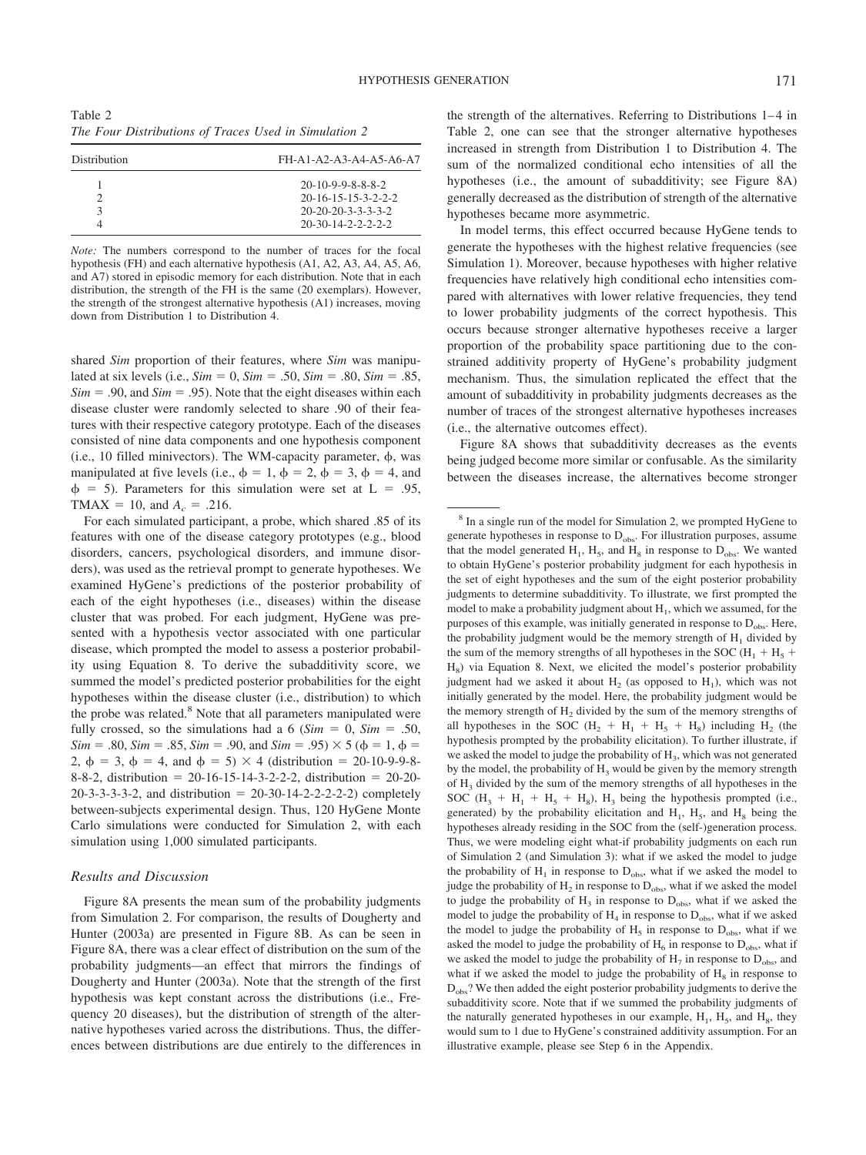Table 2 *The Four Distributions of Traces Used in Simulation 2*

| Distribution | FH-A1-A2-A3-A4-A5-A6-A7 |
|--------------|-------------------------|
|              | $20-10-9-9-8-8-8-2$     |
|              | $20-16-15-15-3-2-2-2$   |
|              | $20-20-20-3-3-3-3-2$    |
|              | $20-30-14-2-2-2-2-2$    |

*Note:* The numbers correspond to the number of traces for the focal hypothesis (FH) and each alternative hypothesis (A1, A2, A3, A4, A5, A6, and A7) stored in episodic memory for each distribution. Note that in each distribution, the strength of the FH is the same (20 exemplars). However, the strength of the strongest alternative hypothesis (A1) increases, moving down from Distribution 1 to Distribution 4.

shared *Sim* proportion of their features, where *Sim* was manipulated at six levels (i.e.,  $Sim = 0$ ,  $Sim = .50$ ,  $Sim = .80$ ,  $Sim = .85$ ,  $Sim = .90$ , and  $Sim = .95$ ). Note that the eight diseases within each disease cluster were randomly selected to share .90 of their features with their respective category prototype. Each of the diseases consisted of nine data components and one hypothesis component (i.e., 10 filled minivectors). The WM-capacity parameter,  $\phi$ , was manipulated at five levels (i.e.,  $\phi = 1$ ,  $\phi = 2$ ,  $\phi = 3$ ,  $\phi = 4$ , and  $\phi = 5$ ). Parameters for this simulation were set at L = .95, TMAX = 10, and  $A_c = .216$ .

For each simulated participant, a probe, which shared .85 of its features with one of the disease category prototypes (e.g., blood disorders, cancers, psychological disorders, and immune disorders), was used as the retrieval prompt to generate hypotheses. We examined HyGene's predictions of the posterior probability of each of the eight hypotheses (i.e., diseases) within the disease cluster that was probed. For each judgment, HyGene was presented with a hypothesis vector associated with one particular disease, which prompted the model to assess a posterior probability using Equation 8. To derive the subadditivity score, we summed the model's predicted posterior probabilities for the eight hypotheses within the disease cluster (i.e., distribution) to which the probe was related.<sup>8</sup> Note that all parameters manipulated were fully crossed, so the simulations had a  $6 \, (Sim = 0, \, Sim = .50, \, \, \ldots)$  $Sim = .80$ ,  $Sim = .85$ ,  $Sim = .90$ , and  $Sim = .95$   $\times$  5 ( $\phi = 1$ ,  $\phi =$  $2, \phi = 3, \phi = 4, \text{ and } \phi = 5) \times 4 \text{ (distribution = } 20{\text -}10{\text -}9{\text -}9{\text -}8{\text -}10{\text -}9{\text -}9{\text -}8{\text -}10{\text -}9{\text -}9{\text -}8{\text -}10{\text -}9{\text -}9{\text -}8{\text -}10{\text -}9{\text -}9{\text -}8{\text -}10{\text -}9{\text -}9{\text -}8{\text -}10{\text -}9{\text -}9{\text -}8{\text -}10{\text -}9{\text -}9{\text -}8{\text -}10{\text -}9{\text$ 8-8-2, distribution =  $20-16-15-14-3-2-2-2$ , distribution =  $20-20 20-3-3-3-2$ , and distribution = 20-30-14-2-2-2-2-2) completely between-subjects experimental design. Thus, 120 HyGene Monte Carlo simulations were conducted for Simulation 2, with each simulation using 1,000 simulated participants.

#### *Results and Discussion*

Figure 8A presents the mean sum of the probability judgments from Simulation 2. For comparison, the results of Dougherty and Hunter (2003a) are presented in Figure 8B. As can be seen in Figure 8A, there was a clear effect of distribution on the sum of the probability judgments—an effect that mirrors the findings of Dougherty and Hunter (2003a). Note that the strength of the first hypothesis was kept constant across the distributions (i.e., Frequency 20 diseases), but the distribution of strength of the alternative hypotheses varied across the distributions. Thus, the differences between distributions are due entirely to the differences in the strength of the alternatives. Referring to Distributions 1–4 in Table 2, one can see that the stronger alternative hypotheses increased in strength from Distribution 1 to Distribution 4. The sum of the normalized conditional echo intensities of all the hypotheses (i.e., the amount of subadditivity; see Figure 8A) generally decreased as the distribution of strength of the alternative hypotheses became more asymmetric.

In model terms, this effect occurred because HyGene tends to generate the hypotheses with the highest relative frequencies (see Simulation 1). Moreover, because hypotheses with higher relative frequencies have relatively high conditional echo intensities compared with alternatives with lower relative frequencies, they tend to lower probability judgments of the correct hypothesis. This occurs because stronger alternative hypotheses receive a larger proportion of the probability space partitioning due to the constrained additivity property of HyGene's probability judgment mechanism. Thus, the simulation replicated the effect that the amount of subadditivity in probability judgments decreases as the number of traces of the strongest alternative hypotheses increases (i.e., the alternative outcomes effect).

Figure 8A shows that subadditivity decreases as the events being judged become more similar or confusable. As the similarity between the diseases increase, the alternatives become stronger

<sup>8</sup> In a single run of the model for Simulation 2, we prompted HyGene to generate hypotheses in response to  $D_{obs}$ . For illustration purposes, assume that the model generated  $H_1$ ,  $H_5$ , and  $H_8$  in response to  $D_{obs}$ . We wanted to obtain HyGene's posterior probability judgment for each hypothesis in the set of eight hypotheses and the sum of the eight posterior probability judgments to determine subadditivity. To illustrate, we first prompted the model to make a probability judgment about  $H<sub>1</sub>$ , which we assumed, for the purposes of this example, was initially generated in response to  $D_{obs}$ . Here, the probability judgment would be the memory strength of  $H_1$  divided by the sum of the memory strengths of all hypotheses in the SOC ( $H_1 + H_5 +$  $H_8$ ) via Equation 8. Next, we elicited the model's posterior probability judgment had we asked it about  $H_2$  (as opposed to  $H_1$ ), which was not initially generated by the model. Here, the probability judgment would be the memory strength of  $H<sub>2</sub>$  divided by the sum of the memory strengths of all hypotheses in the SOC  $(H_2 + H_1 + H_5 + H_8)$  including  $H_2$  (the hypothesis prompted by the probability elicitation). To further illustrate, if we asked the model to judge the probability of  $H<sub>3</sub>$ , which was not generated by the model, the probability of  $H_3$  would be given by the memory strength of  $H<sub>3</sub>$  divided by the sum of the memory strengths of all hypotheses in the SOC  $(H_3 + H_1 + H_5 + H_8)$ ,  $H_3$  being the hypothesis prompted (i.e., generated) by the probability elicitation and  $H_1$ ,  $H_5$ , and  $H_8$  being the hypotheses already residing in the SOC from the (self-)generation process. Thus, we were modeling eight what-if probability judgments on each run of Simulation 2 (and Simulation 3): what if we asked the model to judge the probability of  $H_1$  in response to  $D_{obs}$ , what if we asked the model to judge the probability of  $H_2$  in response to  $D_{obs}$ , what if we asked the model to judge the probability of  $H_3$  in response to  $D_{obs}$ , what if we asked the model to judge the probability of  $H_4$  in response to  $D_{obs}$ , what if we asked the model to judge the probability of  $H_5$  in response to  $D_{obs}$ , what if we asked the model to judge the probability of  $H_6$  in response to  $D_{obs}$ , what if we asked the model to judge the probability of  $H_7$  in response to  $D_{obs}$ , and what if we asked the model to judge the probability of  $H_8$  in response to D<sub>obs</sub>? We then added the eight posterior probability judgments to derive the subadditivity score. Note that if we summed the probability judgments of the naturally generated hypotheses in our example,  $H_1$ ,  $H_5$ , and  $H_8$ , they would sum to 1 due to HyGene's constrained additivity assumption. For an illustrative example, please see Step 6 in the Appendix.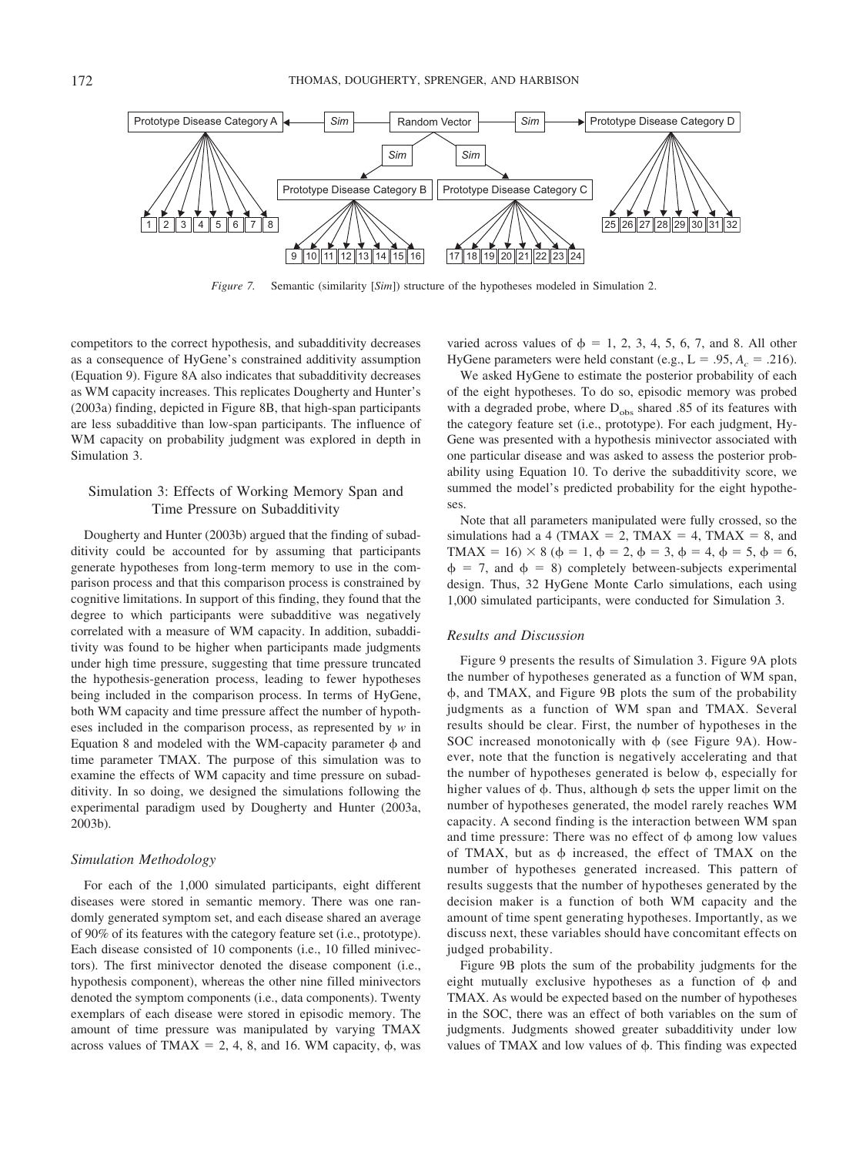

*Figure 7.* Semantic (similarity [*Sim*]) structure of the hypotheses modeled in Simulation 2.

competitors to the correct hypothesis, and subadditivity decreases as a consequence of HyGene's constrained additivity assumption (Equation 9). Figure 8A also indicates that subadditivity decreases as WM capacity increases. This replicates Dougherty and Hunter's (2003a) finding, depicted in Figure 8B, that high-span participants are less subadditive than low-span participants. The influence of WM capacity on probability judgment was explored in depth in Simulation 3.

# Simulation 3: Effects of Working Memory Span and Time Pressure on Subadditivity

Dougherty and Hunter (2003b) argued that the finding of subadditivity could be accounted for by assuming that participants generate hypotheses from long-term memory to use in the comparison process and that this comparison process is constrained by cognitive limitations. In support of this finding, they found that the degree to which participants were subadditive was negatively correlated with a measure of WM capacity. In addition, subadditivity was found to be higher when participants made judgments under high time pressure, suggesting that time pressure truncated the hypothesis-generation process, leading to fewer hypotheses being included in the comparison process. In terms of HyGene, both WM capacity and time pressure affect the number of hypotheses included in the comparison process, as represented by *w* in Equation 8 and modeled with the WM-capacity parameter  $\phi$  and time parameter TMAX. The purpose of this simulation was to examine the effects of WM capacity and time pressure on subadditivity. In so doing, we designed the simulations following the experimental paradigm used by Dougherty and Hunter (2003a, 2003b).

## *Simulation Methodology*

For each of the 1,000 simulated participants, eight different diseases were stored in semantic memory. There was one randomly generated symptom set, and each disease shared an average of 90% of its features with the category feature set (i.e., prototype). Each disease consisted of 10 components (i.e., 10 filled minivectors). The first minivector denoted the disease component (i.e., hypothesis component), whereas the other nine filled minivectors denoted the symptom components (i.e., data components). Twenty exemplars of each disease were stored in episodic memory. The amount of time pressure was manipulated by varying TMAX across values of TMAX = 2, 4, 8, and 16. WM capacity,  $\phi$ , was

varied across values of  $\phi = 1, 2, 3, 4, 5, 6, 7$ , and 8. All other HyGene parameters were held constant (e.g.,  $L = .95$ ,  $A_c = .216$ ).

We asked HyGene to estimate the posterior probability of each of the eight hypotheses. To do so, episodic memory was probed with a degraded probe, where  $D_{obs}$  shared .85 of its features with the category feature set (i.e., prototype). For each judgment, Hy-Gene was presented with a hypothesis minivector associated with one particular disease and was asked to assess the posterior probability using Equation 10. To derive the subadditivity score, we summed the model's predicted probability for the eight hypotheses.

Note that all parameters manipulated were fully crossed, so the simulations had a 4 (TMAX = 2, TMAX = 4, TMAX = 8, and TMAX = 16)  $\times$  8 ( $\phi$  = 1,  $\phi$  = 2,  $\phi$  = 3,  $\phi$  = 4,  $\phi$  = 5,  $\phi$  = 6,  $\phi = 7$ , and  $\phi = 8$ ) completely between-subjects experimental design. Thus, 32 HyGene Monte Carlo simulations, each using 1,000 simulated participants, were conducted for Simulation 3.

## *Results and Discussion*

Figure 9 presents the results of Simulation 3. Figure 9A plots the number of hypotheses generated as a function of WM span, , and TMAX, and Figure 9B plots the sum of the probability judgments as a function of WM span and TMAX. Several results should be clear. First, the number of hypotheses in the SOC increased monotonically with  $\phi$  (see Figure 9A). However, note that the function is negatively accelerating and that the number of hypotheses generated is below  $\phi$ , especially for higher values of  $\phi$ . Thus, although  $\phi$  sets the upper limit on the number of hypotheses generated, the model rarely reaches WM capacity. A second finding is the interaction between WM span and time pressure: There was no effect of  $\phi$  among low values of TMAX, but as  $\phi$  increased, the effect of TMAX on the number of hypotheses generated increased. This pattern of results suggests that the number of hypotheses generated by the decision maker is a function of both WM capacity and the amount of time spent generating hypotheses. Importantly, as we discuss next, these variables should have concomitant effects on judged probability.

Figure 9B plots the sum of the probability judgments for the eight mutually exclusive hypotheses as a function of  $\phi$  and TMAX. As would be expected based on the number of hypotheses in the SOC, there was an effect of both variables on the sum of judgments. Judgments showed greater subadditivity under low values of TMAX and low values of  $\phi$ . This finding was expected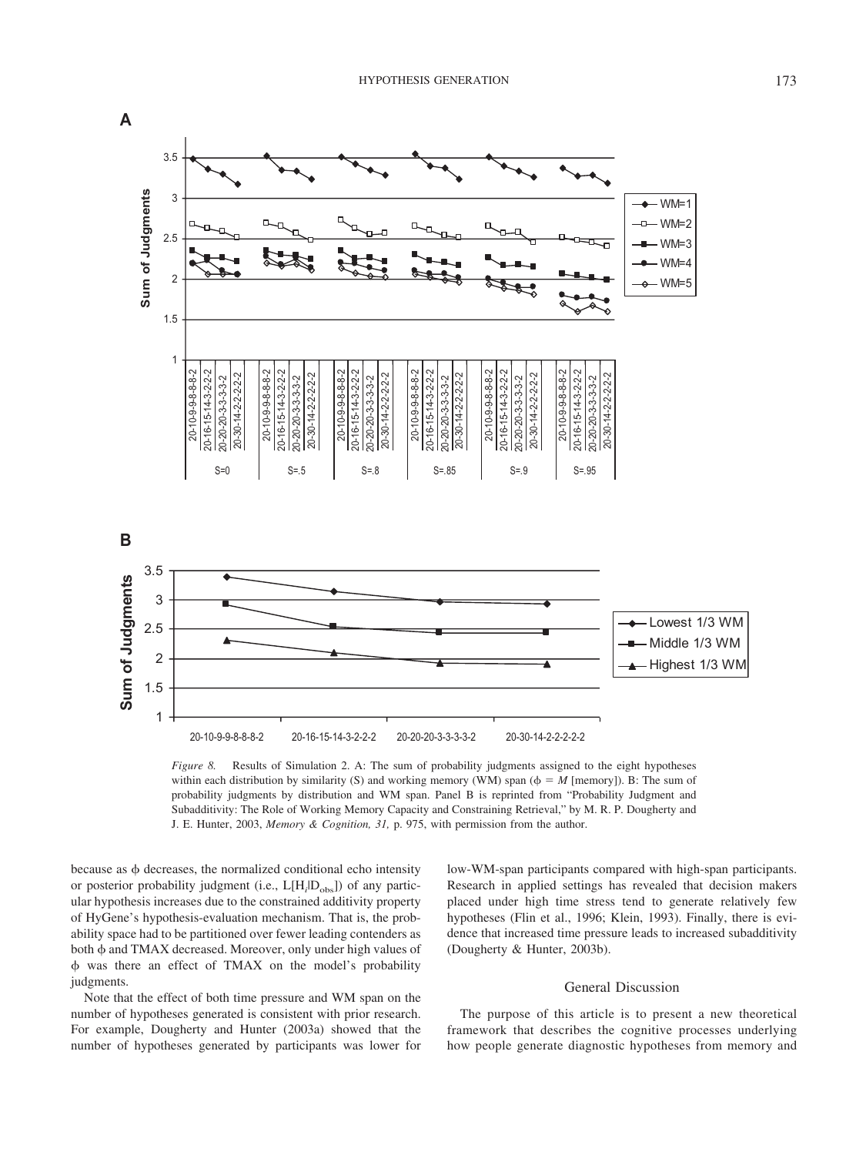

*Figure 8.* Results of Simulation 2. A: The sum of probability judgments assigned to the eight hypotheses within each distribution by similarity (S) and working memory (WM) span ( $\phi = M$  [memory]). B: The sum of probability judgments by distribution and WM span. Panel B is reprinted from "Probability Judgment and Subadditivity: The Role of Working Memory Capacity and Constraining Retrieval," by M. R. P. Dougherty and J. E. Hunter, 2003, *Memory & Cognition, 31,* p. 975, with permission from the author.

because as  $\phi$  decreases, the normalized conditional echo intensity or posterior probability judgment (i.e., L[H<sub>i</sub>|D<sub>obs</sub>]) of any particular hypothesis increases due to the constrained additivity property of HyGene's hypothesis-evaluation mechanism. That is, the probability space had to be partitioned over fewer leading contenders as both  $\phi$  and TMAX decreased. Moreover, only under high values of was there an effect of TMAX on the model's probability judgments.

Note that the effect of both time pressure and WM span on the number of hypotheses generated is consistent with prior research. For example, Dougherty and Hunter (2003a) showed that the number of hypotheses generated by participants was lower for low-WM-span participants compared with high-span participants. Research in applied settings has revealed that decision makers placed under high time stress tend to generate relatively few hypotheses (Flin et al., 1996; Klein, 1993). Finally, there is evidence that increased time pressure leads to increased subadditivity (Dougherty & Hunter, 2003b).

# General Discussion

The purpose of this article is to present a new theoretical framework that describes the cognitive processes underlying how people generate diagnostic hypotheses from memory and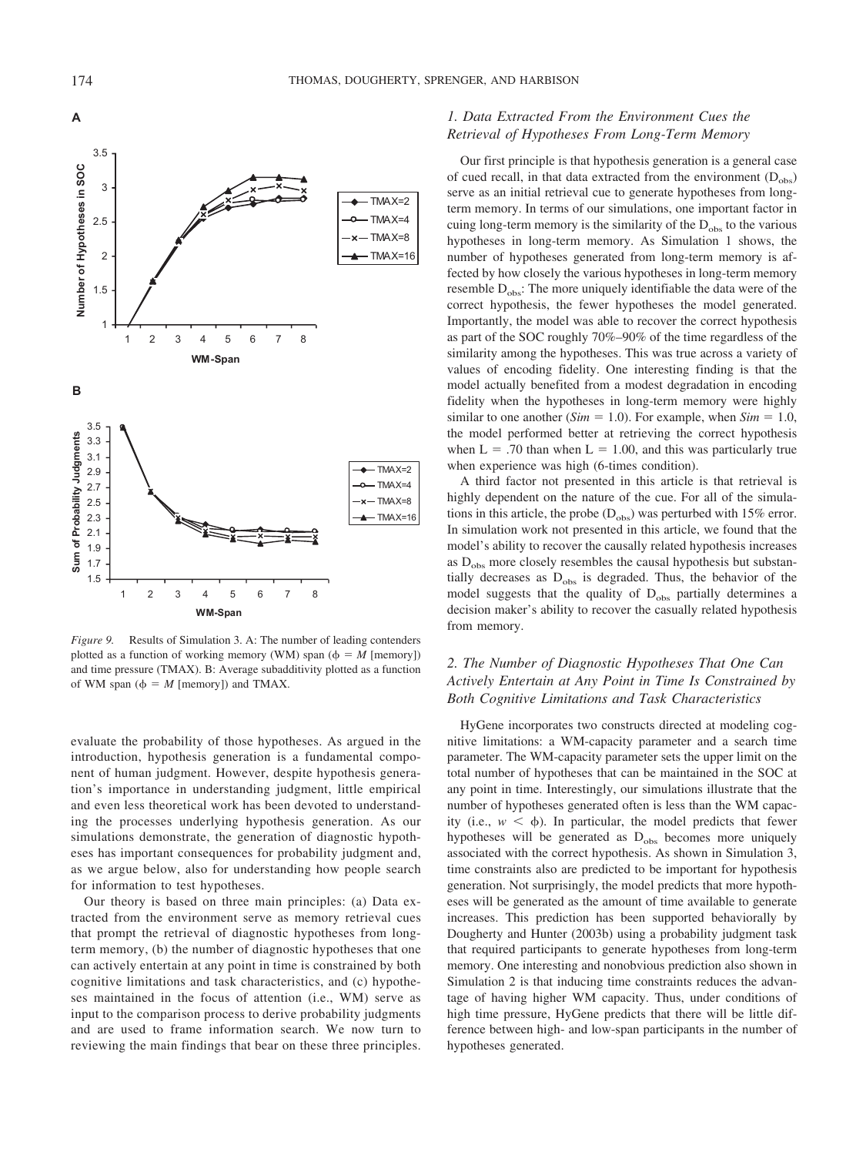

*Figure 9.* Results of Simulation 3. A: The number of leading contenders plotted as a function of working memory (WM) span  $(\phi = M$  [memory]) and time pressure (TMAX). B: Average subadditivity plotted as a function of WM span ( $\phi = M$  [memory]) and TMAX.

evaluate the probability of those hypotheses. As argued in the introduction, hypothesis generation is a fundamental component of human judgment. However, despite hypothesis generation's importance in understanding judgment, little empirical and even less theoretical work has been devoted to understanding the processes underlying hypothesis generation. As our simulations demonstrate, the generation of diagnostic hypotheses has important consequences for probability judgment and, as we argue below, also for understanding how people search for information to test hypotheses.

Our theory is based on three main principles: (a) Data extracted from the environment serve as memory retrieval cues that prompt the retrieval of diagnostic hypotheses from longterm memory, (b) the number of diagnostic hypotheses that one can actively entertain at any point in time is constrained by both cognitive limitations and task characteristics, and (c) hypotheses maintained in the focus of attention (i.e., WM) serve as input to the comparison process to derive probability judgments and are used to frame information search. We now turn to reviewing the main findings that bear on these three principles.

# *1. Data Extracted From the Environment Cues the Retrieval of Hypotheses From Long-Term Memory*

Our first principle is that hypothesis generation is a general case of cued recall, in that data extracted from the environment  $(D_{obs})$ serve as an initial retrieval cue to generate hypotheses from longterm memory. In terms of our simulations, one important factor in cuing long-term memory is the similarity of the  $D<sub>obs</sub>$  to the various hypotheses in long-term memory. As Simulation 1 shows, the number of hypotheses generated from long-term memory is affected by how closely the various hypotheses in long-term memory resemble  $D_{obs}$ : The more uniquely identifiable the data were of the correct hypothesis, the fewer hypotheses the model generated. Importantly, the model was able to recover the correct hypothesis as part of the SOC roughly 70%–90% of the time regardless of the similarity among the hypotheses. This was true across a variety of values of encoding fidelity. One interesting finding is that the model actually benefited from a modest degradation in encoding fidelity when the hypotheses in long-term memory were highly similar to one another ( $Sim = 1.0$ ). For example, when  $Sim = 1.0$ , the model performed better at retrieving the correct hypothesis when  $L = .70$  than when  $L = 1.00$ , and this was particularly true when experience was high (6-times condition).

A third factor not presented in this article is that retrieval is highly dependent on the nature of the cue. For all of the simulations in this article, the probe  $(D_{obs})$  was perturbed with 15% error. In simulation work not presented in this article, we found that the model's ability to recover the causally related hypothesis increases as  $D<sub>obs</sub>$  more closely resembles the causal hypothesis but substantially decreases as  $D_{obs}$  is degraded. Thus, the behavior of the model suggests that the quality of  $D<sub>obs</sub>$  partially determines a decision maker's ability to recover the casually related hypothesis from memory.

# *2. The Number of Diagnostic Hypotheses That One Can Actively Entertain at Any Point in Time Is Constrained by Both Cognitive Limitations and Task Characteristics*

HyGene incorporates two constructs directed at modeling cognitive limitations: a WM-capacity parameter and a search time parameter. The WM-capacity parameter sets the upper limit on the total number of hypotheses that can be maintained in the SOC at any point in time. Interestingly, our simulations illustrate that the number of hypotheses generated often is less than the WM capacity (i.e.,  $w < \phi$ ). In particular, the model predicts that fewer hypotheses will be generated as  $D_{obs}$  becomes more uniquely associated with the correct hypothesis. As shown in Simulation 3, time constraints also are predicted to be important for hypothesis generation. Not surprisingly, the model predicts that more hypotheses will be generated as the amount of time available to generate increases. This prediction has been supported behaviorally by Dougherty and Hunter (2003b) using a probability judgment task that required participants to generate hypotheses from long-term memory. One interesting and nonobvious prediction also shown in Simulation 2 is that inducing time constraints reduces the advantage of having higher WM capacity. Thus, under conditions of high time pressure, HyGene predicts that there will be little difference between high- and low-span participants in the number of hypotheses generated.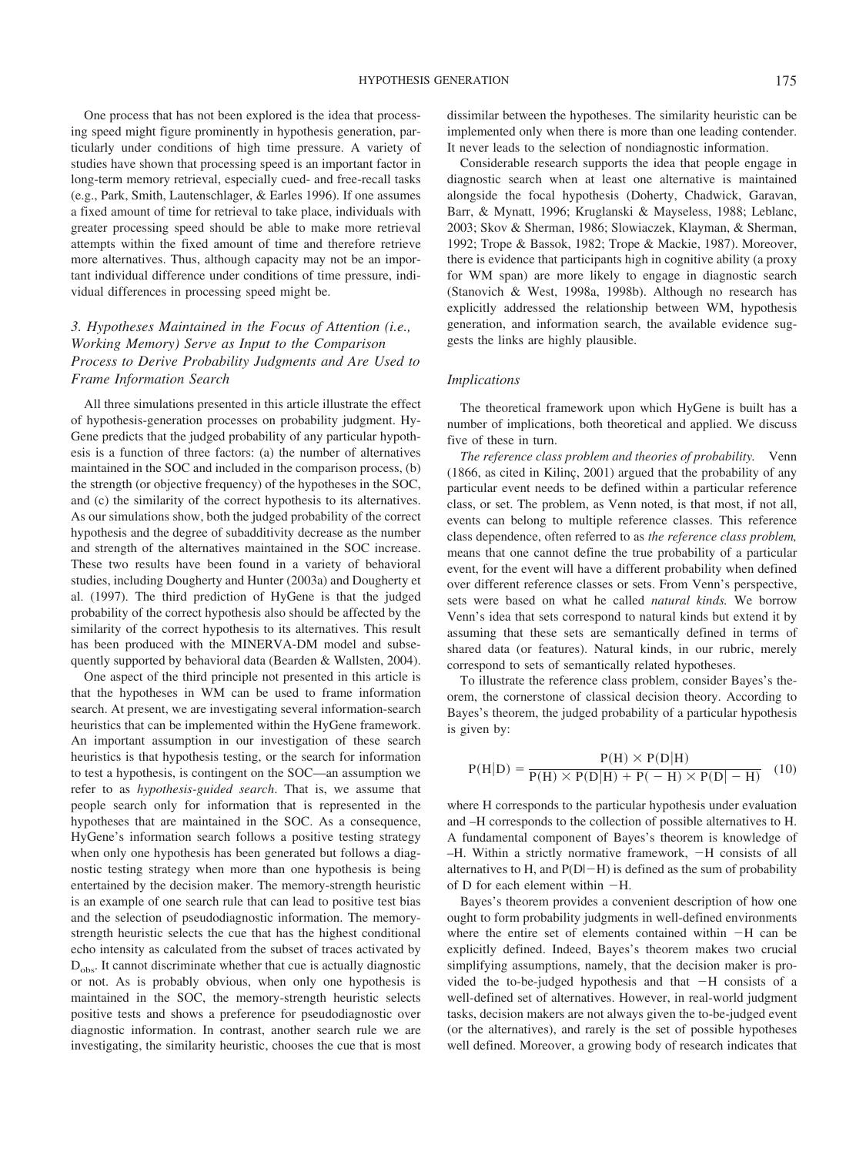One process that has not been explored is the idea that processing speed might figure prominently in hypothesis generation, particularly under conditions of high time pressure. A variety of studies have shown that processing speed is an important factor in long-term memory retrieval, especially cued- and free-recall tasks (e.g., Park, Smith, Lautenschlager, & Earles 1996). If one assumes a fixed amount of time for retrieval to take place, individuals with greater processing speed should be able to make more retrieval attempts within the fixed amount of time and therefore retrieve more alternatives. Thus, although capacity may not be an important individual difference under conditions of time pressure, individual differences in processing speed might be.

# *3. Hypotheses Maintained in the Focus of Attention (i.e., Working Memory) Serve as Input to the Comparison Process to Derive Probability Judgments and Are Used to Frame Information Search*

All three simulations presented in this article illustrate the effect of hypothesis-generation processes on probability judgment. Hy-Gene predicts that the judged probability of any particular hypothesis is a function of three factors: (a) the number of alternatives maintained in the SOC and included in the comparison process, (b) the strength (or objective frequency) of the hypotheses in the SOC, and (c) the similarity of the correct hypothesis to its alternatives. As our simulations show, both the judged probability of the correct hypothesis and the degree of subadditivity decrease as the number and strength of the alternatives maintained in the SOC increase. These two results have been found in a variety of behavioral studies, including Dougherty and Hunter (2003a) and Dougherty et al. (1997). The third prediction of HyGene is that the judged probability of the correct hypothesis also should be affected by the similarity of the correct hypothesis to its alternatives. This result has been produced with the MINERVA-DM model and subsequently supported by behavioral data (Bearden & Wallsten, 2004).

One aspect of the third principle not presented in this article is that the hypotheses in WM can be used to frame information search. At present, we are investigating several information-search heuristics that can be implemented within the HyGene framework. An important assumption in our investigation of these search heuristics is that hypothesis testing, or the search for information to test a hypothesis, is contingent on the SOC—an assumption we refer to as *hypothesis-guided search*. That is, we assume that people search only for information that is represented in the hypotheses that are maintained in the SOC. As a consequence, HyGene's information search follows a positive testing strategy when only one hypothesis has been generated but follows a diagnostic testing strategy when more than one hypothesis is being entertained by the decision maker. The memory-strength heuristic is an example of one search rule that can lead to positive test bias and the selection of pseudodiagnostic information. The memorystrength heuristic selects the cue that has the highest conditional echo intensity as calculated from the subset of traces activated by D<sub>obs</sub>. It cannot discriminate whether that cue is actually diagnostic or not. As is probably obvious, when only one hypothesis is maintained in the SOC, the memory-strength heuristic selects positive tests and shows a preference for pseudodiagnostic over diagnostic information. In contrast, another search rule we are investigating, the similarity heuristic, chooses the cue that is most

dissimilar between the hypotheses. The similarity heuristic can be implemented only when there is more than one leading contender. It never leads to the selection of nondiagnostic information.

Considerable research supports the idea that people engage in diagnostic search when at least one alternative is maintained alongside the focal hypothesis (Doherty, Chadwick, Garavan, Barr, & Mynatt, 1996; Kruglanski & Mayseless, 1988; Leblanc, 2003; Skov & Sherman, 1986; Slowiaczek, Klayman, & Sherman, 1992; Trope & Bassok, 1982; Trope & Mackie, 1987). Moreover, there is evidence that participants high in cognitive ability (a proxy for WM span) are more likely to engage in diagnostic search (Stanovich & West, 1998a, 1998b). Although no research has explicitly addressed the relationship between WM, hypothesis generation, and information search, the available evidence suggests the links are highly plausible.

#### *Implications*

The theoretical framework upon which HyGene is built has a number of implications, both theoretical and applied. We discuss five of these in turn.

*The reference class problem and theories of probability.* Venn (1866, as cited in Kilinç, 2001) argued that the probability of any particular event needs to be defined within a particular reference class, or set. The problem, as Venn noted, is that most, if not all, events can belong to multiple reference classes. This reference class dependence, often referred to as *the reference class problem,* means that one cannot define the true probability of a particular event, for the event will have a different probability when defined over different reference classes or sets. From Venn's perspective, sets were based on what he called *natural kinds.* We borrow Venn's idea that sets correspond to natural kinds but extend it by assuming that these sets are semantically defined in terms of shared data (or features). Natural kinds, in our rubric, merely correspond to sets of semantically related hypotheses.

To illustrate the reference class problem, consider Bayes's theorem, the cornerstone of classical decision theory. According to Bayes's theorem, the judged probability of a particular hypothesis is given by:

$$
P(H|D) = \frac{P(H) \times P(D|H)}{P(H) \times P(D|H) + P(-H) \times P(D|-H)}
$$
(10)

where H corresponds to the particular hypothesis under evaluation and –H corresponds to the collection of possible alternatives to H. A fundamental component of Bayes's theorem is knowledge of  $-H$ . Within a strictly normative framework,  $-H$  consists of all alternatives to H, and  $P(D|-H)$  is defined as the sum of probability of D for each element within  $-H$ .

Bayes's theorem provides a convenient description of how one ought to form probability judgments in well-defined environments where the entire set of elements contained within  $-H$  can be explicitly defined. Indeed, Bayes's theorem makes two crucial simplifying assumptions, namely, that the decision maker is provided the to-be-judged hypothesis and that  $-H$  consists of a well-defined set of alternatives. However, in real-world judgment tasks, decision makers are not always given the to-be-judged event (or the alternatives), and rarely is the set of possible hypotheses well defined. Moreover, a growing body of research indicates that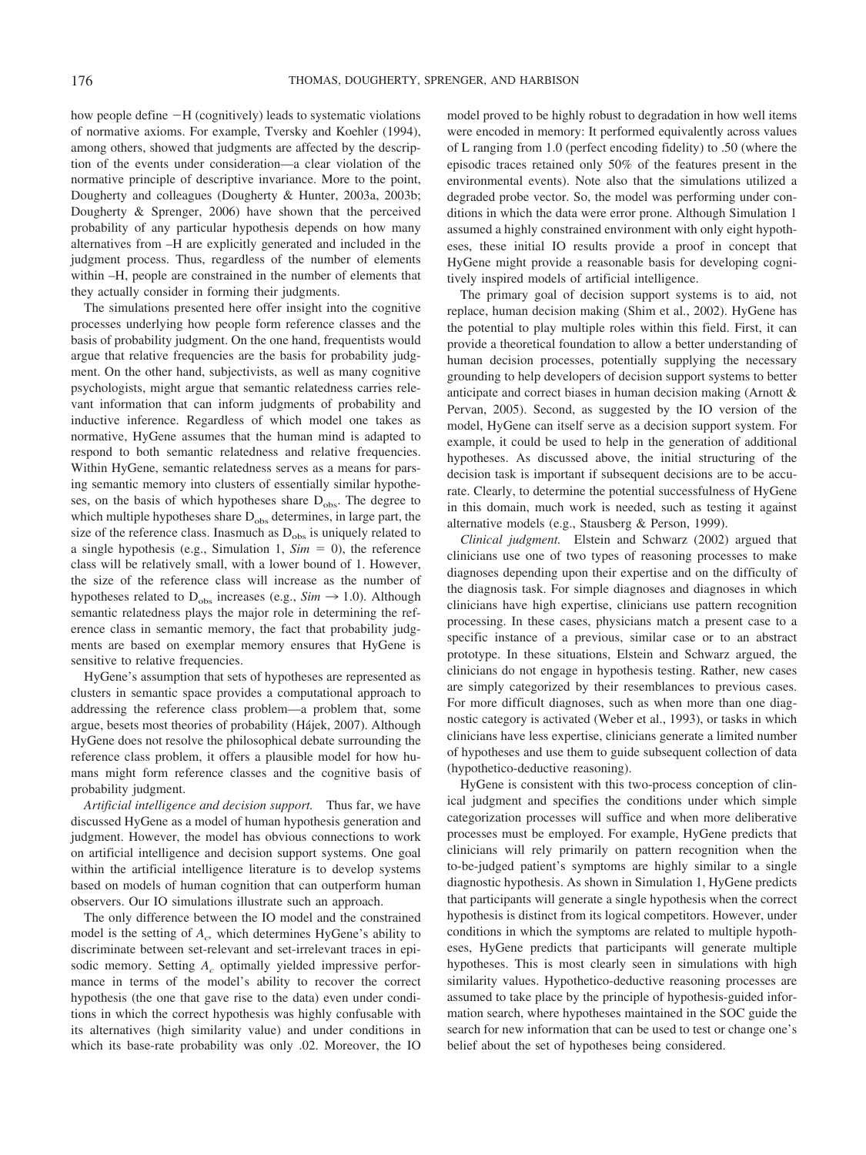how people define  $-H$  (cognitively) leads to systematic violations of normative axioms. For example, Tversky and Koehler (1994), among others, showed that judgments are affected by the description of the events under consideration—a clear violation of the normative principle of descriptive invariance. More to the point, Dougherty and colleagues (Dougherty & Hunter, 2003a, 2003b; Dougherty & Sprenger, 2006) have shown that the perceived probability of any particular hypothesis depends on how many alternatives from –H are explicitly generated and included in the judgment process. Thus, regardless of the number of elements within –H, people are constrained in the number of elements that they actually consider in forming their judgments.

The simulations presented here offer insight into the cognitive processes underlying how people form reference classes and the basis of probability judgment. On the one hand, frequentists would argue that relative frequencies are the basis for probability judgment. On the other hand, subjectivists, as well as many cognitive psychologists, might argue that semantic relatedness carries relevant information that can inform judgments of probability and inductive inference. Regardless of which model one takes as normative, HyGene assumes that the human mind is adapted to respond to both semantic relatedness and relative frequencies. Within HyGene, semantic relatedness serves as a means for parsing semantic memory into clusters of essentially similar hypotheses, on the basis of which hypotheses share D<sub>obs</sub>. The degree to which multiple hypotheses share  $D_{obs}$  determines, in large part, the size of the reference class. Inasmuch as  $D_{obs}$  is uniquely related to a single hypothesis (e.g., Simulation 1,  $Sim = 0$ ), the reference class will be relatively small, with a lower bound of 1. However, the size of the reference class will increase as the number of hypotheses related to  $D_{obs}$  increases (e.g., *Sim*  $\rightarrow$  1.0). Although semantic relatedness plays the major role in determining the reference class in semantic memory, the fact that probability judgments are based on exemplar memory ensures that HyGene is sensitive to relative frequencies.

HyGene's assumption that sets of hypotheses are represented as clusters in semantic space provides a computational approach to addressing the reference class problem—a problem that, some argue, besets most theories of probability (Hájek, 2007). Although HyGene does not resolve the philosophical debate surrounding the reference class problem, it offers a plausible model for how humans might form reference classes and the cognitive basis of probability judgment.

*Artificial intelligence and decision support.* Thus far, we have discussed HyGene as a model of human hypothesis generation and judgment. However, the model has obvious connections to work on artificial intelligence and decision support systems. One goal within the artificial intelligence literature is to develop systems based on models of human cognition that can outperform human observers. Our IO simulations illustrate such an approach.

The only difference between the IO model and the constrained model is the setting of  $A_c$ , which determines HyGene's ability to discriminate between set-relevant and set-irrelevant traces in episodic memory. Setting A<sub>c</sub> optimally yielded impressive performance in terms of the model's ability to recover the correct hypothesis (the one that gave rise to the data) even under conditions in which the correct hypothesis was highly confusable with its alternatives (high similarity value) and under conditions in which its base-rate probability was only .02. Moreover, the IO model proved to be highly robust to degradation in how well items were encoded in memory: It performed equivalently across values of L ranging from 1.0 (perfect encoding fidelity) to .50 (where the episodic traces retained only 50% of the features present in the environmental events). Note also that the simulations utilized a degraded probe vector. So, the model was performing under conditions in which the data were error prone. Although Simulation 1 assumed a highly constrained environment with only eight hypotheses, these initial IO results provide a proof in concept that HyGene might provide a reasonable basis for developing cognitively inspired models of artificial intelligence.

The primary goal of decision support systems is to aid, not replace, human decision making (Shim et al., 2002). HyGene has the potential to play multiple roles within this field. First, it can provide a theoretical foundation to allow a better understanding of human decision processes, potentially supplying the necessary grounding to help developers of decision support systems to better anticipate and correct biases in human decision making (Arnott & Pervan, 2005). Second, as suggested by the IO version of the model, HyGene can itself serve as a decision support system. For example, it could be used to help in the generation of additional hypotheses. As discussed above, the initial structuring of the decision task is important if subsequent decisions are to be accurate. Clearly, to determine the potential successfulness of HyGene in this domain, much work is needed, such as testing it against alternative models (e.g., Stausberg & Person, 1999).

*Clinical judgment.* Elstein and Schwarz (2002) argued that clinicians use one of two types of reasoning processes to make diagnoses depending upon their expertise and on the difficulty of the diagnosis task. For simple diagnoses and diagnoses in which clinicians have high expertise, clinicians use pattern recognition processing. In these cases, physicians match a present case to a specific instance of a previous, similar case or to an abstract prototype. In these situations, Elstein and Schwarz argued, the clinicians do not engage in hypothesis testing. Rather, new cases are simply categorized by their resemblances to previous cases. For more difficult diagnoses, such as when more than one diagnostic category is activated (Weber et al., 1993), or tasks in which clinicians have less expertise, clinicians generate a limited number of hypotheses and use them to guide subsequent collection of data (hypothetico-deductive reasoning).

HyGene is consistent with this two-process conception of clinical judgment and specifies the conditions under which simple categorization processes will suffice and when more deliberative processes must be employed. For example, HyGene predicts that clinicians will rely primarily on pattern recognition when the to-be-judged patient's symptoms are highly similar to a single diagnostic hypothesis. As shown in Simulation 1, HyGene predicts that participants will generate a single hypothesis when the correct hypothesis is distinct from its logical competitors. However, under conditions in which the symptoms are related to multiple hypotheses, HyGene predicts that participants will generate multiple hypotheses. This is most clearly seen in simulations with high similarity values. Hypothetico-deductive reasoning processes are assumed to take place by the principle of hypothesis-guided information search, where hypotheses maintained in the SOC guide the search for new information that can be used to test or change one's belief about the set of hypotheses being considered.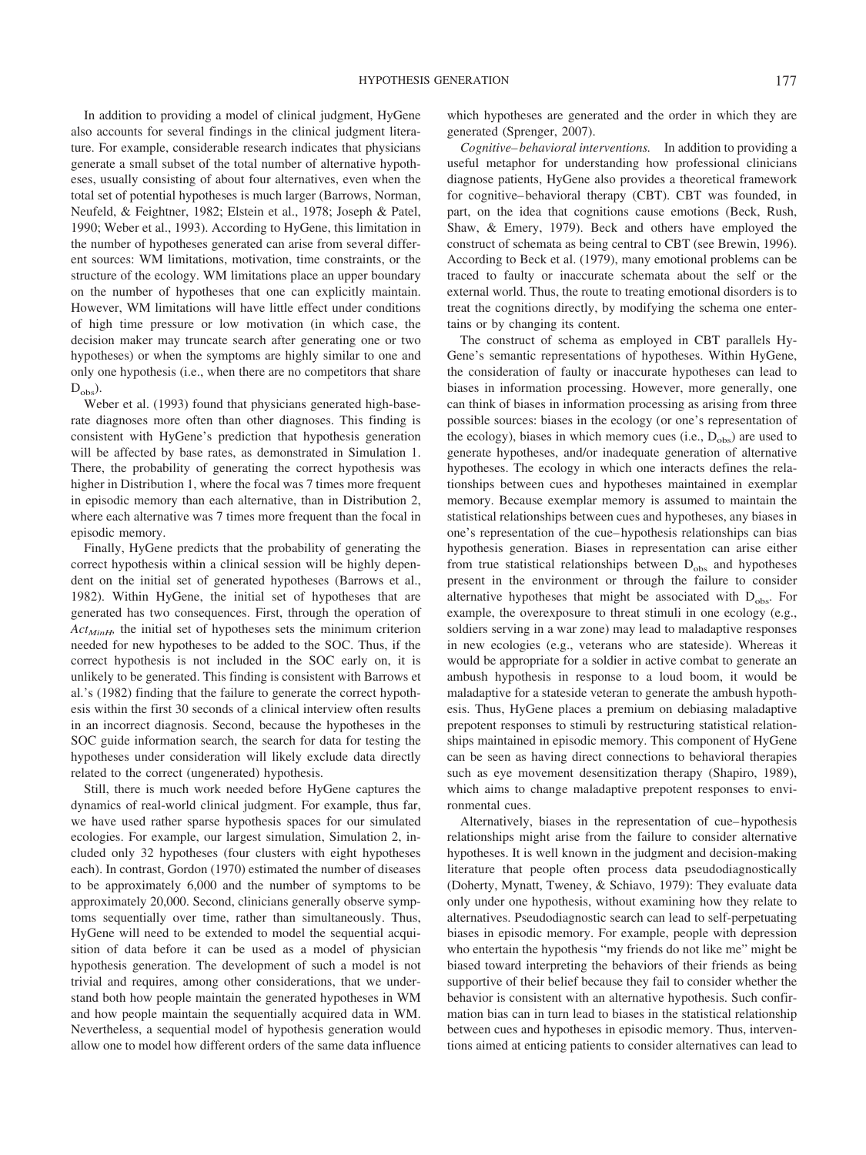In addition to providing a model of clinical judgment, HyGene also accounts for several findings in the clinical judgment literature. For example, considerable research indicates that physicians generate a small subset of the total number of alternative hypotheses, usually consisting of about four alternatives, even when the total set of potential hypotheses is much larger (Barrows, Norman, Neufeld, & Feightner, 1982; Elstein et al., 1978; Joseph & Patel, 1990; Weber et al., 1993). According to HyGene, this limitation in the number of hypotheses generated can arise from several different sources: WM limitations, motivation, time constraints, or the structure of the ecology. WM limitations place an upper boundary on the number of hypotheses that one can explicitly maintain. However, WM limitations will have little effect under conditions of high time pressure or low motivation (in which case, the decision maker may truncate search after generating one or two hypotheses) or when the symptoms are highly similar to one and only one hypothesis (i.e., when there are no competitors that share  $D_{\rm obs}$ ).

Weber et al. (1993) found that physicians generated high-baserate diagnoses more often than other diagnoses. This finding is consistent with HyGene's prediction that hypothesis generation will be affected by base rates, as demonstrated in Simulation 1. There, the probability of generating the correct hypothesis was higher in Distribution 1, where the focal was 7 times more frequent in episodic memory than each alternative, than in Distribution 2, where each alternative was 7 times more frequent than the focal in episodic memory.

Finally, HyGene predicts that the probability of generating the correct hypothesis within a clinical session will be highly dependent on the initial set of generated hypotheses (Barrows et al., 1982). Within HyGene, the initial set of hypotheses that are generated has two consequences. First, through the operation of  $Act_{MinH}$ , the initial set of hypotheses sets the minimum criterion needed for new hypotheses to be added to the SOC. Thus, if the correct hypothesis is not included in the SOC early on, it is unlikely to be generated. This finding is consistent with Barrows et al.'s (1982) finding that the failure to generate the correct hypothesis within the first 30 seconds of a clinical interview often results in an incorrect diagnosis. Second, because the hypotheses in the SOC guide information search, the search for data for testing the hypotheses under consideration will likely exclude data directly related to the correct (ungenerated) hypothesis.

Still, there is much work needed before HyGene captures the dynamics of real-world clinical judgment. For example, thus far, we have used rather sparse hypothesis spaces for our simulated ecologies. For example, our largest simulation, Simulation 2, included only 32 hypotheses (four clusters with eight hypotheses each). In contrast, Gordon (1970) estimated the number of diseases to be approximately 6,000 and the number of symptoms to be approximately 20,000. Second, clinicians generally observe symptoms sequentially over time, rather than simultaneously. Thus, HyGene will need to be extended to model the sequential acquisition of data before it can be used as a model of physician hypothesis generation. The development of such a model is not trivial and requires, among other considerations, that we understand both how people maintain the generated hypotheses in WM and how people maintain the sequentially acquired data in WM. Nevertheless, a sequential model of hypothesis generation would allow one to model how different orders of the same data influence which hypotheses are generated and the order in which they are generated (Sprenger, 2007).

*Cognitive– behavioral interventions.* In addition to providing a useful metaphor for understanding how professional clinicians diagnose patients, HyGene also provides a theoretical framework for cognitive– behavioral therapy (CBT). CBT was founded, in part, on the idea that cognitions cause emotions (Beck, Rush, Shaw, & Emery, 1979). Beck and others have employed the construct of schemata as being central to CBT (see Brewin, 1996). According to Beck et al. (1979), many emotional problems can be traced to faulty or inaccurate schemata about the self or the external world. Thus, the route to treating emotional disorders is to treat the cognitions directly, by modifying the schema one entertains or by changing its content.

The construct of schema as employed in CBT parallels Hy-Gene's semantic representations of hypotheses. Within HyGene, the consideration of faulty or inaccurate hypotheses can lead to biases in information processing. However, more generally, one can think of biases in information processing as arising from three possible sources: biases in the ecology (or one's representation of the ecology), biases in which memory cues (i.e.,  $D_{obs}$ ) are used to generate hypotheses, and/or inadequate generation of alternative hypotheses. The ecology in which one interacts defines the relationships between cues and hypotheses maintained in exemplar memory. Because exemplar memory is assumed to maintain the statistical relationships between cues and hypotheses, any biases in one's representation of the cue– hypothesis relationships can bias hypothesis generation. Biases in representation can arise either from true statistical relationships between  $D_{obs}$  and hypotheses present in the environment or through the failure to consider alternative hypotheses that might be associated with  $D_{obs}$ . For example, the overexposure to threat stimuli in one ecology (e.g., soldiers serving in a war zone) may lead to maladaptive responses in new ecologies (e.g., veterans who are stateside). Whereas it would be appropriate for a soldier in active combat to generate an ambush hypothesis in response to a loud boom, it would be maladaptive for a stateside veteran to generate the ambush hypothesis. Thus, HyGene places a premium on debiasing maladaptive prepotent responses to stimuli by restructuring statistical relationships maintained in episodic memory. This component of HyGene can be seen as having direct connections to behavioral therapies such as eye movement desensitization therapy (Shapiro, 1989), which aims to change maladaptive prepotent responses to environmental cues.

Alternatively, biases in the representation of cue–hypothesis relationships might arise from the failure to consider alternative hypotheses. It is well known in the judgment and decision-making literature that people often process data pseudodiagnostically (Doherty, Mynatt, Tweney, & Schiavo, 1979): They evaluate data only under one hypothesis, without examining how they relate to alternatives. Pseudodiagnostic search can lead to self-perpetuating biases in episodic memory. For example, people with depression who entertain the hypothesis "my friends do not like me" might be biased toward interpreting the behaviors of their friends as being supportive of their belief because they fail to consider whether the behavior is consistent with an alternative hypothesis. Such confirmation bias can in turn lead to biases in the statistical relationship between cues and hypotheses in episodic memory. Thus, interventions aimed at enticing patients to consider alternatives can lead to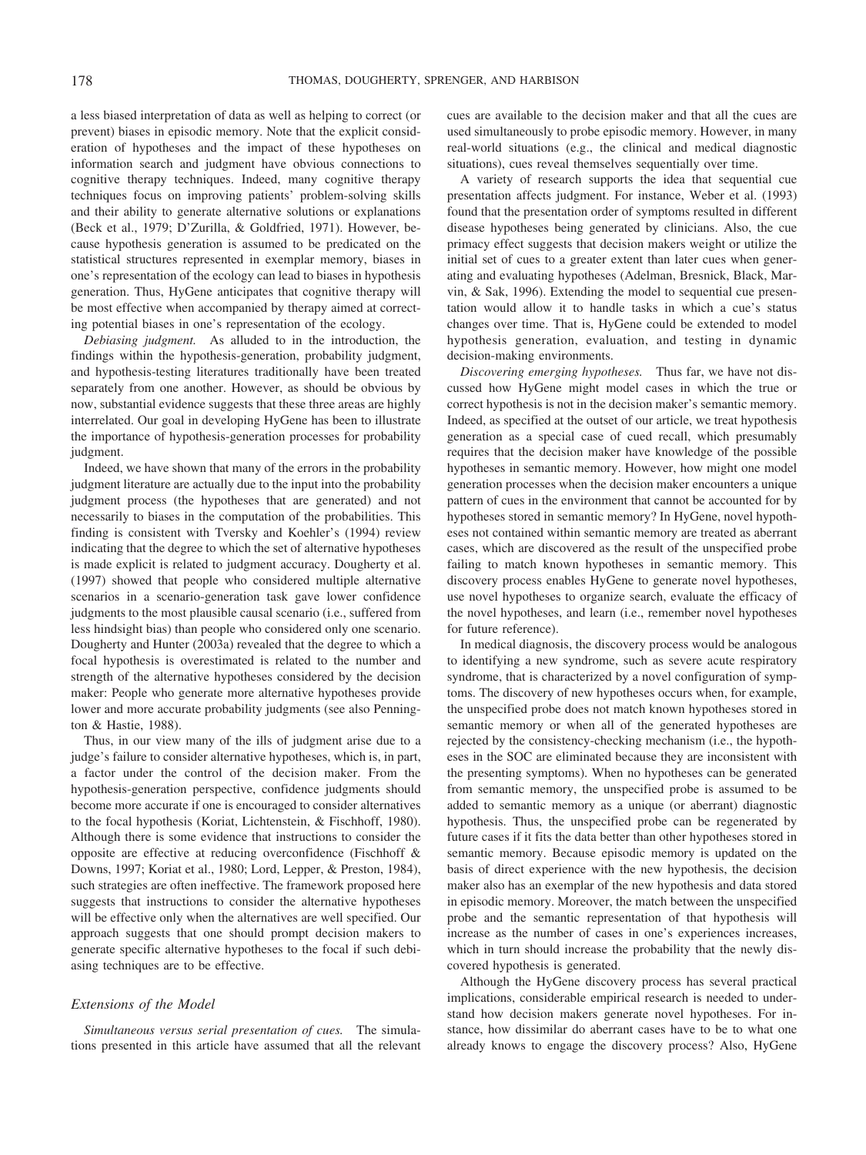a less biased interpretation of data as well as helping to correct (or prevent) biases in episodic memory. Note that the explicit consideration of hypotheses and the impact of these hypotheses on information search and judgment have obvious connections to cognitive therapy techniques. Indeed, many cognitive therapy techniques focus on improving patients' problem-solving skills and their ability to generate alternative solutions or explanations (Beck et al., 1979; D'Zurilla, & Goldfried, 1971). However, because hypothesis generation is assumed to be predicated on the statistical structures represented in exemplar memory, biases in one's representation of the ecology can lead to biases in hypothesis generation. Thus, HyGene anticipates that cognitive therapy will be most effective when accompanied by therapy aimed at correcting potential biases in one's representation of the ecology.

*Debiasing judgment.* As alluded to in the introduction, the findings within the hypothesis-generation, probability judgment, and hypothesis-testing literatures traditionally have been treated separately from one another. However, as should be obvious by now, substantial evidence suggests that these three areas are highly interrelated. Our goal in developing HyGene has been to illustrate the importance of hypothesis-generation processes for probability judgment.

Indeed, we have shown that many of the errors in the probability judgment literature are actually due to the input into the probability judgment process (the hypotheses that are generated) and not necessarily to biases in the computation of the probabilities. This finding is consistent with Tversky and Koehler's (1994) review indicating that the degree to which the set of alternative hypotheses is made explicit is related to judgment accuracy. Dougherty et al. (1997) showed that people who considered multiple alternative scenarios in a scenario-generation task gave lower confidence judgments to the most plausible causal scenario (i.e., suffered from less hindsight bias) than people who considered only one scenario. Dougherty and Hunter (2003a) revealed that the degree to which a focal hypothesis is overestimated is related to the number and strength of the alternative hypotheses considered by the decision maker: People who generate more alternative hypotheses provide lower and more accurate probability judgments (see also Pennington & Hastie, 1988).

Thus, in our view many of the ills of judgment arise due to a judge's failure to consider alternative hypotheses, which is, in part, a factor under the control of the decision maker. From the hypothesis-generation perspective, confidence judgments should become more accurate if one is encouraged to consider alternatives to the focal hypothesis (Koriat, Lichtenstein, & Fischhoff, 1980). Although there is some evidence that instructions to consider the opposite are effective at reducing overconfidence (Fischhoff & Downs, 1997; Koriat et al., 1980; Lord, Lepper, & Preston, 1984), such strategies are often ineffective. The framework proposed here suggests that instructions to consider the alternative hypotheses will be effective only when the alternatives are well specified. Our approach suggests that one should prompt decision makers to generate specific alternative hypotheses to the focal if such debiasing techniques are to be effective.

# *Extensions of the Model*

*Simultaneous versus serial presentation of cues.* The simulations presented in this article have assumed that all the relevant cues are available to the decision maker and that all the cues are used simultaneously to probe episodic memory. However, in many real-world situations (e.g., the clinical and medical diagnostic situations), cues reveal themselves sequentially over time.

A variety of research supports the idea that sequential cue presentation affects judgment. For instance, Weber et al. (1993) found that the presentation order of symptoms resulted in different disease hypotheses being generated by clinicians. Also, the cue primacy effect suggests that decision makers weight or utilize the initial set of cues to a greater extent than later cues when generating and evaluating hypotheses (Adelman, Bresnick, Black, Marvin, & Sak, 1996). Extending the model to sequential cue presentation would allow it to handle tasks in which a cue's status changes over time. That is, HyGene could be extended to model hypothesis generation, evaluation, and testing in dynamic decision-making environments.

*Discovering emerging hypotheses.* Thus far, we have not discussed how HyGene might model cases in which the true or correct hypothesis is not in the decision maker's semantic memory. Indeed, as specified at the outset of our article, we treat hypothesis generation as a special case of cued recall, which presumably requires that the decision maker have knowledge of the possible hypotheses in semantic memory. However, how might one model generation processes when the decision maker encounters a unique pattern of cues in the environment that cannot be accounted for by hypotheses stored in semantic memory? In HyGene, novel hypotheses not contained within semantic memory are treated as aberrant cases, which are discovered as the result of the unspecified probe failing to match known hypotheses in semantic memory. This discovery process enables HyGene to generate novel hypotheses, use novel hypotheses to organize search, evaluate the efficacy of the novel hypotheses, and learn (i.e., remember novel hypotheses for future reference).

In medical diagnosis, the discovery process would be analogous to identifying a new syndrome, such as severe acute respiratory syndrome, that is characterized by a novel configuration of symptoms. The discovery of new hypotheses occurs when, for example, the unspecified probe does not match known hypotheses stored in semantic memory or when all of the generated hypotheses are rejected by the consistency-checking mechanism (i.e., the hypotheses in the SOC are eliminated because they are inconsistent with the presenting symptoms). When no hypotheses can be generated from semantic memory, the unspecified probe is assumed to be added to semantic memory as a unique (or aberrant) diagnostic hypothesis. Thus, the unspecified probe can be regenerated by future cases if it fits the data better than other hypotheses stored in semantic memory. Because episodic memory is updated on the basis of direct experience with the new hypothesis, the decision maker also has an exemplar of the new hypothesis and data stored in episodic memory. Moreover, the match between the unspecified probe and the semantic representation of that hypothesis will increase as the number of cases in one's experiences increases, which in turn should increase the probability that the newly discovered hypothesis is generated.

Although the HyGene discovery process has several practical implications, considerable empirical research is needed to understand how decision makers generate novel hypotheses. For instance, how dissimilar do aberrant cases have to be to what one already knows to engage the discovery process? Also, HyGene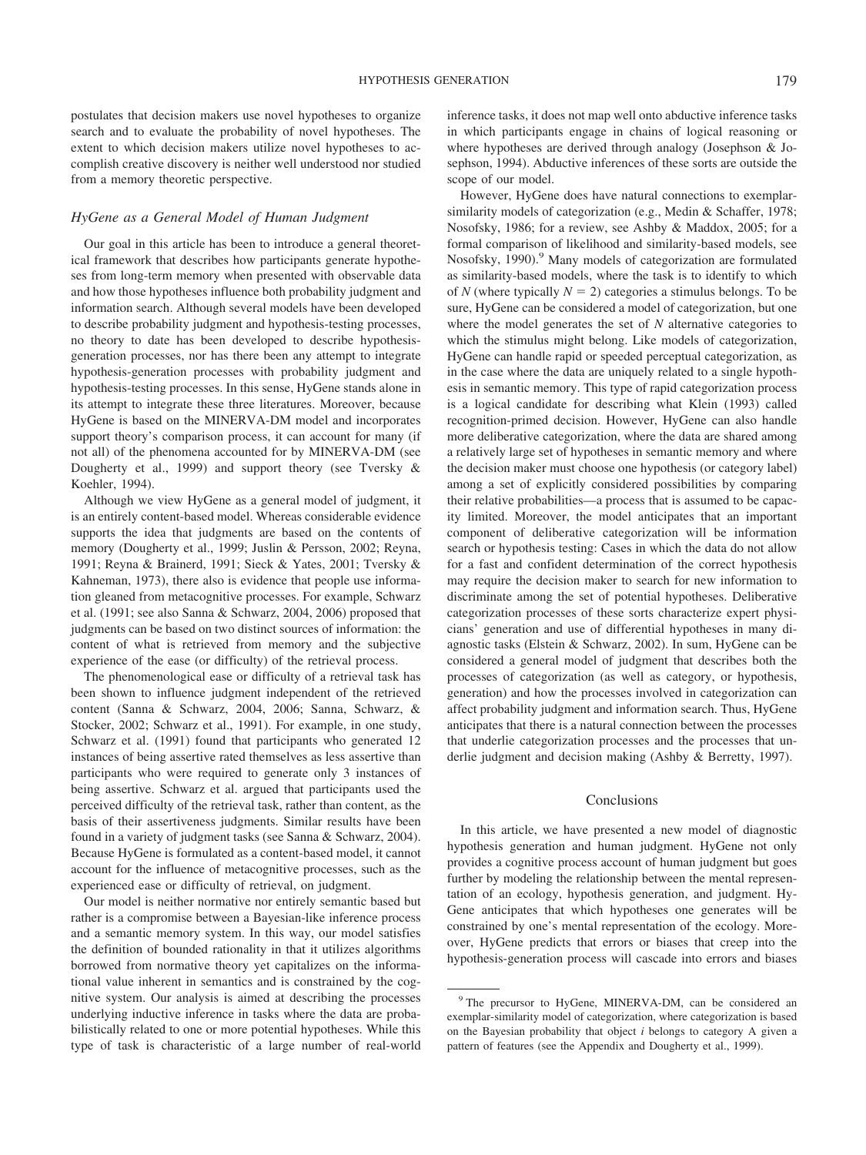postulates that decision makers use novel hypotheses to organize search and to evaluate the probability of novel hypotheses. The extent to which decision makers utilize novel hypotheses to accomplish creative discovery is neither well understood nor studied from a memory theoretic perspective.

# *HyGene as a General Model of Human Judgment*

Our goal in this article has been to introduce a general theoretical framework that describes how participants generate hypotheses from long-term memory when presented with observable data and how those hypotheses influence both probability judgment and information search. Although several models have been developed to describe probability judgment and hypothesis-testing processes, no theory to date has been developed to describe hypothesisgeneration processes, nor has there been any attempt to integrate hypothesis-generation processes with probability judgment and hypothesis-testing processes. In this sense, HyGene stands alone in its attempt to integrate these three literatures. Moreover, because HyGene is based on the MINERVA-DM model and incorporates support theory's comparison process, it can account for many (if not all) of the phenomena accounted for by MINERVA-DM (see Dougherty et al., 1999) and support theory (see Tversky & Koehler, 1994).

Although we view HyGene as a general model of judgment, it is an entirely content-based model. Whereas considerable evidence supports the idea that judgments are based on the contents of memory (Dougherty et al., 1999; Juslin & Persson, 2002; Reyna, 1991; Reyna & Brainerd, 1991; Sieck & Yates, 2001; Tversky & Kahneman, 1973), there also is evidence that people use information gleaned from metacognitive processes. For example, Schwarz et al. (1991; see also Sanna & Schwarz, 2004, 2006) proposed that judgments can be based on two distinct sources of information: the content of what is retrieved from memory and the subjective experience of the ease (or difficulty) of the retrieval process.

The phenomenological ease or difficulty of a retrieval task has been shown to influence judgment independent of the retrieved content (Sanna & Schwarz, 2004, 2006; Sanna, Schwarz, & Stocker, 2002; Schwarz et al., 1991). For example, in one study, Schwarz et al. (1991) found that participants who generated 12 instances of being assertive rated themselves as less assertive than participants who were required to generate only 3 instances of being assertive. Schwarz et al. argued that participants used the perceived difficulty of the retrieval task, rather than content, as the basis of their assertiveness judgments. Similar results have been found in a variety of judgment tasks (see Sanna & Schwarz, 2004). Because HyGene is formulated as a content-based model, it cannot account for the influence of metacognitive processes, such as the experienced ease or difficulty of retrieval, on judgment.

Our model is neither normative nor entirely semantic based but rather is a compromise between a Bayesian-like inference process and a semantic memory system. In this way, our model satisfies the definition of bounded rationality in that it utilizes algorithms borrowed from normative theory yet capitalizes on the informational value inherent in semantics and is constrained by the cognitive system. Our analysis is aimed at describing the processes underlying inductive inference in tasks where the data are probabilistically related to one or more potential hypotheses. While this type of task is characteristic of a large number of real-world inference tasks, it does not map well onto abductive inference tasks in which participants engage in chains of logical reasoning or where hypotheses are derived through analogy (Josephson & Josephson, 1994). Abductive inferences of these sorts are outside the scope of our model.

However, HyGene does have natural connections to exemplarsimilarity models of categorization (e.g., Medin & Schaffer, 1978; Nosofsky, 1986; for a review, see Ashby & Maddox, 2005; for a formal comparison of likelihood and similarity-based models, see Nosofsky, 1990).<sup>9</sup> Many models of categorization are formulated as similarity-based models, where the task is to identify to which of *N* (where typically  $N = 2$ ) categories a stimulus belongs. To be sure, HyGene can be considered a model of categorization, but one where the model generates the set of *N* alternative categories to which the stimulus might belong. Like models of categorization, HyGene can handle rapid or speeded perceptual categorization, as in the case where the data are uniquely related to a single hypothesis in semantic memory. This type of rapid categorization process is a logical candidate for describing what Klein (1993) called recognition-primed decision. However, HyGene can also handle more deliberative categorization, where the data are shared among a relatively large set of hypotheses in semantic memory and where the decision maker must choose one hypothesis (or category label) among a set of explicitly considered possibilities by comparing their relative probabilities—a process that is assumed to be capacity limited. Moreover, the model anticipates that an important component of deliberative categorization will be information search or hypothesis testing: Cases in which the data do not allow for a fast and confident determination of the correct hypothesis may require the decision maker to search for new information to discriminate among the set of potential hypotheses. Deliberative categorization processes of these sorts characterize expert physicians' generation and use of differential hypotheses in many diagnostic tasks (Elstein & Schwarz, 2002). In sum, HyGene can be considered a general model of judgment that describes both the processes of categorization (as well as category, or hypothesis, generation) and how the processes involved in categorization can affect probability judgment and information search. Thus, HyGene anticipates that there is a natural connection between the processes that underlie categorization processes and the processes that underlie judgment and decision making (Ashby & Berretty, 1997).

## Conclusions

In this article, we have presented a new model of diagnostic hypothesis generation and human judgment. HyGene not only provides a cognitive process account of human judgment but goes further by modeling the relationship between the mental representation of an ecology, hypothesis generation, and judgment. Hy-Gene anticipates that which hypotheses one generates will be constrained by one's mental representation of the ecology. Moreover, HyGene predicts that errors or biases that creep into the hypothesis-generation process will cascade into errors and biases

<sup>9</sup> The precursor to HyGene, MINERVA-DM, can be considered an exemplar-similarity model of categorization, where categorization is based on the Bayesian probability that object *i* belongs to category A given a pattern of features (see the Appendix and Dougherty et al., 1999).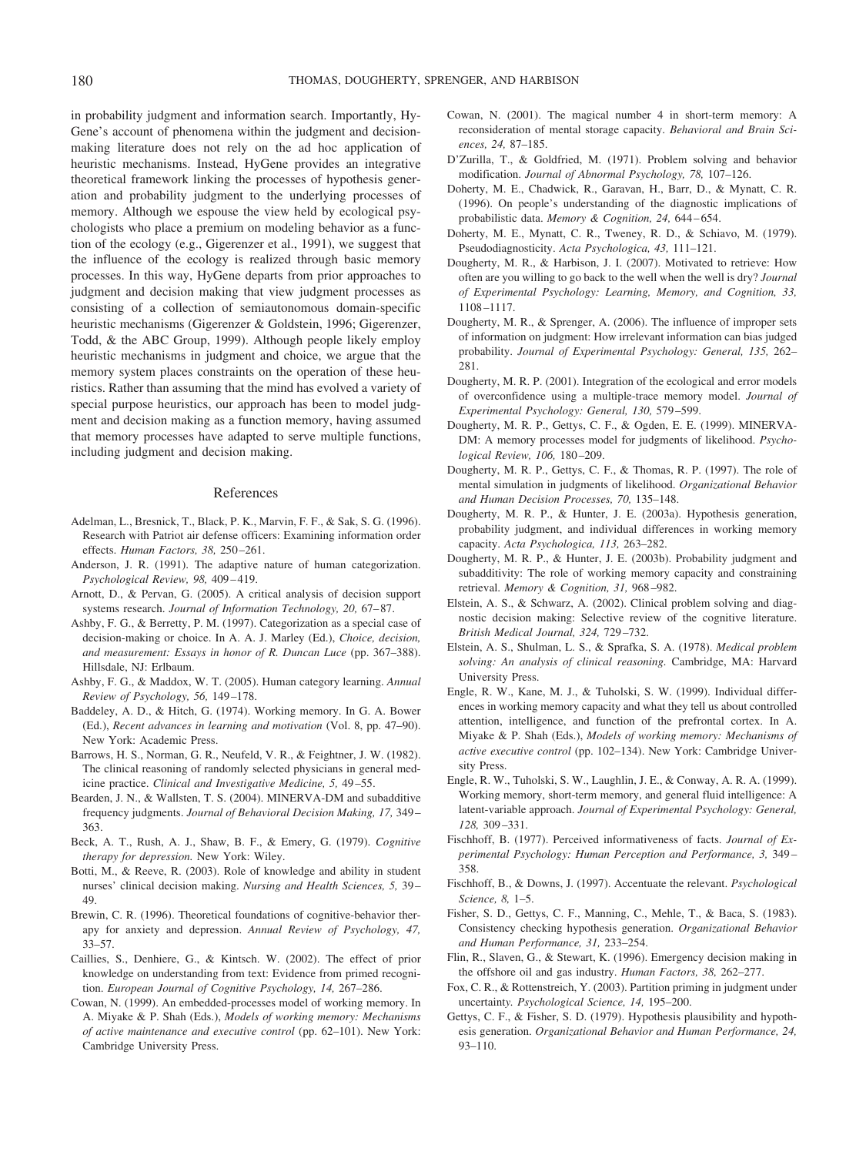in probability judgment and information search. Importantly, Hy-Gene's account of phenomena within the judgment and decisionmaking literature does not rely on the ad hoc application of heuristic mechanisms. Instead, HyGene provides an integrative theoretical framework linking the processes of hypothesis generation and probability judgment to the underlying processes of memory. Although we espouse the view held by ecological psychologists who place a premium on modeling behavior as a function of the ecology (e.g., Gigerenzer et al., 1991), we suggest that the influence of the ecology is realized through basic memory processes. In this way, HyGene departs from prior approaches to judgment and decision making that view judgment processes as consisting of a collection of semiautonomous domain-specific heuristic mechanisms (Gigerenzer & Goldstein, 1996; Gigerenzer, Todd, & the ABC Group, 1999). Although people likely employ heuristic mechanisms in judgment and choice, we argue that the memory system places constraints on the operation of these heuristics. Rather than assuming that the mind has evolved a variety of special purpose heuristics, our approach has been to model judgment and decision making as a function memory, having assumed that memory processes have adapted to serve multiple functions, including judgment and decision making.

#### References

- Adelman, L., Bresnick, T., Black, P. K., Marvin, F. F., & Sak, S. G. (1996). Research with Patriot air defense officers: Examining information order effects. *Human Factors, 38,* 250 –261.
- Anderson, J. R. (1991). The adaptive nature of human categorization. *Psychological Review, 98,* 409 – 419.
- Arnott, D., & Pervan, G. (2005). A critical analysis of decision support systems research. *Journal of Information Technology, 20, 67-87*.
- Ashby, F. G., & Berretty, P. M. (1997). Categorization as a special case of decision-making or choice. In A. A. J. Marley (Ed.), *Choice, decision, and measurement: Essays in honor of R. Duncan Luce* (pp. 367–388). Hillsdale, NJ: Erlbaum.
- Ashby, F. G., & Maddox, W. T. (2005). Human category learning. *Annual Review of Psychology, 56,* 149 –178.
- Baddeley, A. D., & Hitch, G. (1974). Working memory. In G. A. Bower (Ed.), *Recent advances in learning and motivation* (Vol. 8, pp. 47–90). New York: Academic Press.
- Barrows, H. S., Norman, G. R., Neufeld, V. R., & Feightner, J. W. (1982). The clinical reasoning of randomly selected physicians in general medicine practice. *Clinical and Investigative Medicine, 5,* 49 –55.
- Bearden, J. N., & Wallsten, T. S. (2004). MINERVA-DM and subadditive frequency judgments. *Journal of Behavioral Decision Making, 17,* 349 – 363.
- Beck, A. T., Rush, A. J., Shaw, B. F., & Emery, G. (1979). *Cognitive therapy for depression.* New York: Wiley.
- Botti, M., & Reeve, R. (2003). Role of knowledge and ability in student nurses' clinical decision making. *Nursing and Health Sciences, 5,* 39 – 49.
- Brewin, C. R. (1996). Theoretical foundations of cognitive-behavior therapy for anxiety and depression. *Annual Review of Psychology, 47,* 33–57.
- Caillies, S., Denhiere, G., & Kintsch. W. (2002). The effect of prior knowledge on understanding from text: Evidence from primed recognition. *European Journal of Cognitive Psychology, 14,* 267–286.
- Cowan, N. (1999). An embedded-processes model of working memory. In A. Miyake & P. Shah (Eds.), *Models of working memory: Mechanisms of active maintenance and executive control* (pp. 62–101). New York: Cambridge University Press.
- Cowan, N. (2001). The magical number 4 in short-term memory: A reconsideration of mental storage capacity. *Behavioral and Brain Sciences, 24,* 87–185.
- D'Zurilla, T., & Goldfried, M. (1971). Problem solving and behavior modification. *Journal of Abnormal Psychology, 78,* 107–126.
- Doherty, M. E., Chadwick, R., Garavan, H., Barr, D., & Mynatt, C. R. (1996). On people's understanding of the diagnostic implications of probabilistic data. *Memory & Cognition, 24,* 644 – 654.
- Doherty, M. E., Mynatt, C. R., Tweney, R. D., & Schiavo, M. (1979). Pseudodiagnosticity. *Acta Psychologica, 43,* 111–121.
- Dougherty, M. R., & Harbison, J. I. (2007). Motivated to retrieve: How often are you willing to go back to the well when the well is dry? *Journal of Experimental Psychology: Learning, Memory, and Cognition, 33,* 1108 –1117.
- Dougherty, M. R., & Sprenger, A. (2006). The influence of improper sets of information on judgment: How irrelevant information can bias judged probability. *Journal of Experimental Psychology: General, 135,* 262– 281.
- Dougherty, M. R. P. (2001). Integration of the ecological and error models of overconfidence using a multiple-trace memory model. *Journal of Experimental Psychology: General, 130,* 579 –599.
- Dougherty, M. R. P., Gettys, C. F., & Ogden, E. E. (1999). MINERVA-DM: A memory processes model for judgments of likelihood. *Psychological Review, 106,* 180 –209.
- Dougherty, M. R. P., Gettys, C. F., & Thomas, R. P. (1997). The role of mental simulation in judgments of likelihood. *Organizational Behavior and Human Decision Processes, 70,* 135–148.
- Dougherty, M. R. P., & Hunter, J. E. (2003a). Hypothesis generation, probability judgment, and individual differences in working memory capacity. *Acta Psychologica, 113,* 263–282.
- Dougherty, M. R. P., & Hunter, J. E. (2003b). Probability judgment and subadditivity: The role of working memory capacity and constraining retrieval. *Memory & Cognition, 31,* 968 –982.
- Elstein, A. S., & Schwarz, A. (2002). Clinical problem solving and diagnostic decision making: Selective review of the cognitive literature. *British Medical Journal, 324,* 729 –732.
- Elstein, A. S., Shulman, L. S., & Sprafka, S. A. (1978). *Medical problem solving: An analysis of clinical reasoning.* Cambridge, MA: Harvard University Press.
- Engle, R. W., Kane, M. J., & Tuholski, S. W. (1999). Individual differences in working memory capacity and what they tell us about controlled attention, intelligence, and function of the prefrontal cortex. In A. Miyake & P. Shah (Eds.), *Models of working memory: Mechanisms of active executive control* (pp. 102–134). New York: Cambridge University Press.
- Engle, R. W., Tuholski, S. W., Laughlin, J. E., & Conway, A. R. A. (1999). Working memory, short-term memory, and general fluid intelligence: A latent-variable approach. *Journal of Experimental Psychology: General, 128,* 309 –331.
- Fischhoff, B. (1977). Perceived informativeness of facts. *Journal of Experimental Psychology: Human Perception and Performance, 3,* 349 – 358.
- Fischhoff, B., & Downs, J. (1997). Accentuate the relevant. *Psychological Science, 8,* 1–5.
- Fisher, S. D., Gettys, C. F., Manning, C., Mehle, T., & Baca, S. (1983). Consistency checking hypothesis generation. *Organizational Behavior and Human Performance, 31,* 233–254.
- Flin, R., Slaven, G., & Stewart, K. (1996). Emergency decision making in the offshore oil and gas industry. *Human Factors, 38,* 262–277.
- Fox, C. R., & Rottenstreich, Y. (2003). Partition priming in judgment under uncertaint*y. Psychological Science, 14,* 195–200.
- Gettys, C. F., & Fisher, S. D. (1979). Hypothesis plausibility and hypothesis generation. *Organizational Behavior and Human Performance, 24,* 93–110.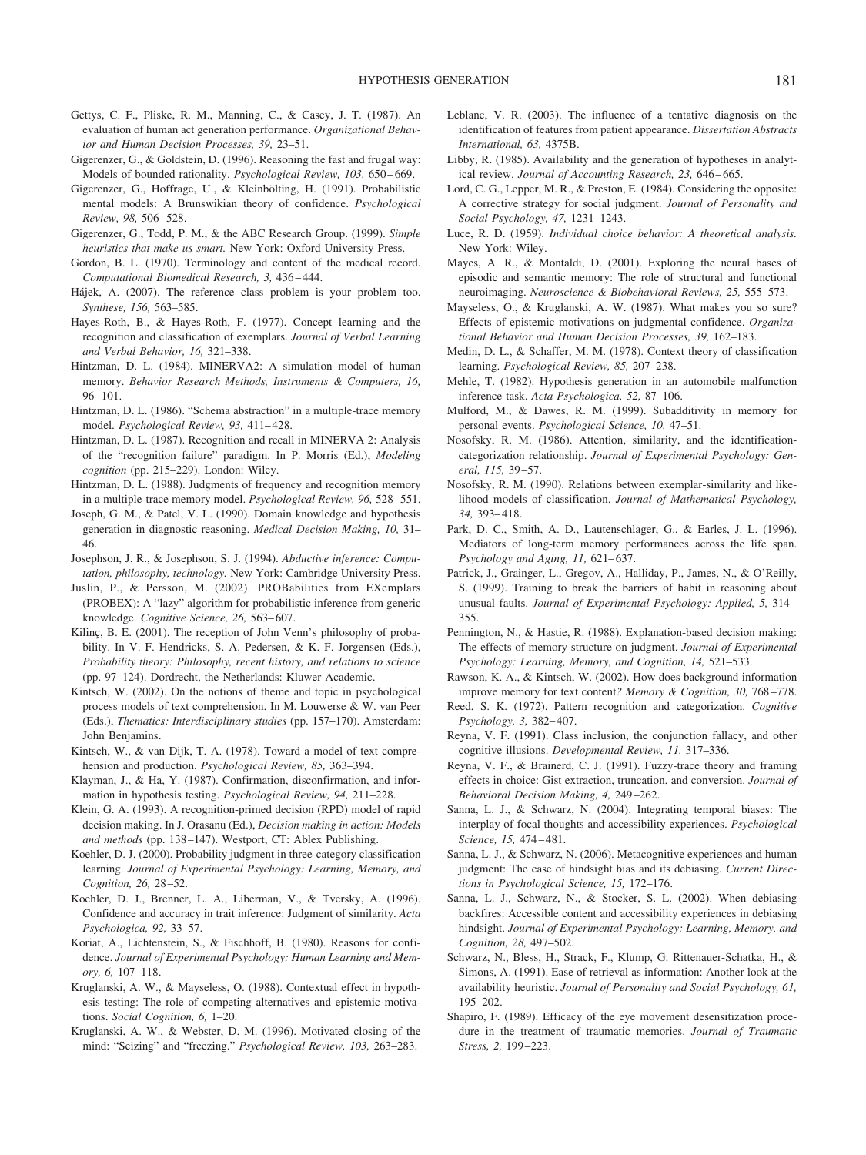- Gettys, C. F., Pliske, R. M., Manning, C., & Casey, J. T. (1987). An evaluation of human act generation performance. *Organizational Behavior and Human Decision Processes, 39,* 23–51.
- Gigerenzer, G., & Goldstein, D. (1996). Reasoning the fast and frugal way: Models of bounded rationality. *Psychological Review, 103, 650*-669.
- Gigerenzer, G., Hoffrage, U., & Kleinbölting, H. (1991). Probabilistic mental models: A Brunswikian theory of confidence. *Psychological Review, 98,* 506 –528.
- Gigerenzer, G., Todd, P. M., & the ABC Research Group. (1999). *Simple heuristics that make us smart.* New York: Oxford University Press.
- Gordon, B. L. (1970). Terminology and content of the medical record. *Computational Biomedical Research, 3,* 436 – 444.
- Hájek, A. (2007). The reference class problem is your problem too. *Synthese, 156,* 563–585.
- Hayes-Roth, B., & Hayes-Roth, F. (1977). Concept learning and the recognition and classification of exemplars. *Journal of Verbal Learning and Verbal Behavior, 16,* 321–338.
- Hintzman, D. L. (1984). MINERVA2: A simulation model of human memory. *Behavior Research Methods, Instruments & Computers, 16,* 96 –101.
- Hintzman, D. L. (1986). "Schema abstraction" in a multiple-trace memory model. *Psychological Review, 93,* 411– 428.
- Hintzman, D. L. (1987). Recognition and recall in MINERVA 2: Analysis of the "recognition failure" paradigm. In P. Morris (Ed.), *Modeling cognition* (pp. 215–229). London: Wiley.
- Hintzman, D. L. (1988). Judgments of frequency and recognition memory in a multiple-trace memory model. *Psychological Review, 96,* 528 –551.
- Joseph, G. M., & Patel, V. L. (1990). Domain knowledge and hypothesis generation in diagnostic reasoning. *Medical Decision Making, 10,* 31– 46.
- Josephson, J. R., & Josephson, S. J. (1994). *Abductive inference: Computation, philosophy, technology.* New York: Cambridge University Press.
- Juslin, P., & Persson, M. (2002). PROBabilities from EXemplars (PROBEX): A "lazy" algorithm for probabilistic inference from generic knowledge. *Cognitive Science, 26,* 563– 607.
- Kilinç, B. E. (2001). The reception of John Venn's philosophy of probability. In V. F. Hendricks, S. A. Pedersen, & K. F. Jorgensen (Eds.), *Probability theory: Philosophy, recent history, and relations to science* (pp. 97–124). Dordrecht, the Netherlands: Kluwer Academic.
- Kintsch, W. (2002). On the notions of theme and topic in psychological process models of text comprehension. In M. Louwerse & W. van Peer (Eds.), *Thematics: Interdisciplinary studies* (pp. 157–170). Amsterdam: John Benjamins.
- Kintsch, W., & van Dijk, T. A. (1978). Toward a model of text comprehension and production. *Psychological Review, 85,* 363–394.
- Klayman, J., & Ha, Y. (1987). Confirmation, disconfirmation, and information in hypothesis testing. *Psychological Review, 94,* 211–228.
- Klein, G. A. (1993). A recognition-primed decision (RPD) model of rapid decision making. In J. Orasanu (Ed.), *Decision making in action: Models and methods* (pp. 138 –147). Westport, CT: Ablex Publishing.
- Koehler, D. J. (2000). Probability judgment in three-category classification learning. *Journal of Experimental Psychology: Learning, Memory, and Cognition, 26,* 28 –52.
- Koehler, D. J., Brenner, L. A., Liberman, V., & Tversky, A. (1996). Confidence and accuracy in trait inference: Judgment of similarity. *Acta Psychologica, 92,* 33–57.
- Koriat, A., Lichtenstein, S., & Fischhoff, B. (1980). Reasons for confidence. *Journal of Experimental Psychology: Human Learning and Memory, 6,* 107–118.
- Kruglanski, A. W., & Mayseless, O. (1988). Contextual effect in hypothesis testing: The role of competing alternatives and epistemic motivations. *Social Cognition, 6,* 1–20.
- Kruglanski, A. W., & Webster, D. M. (1996). Motivated closing of the mind: "Seizing" and "freezing." *Psychological Review, 103,* 263–283.
- Leblanc, V. R. (2003). The influence of a tentative diagnosis on the identification of features from patient appearance. *Dissertation Abstracts International, 63,* 4375B.
- Libby, R. (1985). Availability and the generation of hypotheses in analytical review. *Journal of Accounting Research, 23,* 646 – 665.
- Lord, C. G., Lepper, M. R., & Preston, E. (1984). Considering the opposite: A corrective strategy for social judgment. *Journal of Personality and Social Psychology, 47,* 1231–1243.
- Luce, R. D. (1959). *Individual choice behavior: A theoretical analysis.* New York: Wiley.
- Mayes, A. R., & Montaldi, D. (2001). Exploring the neural bases of episodic and semantic memory: The role of structural and functional neuroimaging. *Neuroscience & Biobehavioral Reviews, 25,* 555–573.
- Mayseless, O., & Kruglanski, A. W. (1987). What makes you so sure? Effects of epistemic motivations on judgmental confidence. *Organizational Behavior and Human Decision Processes, 39,* 162–183.
- Medin, D. L., & Schaffer, M. M. (1978). Context theory of classification learning. *Psychological Review, 85,* 207–238.
- Mehle, T. (1982). Hypothesis generation in an automobile malfunction inference task. *Acta Psychologica, 52,* 87–106.
- Mulford, M., & Dawes, R. M. (1999). Subadditivity in memory for personal events. *Psychological Science, 10,* 47–51.
- Nosofsky, R. M. (1986). Attention, similarity, and the identificationcategorization relationship. *Journal of Experimental Psychology: General, 115,* 39 –57.
- Nosofsky, R. M. (1990). Relations between exemplar-similarity and likelihood models of classification. *Journal of Mathematical Psychology, 34,* 393– 418.
- Park, D. C., Smith, A. D., Lautenschlager, G., & Earles, J. L. (1996). Mediators of long-term memory performances across the life span. *Psychology and Aging, 11, 621–637.*
- Patrick, J., Grainger, L., Gregov, A., Halliday, P., James, N., & O'Reilly, S. (1999). Training to break the barriers of habit in reasoning about unusual faults. *Journal of Experimental Psychology: Applied, 5,* 314 – 355.
- Pennington, N., & Hastie, R. (1988). Explanation-based decision making: The effects of memory structure on judgment. *Journal of Experimental Psychology: Learning, Memory, and Cognition, 14,* 521–533.
- Rawson, K. A., & Kintsch, W. (2002). How does background information improve memory for text content*? Memory & Cognition, 30,* 768 –778.
- Reed, S. K. (1972). Pattern recognition and categorization. *Cognitive Psychology, 3,* 382– 407.
- Reyna, V. F. (1991). Class inclusion, the conjunction fallacy, and other cognitive illusions. *Developmental Review, 11,* 317–336.
- Reyna, V. F., & Brainerd, C. J. (1991). Fuzzy-trace theory and framing effects in choice: Gist extraction, truncation, and conversion. *Journal of Behavioral Decision Making, 4,* 249 –262.
- Sanna, L. J., & Schwarz, N. (2004). Integrating temporal biases: The interplay of focal thoughts and accessibility experiences. *Psychological Science, 15,* 474 – 481.
- Sanna, L. J., & Schwarz, N. (2006). Metacognitive experiences and human judgment: The case of hindsight bias and its debiasing. *Current Directions in Psychological Science, 15,* 172–176.
- Sanna, L. J., Schwarz, N., & Stocker, S. L. (2002). When debiasing backfires: Accessible content and accessibility experiences in debiasing hindsight. *Journal of Experimental Psychology: Learning, Memory, and Cognition, 28,* 497–502.
- Schwarz, N., Bless, H., Strack, F., Klump, G. Rittenauer-Schatka, H., & Simons, A. (1991). Ease of retrieval as information: Another look at the availability heuristic. *Journal of Personality and Social Psychology, 61,* 195–202.
- Shapiro, F. (1989). Efficacy of the eye movement desensitization procedure in the treatment of traumatic memories. *Journal of Traumatic Stress, 2,* 199 –223.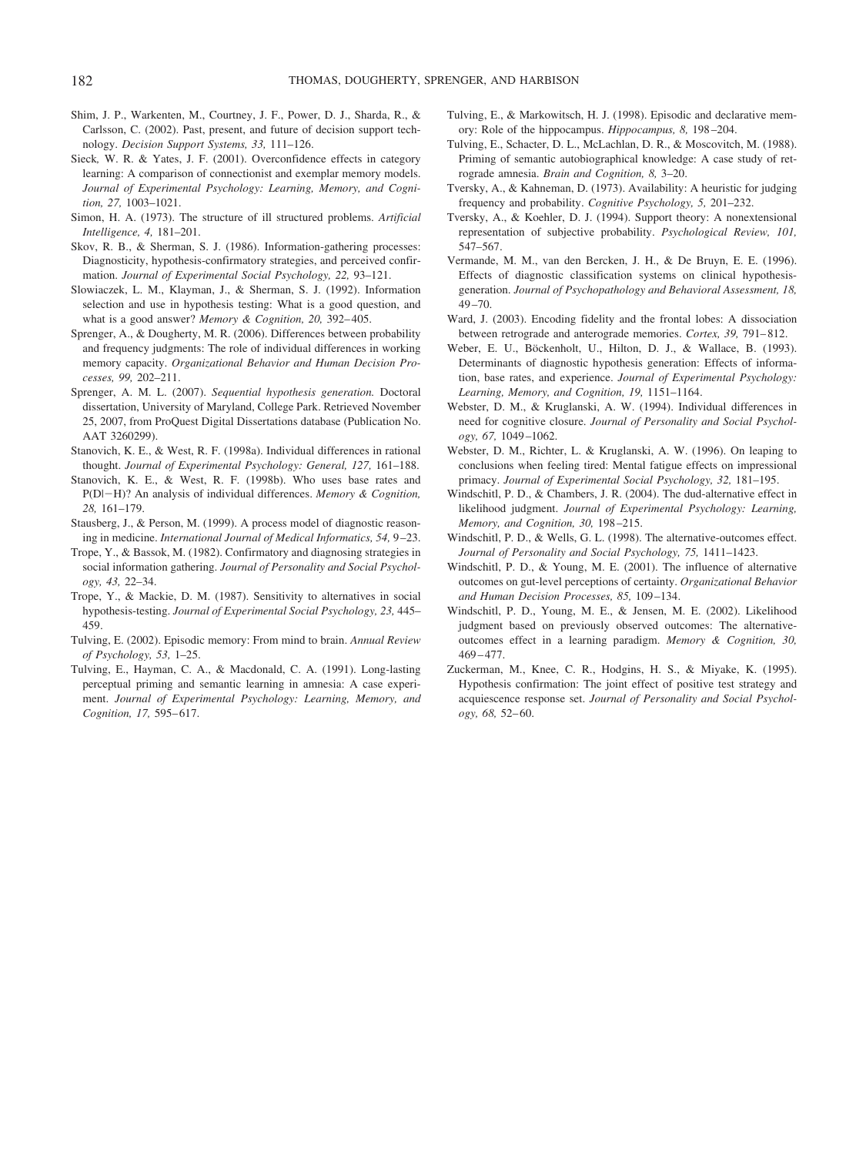- Shim, J. P., Warkenten, M., Courtney, J. F., Power, D. J., Sharda, R., & Carlsson, C. (2002). Past, present, and future of decision support technology. *Decision Support Systems, 33,* 111–126.
- Sieck*,* W. R. & Yates, J. F. (2001). Overconfidence effects in category learning: A comparison of connectionist and exemplar memory models. *Journal of Experimental Psychology: Learning, Memory, and Cognition, 27,* 1003–1021.
- Simon, H. A. (1973). The structure of ill structured problems. *Artificial Intelligence, 4,* 181–201.
- Skov, R. B., & Sherman, S. J. (1986). Information-gathering processes: Diagnosticity, hypothesis-confirmatory strategies, and perceived confirmation. *Journal of Experimental Social Psychology, 22,* 93–121.
- Slowiaczek, L. M., Klayman, J., & Sherman, S. J. (1992). Information selection and use in hypothesis testing: What is a good question, and what is a good answer? *Memory & Cognition, 20, 392-405*.
- Sprenger, A., & Dougherty, M. R. (2006). Differences between probability and frequency judgments: The role of individual differences in working memory capacity. *Organizational Behavior and Human Decision Processes, 99,* 202–211.
- Sprenger, A. M. L. (2007). *Sequential hypothesis generation.* Doctoral dissertation, University of Maryland, College Park. Retrieved November 25, 2007, from ProQuest Digital Dissertations database (Publication No. AAT 3260299).
- Stanovich, K. E., & West, R. F. (1998a). Individual differences in rational thought. *Journal of Experimental Psychology: General, 127,* 161–188.
- Stanovich, K. E., & West, R. F. (1998b). Who uses base rates and P(D|-H)? An analysis of individual differences. *Memory & Cognition*, *28,* 161–179.
- Stausberg, J., & Person, M. (1999). A process model of diagnostic reasoning in medicine. *International Journal of Medical Informatics, 54,* 9 –23.
- Trope, Y., & Bassok, M. (1982). Confirmatory and diagnosing strategies in social information gathering. *Journal of Personality and Social Psychology, 43,* 22–34.
- Trope, Y., & Mackie, D. M. (1987). Sensitivity to alternatives in social hypothesis-testing. *Journal of Experimental Social Psychology, 23,* 445– 459.
- Tulving, E. (2002). Episodic memory: From mind to brain. *Annual Review of Psychology, 53,* 1–25.
- Tulving, E., Hayman, C. A., & Macdonald, C. A. (1991). Long-lasting perceptual priming and semantic learning in amnesia: A case experiment. *Journal of Experimental Psychology: Learning, Memory, and Cognition, 17,* 595– 617.
- Tulving, E., & Markowitsch, H. J. (1998). Episodic and declarative memory: Role of the hippocampus. *Hippocampus, 8,* 198 –204.
- Tulving, E., Schacter, D. L., McLachlan, D. R., & Moscovitch, M. (1988). Priming of semantic autobiographical knowledge: A case study of retrograde amnesia. *Brain and Cognition, 8,* 3–20.
- Tversky, A., & Kahneman, D. (1973). Availability: A heuristic for judging frequency and probability. *Cognitive Psychology, 5,* 201–232.
- Tversky, A., & Koehler, D. J. (1994). Support theory: A nonextensional representation of subjective probability. *Psychological Review, 101,* 547–567.
- Vermande, M. M., van den Bercken, J. H., & De Bruyn, E. E. (1996). Effects of diagnostic classification systems on clinical hypothesisgeneration. *Journal of Psychopathology and Behavioral Assessment, 18,*  $49 - 70.$
- Ward, J. (2003). Encoding fidelity and the frontal lobes: A dissociation between retrograde and anterograde memories. *Cortex, 39,* 791– 812.
- Weber, E. U., Böckenholt, U., Hilton, D. J., & Wallace, B. (1993). Determinants of diagnostic hypothesis generation: Effects of information, base rates, and experience. *Journal of Experimental Psychology: Learning, Memory, and Cognition, 19,* 1151–1164.
- Webster, D. M., & Kruglanski, A. W. (1994). Individual differences in need for cognitive closure. *Journal of Personality and Social Psychology, 67,* 1049 –1062.
- Webster, D. M., Richter, L. & Kruglanski, A. W. (1996). On leaping to conclusions when feeling tired: Mental fatigue effects on impressional primacy. *Journal of Experimental Social Psychology, 32,* 181–195.
- Windschitl, P. D., & Chambers, J. R. (2004). The dud-alternative effect in likelihood judgment. *Journal of Experimental Psychology: Learning, Memory, and Cognition, 30,* 198 –215.
- Windschitl, P. D., & Wells, G. L. (1998). The alternative-outcomes effect. *Journal of Personality and Social Psychology, 75,* 1411–1423.
- Windschitl, P. D., & Young, M. E. (2001). The influence of alternative outcomes on gut-level perceptions of certainty. *Organizational Behavior and Human Decision Processes, 85,* 109 –134.
- Windschitl, P. D., Young, M. E., & Jensen, M. E. (2002). Likelihood judgment based on previously observed outcomes: The alternativeoutcomes effect in a learning paradigm. *Memory & Cognition, 30,* 469 – 477.
- Zuckerman, M., Knee, C. R., Hodgins, H. S., & Miyake, K. (1995). Hypothesis confirmation: The joint effect of positive test strategy and acquiescence response set. *Journal of Personality and Social Psychology, 68,* 52– 60.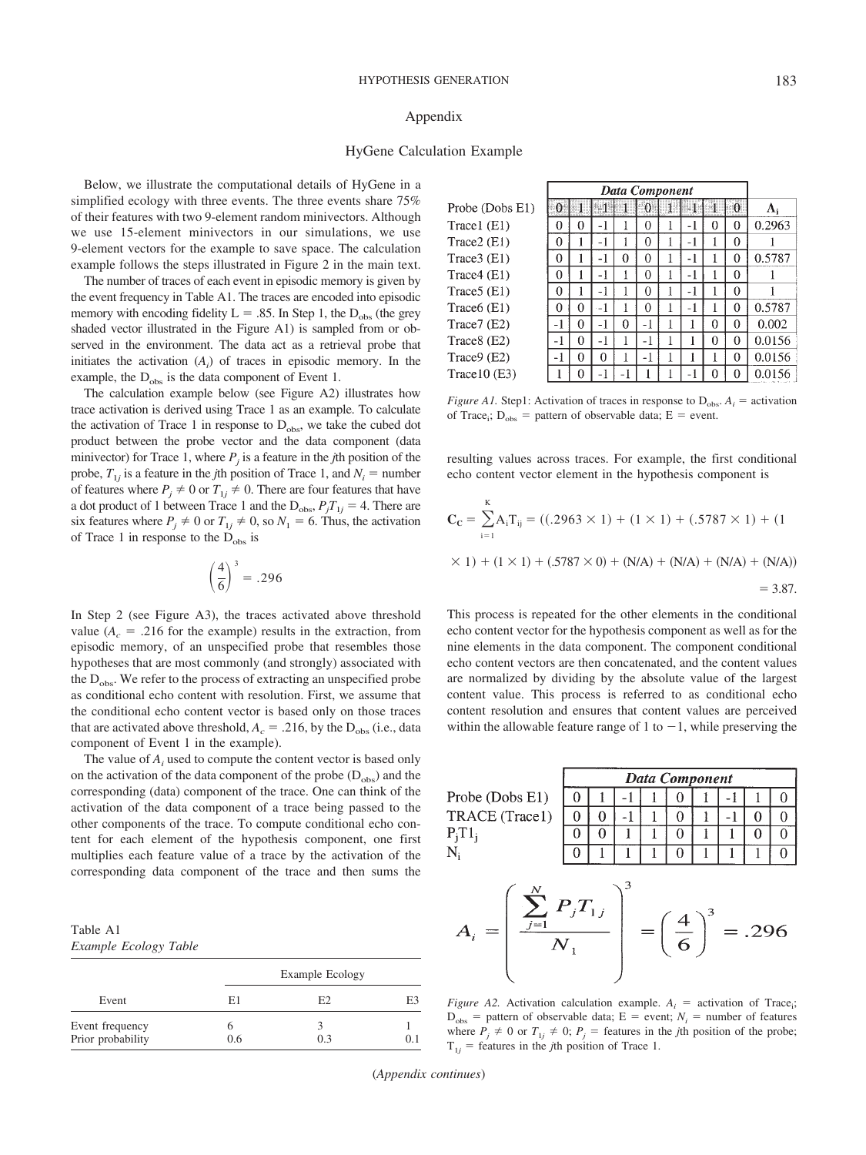#### Appendix

#### HyGene Calculation Example

Below, we illustrate the computational details of HyGene in a simplified ecology with three events. The three events share 75% of their features with two 9-element random minivectors. Although we use 15-element minivectors in our simulations, we use 9-element vectors for the example to save space. The calculation example follows the steps illustrated in Figure 2 in the main text.

The number of traces of each event in episodic memory is given by the event frequency in Table A1. The traces are encoded into episodic memory with encoding fidelity  $L = .85$ . In Step 1, the  $D_{obs}$  (the grey shaded vector illustrated in the Figure A1) is sampled from or observed in the environment. The data act as a retrieval probe that initiates the activation  $(A_i)$  of traces in episodic memory. In the example, the  $D_{obs}$  is the data component of Event 1.

The calculation example below (see Figure A2) illustrates how trace activation is derived using Trace 1 as an example. To calculate the activation of Trace 1 in response to  $D<sub>obs</sub>$ , we take the cubed dot product between the probe vector and the data component (data minivector) for Trace 1, where  $P_i$  is a feature in the *j*th position of the probe,  $T_{1j}$  is a feature in the *j*th position of Trace 1, and  $N_i$  = number of features where  $P_i \neq 0$  or  $T_{1i} \neq 0$ . There are four features that have a dot product of 1 between Trace 1 and the  $D_{obs}$ ,  $P_j T_{1j} = 4$ . There are six features where  $P_j \neq 0$  or  $T_{1j} \neq 0$ , so  $N_1 = 6$ . Thus, the activation of Trace 1 in response to the  $D_{obs}$  is

$$
\left(\frac{4}{6}\right)^3 = .296
$$

In Step 2 (see Figure A3), the traces activated above threshold value  $(A_c = .216$  for the example) results in the extraction, from episodic memory, of an unspecified probe that resembles those hypotheses that are most commonly (and strongly) associated with the  $D_{obs}$ . We refer to the process of extracting an unspecified probe as conditional echo content with resolution. First, we assume that the conditional echo content vector is based only on those traces that are activated above threshold,  $A_c = .216$ , by the  $D_{obs}$  (i.e., data component of Event 1 in the example).

The value of  $A_i$  used to compute the content vector is based only on the activation of the data component of the probe  $(D<sub>obs</sub>)$  and the corresponding (data) component of the trace. One can think of the activation of the data component of a trace being passed to the other components of the trace. To compute conditional echo content for each element of the hypothesis component, one first multiplies each feature value of a trace by the activation of the corresponding data component of the trace and then sums the

Table A1 *Example Ecology Table*

|                                      | Example Ecology |                |    |  |  |  |  |  |
|--------------------------------------|-----------------|----------------|----|--|--|--|--|--|
| Event                                | E1              | E <sub>2</sub> | E3 |  |  |  |  |  |
| Event frequency<br>Prior probability | 0.6             | 0.3            |    |  |  |  |  |  |

| Probe (Dobs E1) |
|-----------------|
| Trace1 (E1)     |
| Trace2 (E1)     |
| Trace3 (E1)     |
| Trace4 (E1)     |
| Trace $5$ (E1)  |
| Trace6 (E1)     |
| Trace7 (E2)     |
| Trace8 (E2)     |
| Trace9 (E2)     |
| Trace10(E3)     |

| bs E1)      | 0    |   | ψ1                            |   | $\overline{0}$ |   | $-1$ |          | $\theta$ | A,     |
|-------------|------|---|-------------------------------|---|----------------|---|------|----------|----------|--------|
| $_{\rm 1)}$ | 0    | 0 | - 1                           | l | 0              | 1 | $-1$ | 0        | 0        | 0.2963 |
| I)          | 0    |   | 1<br>$\overline{\phantom{a}}$ | 1 | 0              | 1 | $-1$ | 1        | 0        |        |
| $_{\rm 1)}$ | 0    |   | -1                            | 0 | 0              | 1 | -1   | 1        | 0        | 0.5787 |
| l)          | 0    |   | - 1                           |   | $\overline{0}$ | 1 | $-1$ |          | 0        |        |
| 1)          | 0    |   | $-1$                          |   | 0              | 1 | $-1$ |          | 0        |        |
| $_{\rm 1)}$ | 0    | 0 | $-1$                          | 1 | 0              | 1 | $-1$ |          | 0        | 0.5787 |
| 2)          | $-1$ | 0 | $-1$                          | 0 | - 1            | 1 | 1    | 0        | 0        | 0.002  |
| 2)          | - 1  | 0 | $-1$                          | 1 | $-1$           | 1 | ı    | $\theta$ | 0        | 0.0156 |
| 2)          | $-1$ | 0 | 0                             | 1 | $-1$           | 1 | ı    | 1        | 0        | 0.0156 |
| 33)         |      | 0 |                               |   |                |   |      | 0        | 0        | 0.0156 |

*Figure A1.* Step1: Activation of traces in response to  $D_{obs}$ .  $A_i$  = activation of Trace<sub>i</sub>;  $D_{obs}$  = pattern of observable data;  $E$  = event.

resulting values across traces. For example, the first conditional echo content vector element in the hypothesis component is

$$
C_C = \sum_{i=1}^{K} A_i T_{ij} = ((.2963 \times 1) + (1 \times 1) + (.5787 \times 1) + (1
$$
  
× 1) + (1 × 1) + (.5787 × 0) + (N/A) + (N/A) + (N/A) + (N/A))  
= 3.87.

This process is repeated for the other elements in the conditional echo content vector for the hypothesis component as well as for the nine elements in the data component. The component conditional echo content vectors are then concatenated, and the content values are normalized by dividing by the absolute value of the largest content value. This process is referred to as conditional echo content resolution and ensures that content values are perceived within the allowable feature range of 1 to  $-1$ , while preserving the

|                                        | <b>Data Component</b> |   |  |  |   |  |                                     |   |  |  |
|----------------------------------------|-----------------------|---|--|--|---|--|-------------------------------------|---|--|--|
| Probe (Dobs E1)                        | 0                     |   |  |  |   |  | - 1                                 |   |  |  |
| TRACE (Trace1)                         | 0                     | 0 |  |  | 0 |  | -1                                  | 0 |  |  |
| $P_iT1_i$                              | 0                     | 0 |  |  |   |  |                                     | 0 |  |  |
|                                        | O                     |   |  |  |   |  |                                     |   |  |  |
| $\sum_{j=1} P_j T_{1j}$<br>$A_{\cdot}$ |                       |   |  |  |   |  | $\left(\frac{4}{6}\right)^5 = .296$ |   |  |  |

*Figure A2.* Activation calculation example.  $A_i$  = activation of Trace<sub>i</sub>;  $D_{obs}$  = pattern of observable data; E = event;  $N_i$  = number of features where  $P_j \neq 0$  or  $T_{1j} \neq 0$ ;  $P_j =$  features in the *j*th position of the probe;  $T_{1j}$  = features in the *j*th position of Trace 1.

(*Appendix continues*)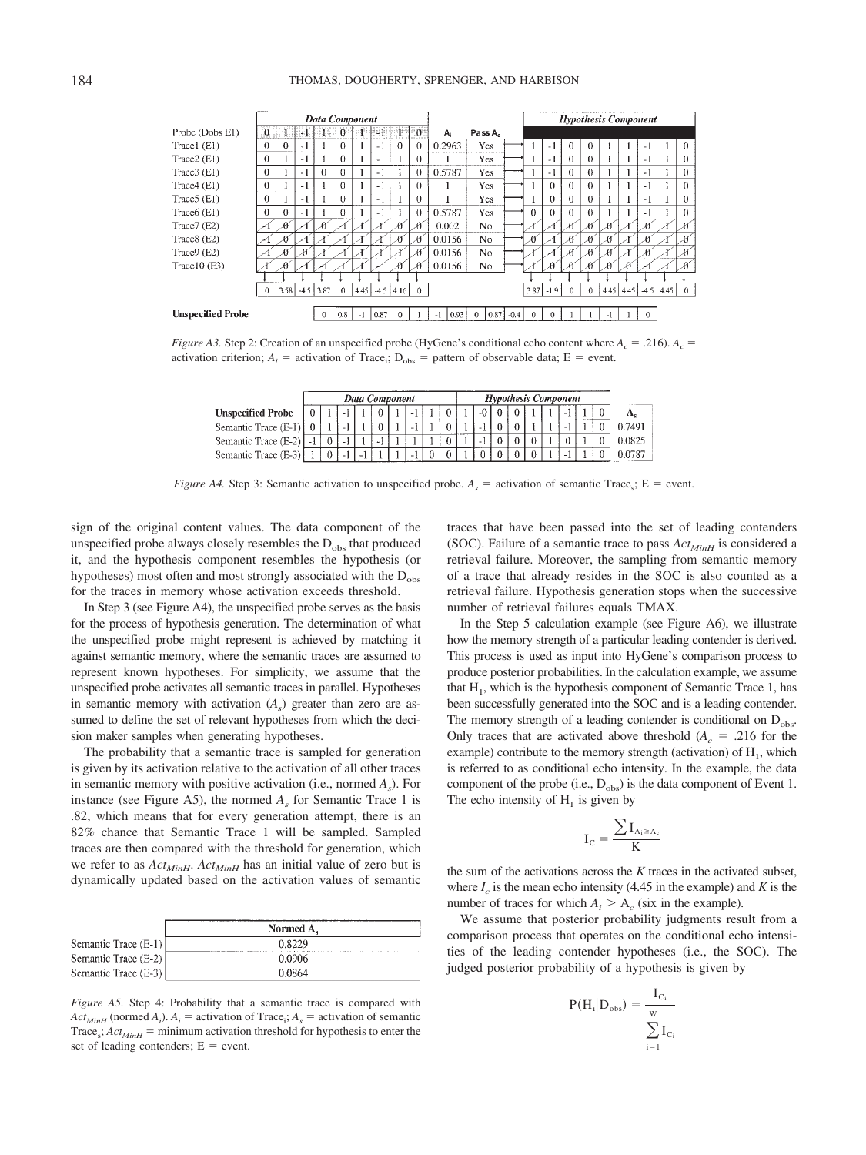|                          | Data Component |          |        |            |          |                     |        |                |               |            | <b>Hypothesis Component</b> |        |          |          |               |          |      |               |          |      |          |
|--------------------------|----------------|----------|--------|------------|----------|---------------------|--------|----------------|---------------|------------|-----------------------------|--------|----------|----------|---------------|----------|------|---------------|----------|------|----------|
| Probe (Dobs E1)          | $\overline{0}$ |          |        | $-1$ 1 1 0 |          | $\mathbf{H}^{\ast}$ | l:411  | $\mathbb{H}^n$ | $\mathbf{0}$  | A.         | Pass A <sub>c</sub>         |        |          |          |               |          |      |               |          |      |          |
| Trace (E1)               | $\Omega$       | $\theta$ | - 1    |            | $\Omega$ |                     | - 1    | $\Omega$       | $\Omega$      | 0.2963     | Yes                         |        |          | $-1$     | $\theta$      | $\theta$ |      |               | $-1$     |      | $\theta$ |
| Trace2 (E1)              | $\theta$       |          | $-1$   |            | $\theta$ |                     | $-1$   |                | $\Omega$      |            | Yes                         |        |          | - 1      | $\Omega$      | $\Omega$ |      |               | -1       |      | $\Omega$ |
| Trace3 (E1)              | $\Omega$       |          | $-1$   | $\Omega$   | $\Omega$ |                     | $-1$   |                | $\theta$      | 0.5787     | Yes                         |        |          | - 1      | $\Omega$      | $\theta$ |      | 1             | $-1$     |      | $\Omega$ |
| $Trace4$ (E1)            | 0              |          | - 1    |            | $\Omega$ |                     | - 1    |                | $\Omega$      |            | <b>Yes</b>                  |        |          | $\theta$ | $\Omega$      | $\Omega$ |      |               | $-1$     |      | $\Omega$ |
| Trace $5$ (E1)           | $\Omega$       |          | $-1$   |            | $\Omega$ |                     | $-1$   |                | $\Omega$      |            | Ycs                         |        |          | $\theta$ | $\Omega$      | $\Omega$ |      |               | -1       |      | $\theta$ |
| Trace (E1)               | $\Omega$       | $\Omega$ | $-1$   |            | $\Omega$ |                     | - 1    |                | $\Omega$      | 0.5787     | <b>Yes</b>                  |        | $\Omega$ | 0        | $\Omega$      | $\Omega$ |      |               | -1       |      | $\Omega$ |
| Trace7 (E2)              |                | R        |        | .R         |          |                     |        | X.             | -AY           | 0.002      | No                          |        |          |          | x             | K        | .R   |               | R        |      | K        |
| Trace $(E2)$             |                |          |        |            |          |                     |        | N              | $\mathcal{A}$ | 0.0156     | N <sub>0</sub>              |        |          |          | R             | K        | A    |               | B        |      | XY.      |
| Trace $(E2)$             |                | R        | M      |            |          |                     |        |                | л,            | 0.0156     | N <sub>0</sub>              |        |          |          | R.            | X        | .A   |               | A        |      |          |
| Trace $10$ (E3)          |                | R        |        |            |          |                     |        | .R             | Æ,            | 0.0156     | N <sub>0</sub>              |        |          | Æ,       | $\mathcal{A}$ | x        | X    | $\mathcal{N}$ |          |      | X        |
|                          |                |          |        |            |          |                     |        |                |               |            |                             |        |          |          |               |          |      |               |          |      |          |
|                          | $\theta$       | 3.58     | $-4.5$ | 3.87       | $\theta$ | 4.45                | $-4.5$ | 4.16           | $\theta$      |            |                             |        | 3.87     | $-1.9$   | $\theta$      | 0        | 4.45 | 4.45          | $-4.5$   | 4.45 | $\theta$ |
|                          |                |          |        |            |          |                     |        |                |               |            |                             |        |          |          |               |          |      |               |          |      |          |
| <b>Unspecified Probe</b> |                |          |        |            | 0.8      | -1                  | 0.87   | 0              |               | 0.93<br>-1 | 0.87<br>$\Omega$            | $-0.4$ | $\Omega$ | 0        |               |          |      |               | $\Omega$ |      |          |

*Figure A3*. Step 2: Creation of an unspecified probe (HyGene's conditional echo content where  $A_c = .216$ ).  $A_c =$ activation criterion;  $A_i$  = activation of Trace<sub>i</sub>;  $D_{obs}$  = pattern of observable data;  $E$  = event.

|                          |  |  | Data Component |  |  |  | <b>Hypothesis Component</b> |  |  |  |        |
|--------------------------|--|--|----------------|--|--|--|-----------------------------|--|--|--|--------|
| <b>Unspecified Probe</b> |  |  |                |  |  |  |                             |  |  |  |        |
| Semantic Trace (E-1)     |  |  |                |  |  |  |                             |  |  |  | 0.7491 |
| Semantic Trace (E-2)     |  |  |                |  |  |  |                             |  |  |  | 0.0825 |
| Semantic Trace (E-3)     |  |  |                |  |  |  |                             |  |  |  |        |

*Figure A4.* Step 3: Semantic activation to unspecified probe.  $A_s$  = activation of semantic Trace<sub>s</sub>; E = event.

sign of the original content values. The data component of the unspecified probe always closely resembles the  $D<sub>obs</sub>$  that produced it, and the hypothesis component resembles the hypothesis (or hypotheses) most often and most strongly associated with the  $D_{obs}$ for the traces in memory whose activation exceeds threshold.

In Step 3 (see Figure A4), the unspecified probe serves as the basis for the process of hypothesis generation. The determination of what the unspecified probe might represent is achieved by matching it against semantic memory, where the semantic traces are assumed to represent known hypotheses. For simplicity, we assume that the unspecified probe activates all semantic traces in parallel. Hypotheses in semantic memory with activation (*As*) greater than zero are assumed to define the set of relevant hypotheses from which the decision maker samples when generating hypotheses.

The probability that a semantic trace is sampled for generation is given by its activation relative to the activation of all other traces in semantic memory with positive activation (i.e., normed *As*). For instance (see Figure A5), the normed *As* for Semantic Trace 1 is .82, which means that for every generation attempt, there is an 82% chance that Semantic Trace 1 will be sampled. Sampled traces are then compared with the threshold for generation, which we refer to as  $Act_{MinH}$ .  $Act_{MinH}$  has an initial value of zero but is dynamically updated based on the activation values of semantic

|                      | Normed A.   |
|----------------------|-------------|
| Semantic Trace (E-1) | 0.8229<br>. |
| Semantic Trace (E-2) | 0.0906      |
| Semantic Trace (E-3) | 0.0864      |

*Figure A5.* Step 4: Probability that a semantic trace is compared with  $Act_{MinH}$  (normed  $A_i$ ).  $A_i$  = activation of Trace<sub>i</sub>;  $A_s$  = activation of semantic Trace<sub>s</sub>;  $Act_{MinH}$  = minimum activation threshold for hypothesis to enter the set of leading contenders;  $E = event$ .

traces that have been passed into the set of leading contenders (SOC). Failure of a semantic trace to pass  $Act_{MinH}$  is considered a retrieval failure. Moreover, the sampling from semantic memory of a trace that already resides in the SOC is also counted as a retrieval failure. Hypothesis generation stops when the successive number of retrieval failures equals TMAX.

In the Step 5 calculation example (see Figure A6), we illustrate how the memory strength of a particular leading contender is derived. This process is used as input into HyGene's comparison process to produce posterior probabilities. In the calculation example, we assume that  $H<sub>1</sub>$ , which is the hypothesis component of Semantic Trace 1, has been successfully generated into the SOC and is a leading contender. The memory strength of a leading contender is conditional on  $D_{obs}$ . Only traces that are activated above threshold  $(A<sub>c</sub> = .216$  for the example) contribute to the memory strength (activation) of  $H_1$ , which is referred to as conditional echo intensity. In the example, the data component of the probe (i.e.,  $D_{obs}$ ) is the data component of Event 1. The echo intensity of  $H<sub>1</sub>$  is given by

$$
I_C = \frac{\sum I_{A_i \geq A_c}}{K}
$$

the sum of the activations across the *K* traces in the activated subset, where  $I_c$  is the mean echo intensity (4.45 in the example) and *K* is the number of traces for which  $A_i > A_c$  (six in the example).

We assume that posterior probability judgments result from a comparison process that operates on the conditional echo intensities of the leading contender hypotheses (i.e., the SOC). The judged posterior probability of a hypothesis is given by

$$
P(H_i|D_{obs}) = \frac{I_{C_i}}{\underset{i=1}{\overset{W}{\sum}} I_{C_i}}
$$